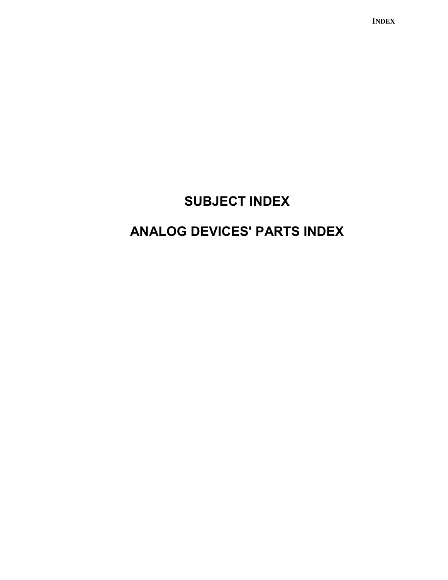**INDEX** 

# **SUBJECT INDEX**

# **ANALOG DEVICES' PARTS INDEX**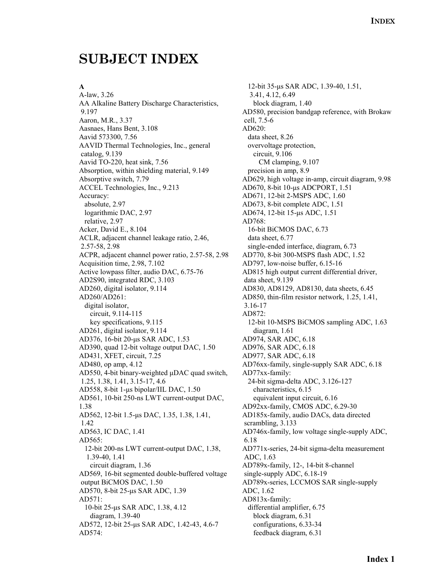## **SUBJECT INDEX**

#### **A**

A-law, 3.26 AA Alkaline Battery Discharge Characteristics, 9.197 Aaron, M.R., 3.37 Aasnaes, Hans Bent, 3.108 Aavid 573300, 7.56 AAVID Thermal Technologies, Inc., general catalog, 9.139 Aavid TO-220, heat sink, 7.56 Absorption, within shielding material, 9.149 Absorptive switch, 7.79 ACCEL Technologies, Inc., 9.213 Accuracy: absolute, 2.97 logarithmic DAC, 2.97 relative, 2.97 Acker, David E., 8.104 ACLR, adjacent channel leakage ratio, 2.46, 2.57-58, 2.98 ACPR, adjacent channel power ratio, 2.57-58, 2.98 Acquisition time, 2.98, 7.102 Active lowpass filter, audio DAC, 6.75-76 AD2S90, integrated RDC, 3.103 AD260, digital isolator, 9.114 AD260/AD261: digital isolator, circuit, 9.114-115 key specifications, 9.115 AD261, digital isolator, 9.114 AD376, 16-bit 20-µs SAR ADC, 1.53 AD390, quad 12-bit voltage output DAC, 1.50 AD431, XFET, circuit, 7.25 AD480, op amp, 4.12 AD550, 4-bit binary-weighted µDAC quad switch, 1.25, 1.38, 1.41, 3.15-17, 4.6 AD558, 8-bit 1-µs bipolar/IIL DAC, 1.50 AD561, 10-bit 250-ns LWT current-output DAC, 1.38 AD562, 12-bit 1.5-µs DAC, 1.35, 1.38, 1.41, 1.42 AD563, IC DAC, 1.41 AD565: 12-bit 200-ns LWT current-output DAC, 1.38, 1.39-40, 1.41 circuit diagram, 1.36 AD569, 16-bit segmented double-buffered voltage output BiCMOS DAC, 1.50 AD570, 8-bit 25-µs SAR ADC, 1.39 AD571: 10-bit 25-µs SAR ADC, 1.38, 4.12 diagram, 1.39-40 AD572, 12-bit 25-µs SAR ADC, 1.42-43, 4.6-7 AD574:

 12-bit 35-µs SAR ADC, 1.39-40, 1.51, 3.41, 4.12, 6.49 block diagram, 1.40 AD580, precision bandgap reference, with Brokaw cell, 7.5-6 AD620: data sheet, 8.26 overvoltage protection, circuit, 9.106 CM clamping, 9.107 precision in amp, 8.9 AD629, high voltage in-amp, circuit diagram, 9.98 AD670, 8-bit 10-µs ADCPORT, 1.51 AD671, 12-bit 2-MSPS ADC, 1.60 AD673, 8-bit complete ADC, 1.51 AD674, 12-bit 15-µs ADC, 1.51 AD768: 16-bit BiCMOS DAC, 6.73 data sheet, 6.77 single-ended interface, diagram, 6.73 AD770, 8-bit 300-MSPS flash ADC, 1.52 AD797, low-noise buffer, 6.15-16 AD815 high output current differential driver, data sheet, 9.139 AD830, AD8129, AD8130, data sheets, 6.45 AD850, thin-film resistor network, 1.25, 1.41, 3.16-17 AD872: 12-bit 10-MSPS BiCMOS sampling ADC, 1.63 diagram, 1.61 AD974, SAR ADC, 6.18 AD976, SAR ADC, 6.18 AD977, SAR ADC, 6.18 AD76xx-family, single-supply SAR ADC, 6.18 AD77xx-family: 24-bit sigma-delta ADC, 3.126-127 characteristics, 6.15 equivalent input circuit, 6.16 AD92xx-family, CMOS ADC, 6.29-30 AD185x-family, audio DACs, data directed scrambling, 3.133 AD746x-family, low voltage single-supply ADC, 6.18 AD771x-series, 24-bit sigma-delta measurement ADC, 1.63 AD789x-family, 12-, 14-bit 8-channel single-supply ADC, 6.18-19 AD789x-series, LCCMOS SAR single-supply ADC, 1.62 AD813x-family: differential amplifier, 6.75 block diagram, 6.31 configurations, 6.33-34 feedback diagram, 6.31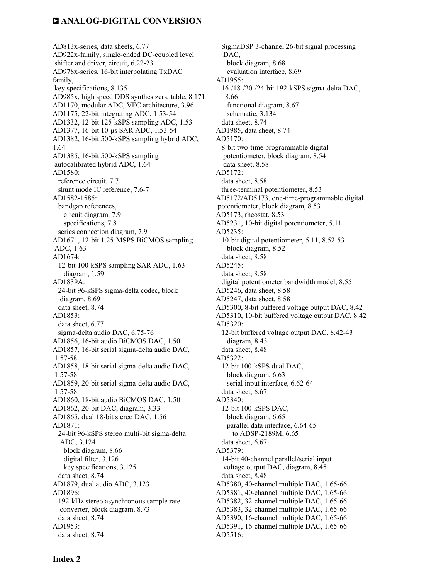AD813x-series, data sheets, 6.77 AD922x-family, single-ended DC-coupled level shifter and driver, circuit, 6.22-23 AD978x-series, 16-bit interpolating TxDAC family, key specifications, 8.135 AD985x, high speed DDS synthesizers, table, 8.171 AD1170, modular ADC, VFC architecture, 3.96 AD1175, 22-bit integrating ADC, 1.53-54 AD1332, 12-bit 125-kSPS sampling ADC, 1.53 AD1377, 16-bit 10-µs SAR ADC, 1.53-54 AD1382, 16-bit 500-kSPS sampling hybrid ADC, 1.64 AD1385, 16-bit 500-kSPS sampling autocalibrated hybrid ADC, 1.64 AD1580: reference circuit, 7.7 shunt mode IC reference, 7.6-7 AD1582-1585: bandgap references, circuit diagram, 7.9 specifications, 7.8 series connection diagram, 7.9 AD1671, 12-bit 1.25-MSPS BiCMOS sampling ADC, 1.63 AD1674: 12-bit 100-kSPS sampling SAR ADC, 1.63 diagram, 1.59 AD1839A: 24-bit 96-kSPS sigma-delta codec, block diagram, 8.69 data sheet, 8.74 AD1853: data sheet, 6.77 sigma-delta audio DAC, 6.75-76 AD1856, 16-bit audio BiCMOS DAC, 1.50 AD1857, 16-bit serial sigma-delta audio DAC, 1.57-58 AD1858, 18-bit serial sigma-delta audio DAC, 1.57-58 AD1859, 20-bit serial sigma-delta audio DAC, 1.57-58 AD1860, 18-bit audio BiCMOS DAC, 1.50 AD1862, 20-bit DAC, diagram, 3.33 AD1865, dual 18-bit stereo DAC, 1.56 AD1871: 24-bit 96-kSPS stereo multi-bit sigma-delta ADC, 3.124 block diagram, 8.66 digital filter, 3.126 key specifications, 3.125 data sheet, 8.74 AD1879, dual audio ADC, 3.123 AD1896: 192-kHz stereo asynchronous sample rate converter, block diagram, 8.73 data sheet, 8.74 AD1953: data sheet, 8.74

 SigmaDSP 3-channel 26-bit signal processing DAC, block diagram, 8.68 evaluation interface, 8.69 AD1955: 16-/18-/20-/24-bit 192-kSPS sigma-delta DAC, 8.66 functional diagram, 8.67 schematic, 3.134 data sheet, 8.74 AD1985, data sheet, 8.74 AD5170: 8-bit two-time programmable digital potentiometer, block diagram, 8.54 data sheet, 8.58 AD5172: data sheet, 8.58 three-terminal potentiometer, 8.53 AD5172/AD5173, one-time-programmable digital potentiometer, block diagram, 8.53 AD5173, rheostat, 8.53 AD5231, 10-bit digital potentiometer, 5.11 AD5235: 10-bit digital potentiometer, 5.11, 8.52-53 block diagram, 8.52 data sheet, 8.58 AD5245: data sheet, 8.58 digital potentiometer bandwidth model, 8.55 AD5246, data sheet, 8.58 AD5247, data sheet, 8.58 AD5300, 8-bit buffered voltage output DAC, 8.42 AD5310, 10-bit buffered voltage output DAC, 8.42 AD5320: 12-bit buffered voltage output DAC, 8.42-43 diagram, 8.43 data sheet, 8.48 AD5322: 12-bit 100-kSPS dual DAC, block diagram, 6.63 serial input interface, 6.62-64 data sheet, 6.67 AD5340: 12-bit 100-kSPS DAC, block diagram, 6.65 parallel data interface, 6.64-65 to ADSP-2189M, 6.65 data sheet, 6.67 AD5379: 14-bit 40-channel parallel/serial input voltage output DAC, diagram, 8.45 data sheet, 8.48 AD5380, 40-channel multiple DAC, 1.65-66 AD5381, 40-channel multiple DAC, 1.65-66 AD5382, 32-channel multiple DAC, 1.65-66 AD5383, 32-channel multiple DAC, 1.65-66 AD5390, 16-channel multiple DAC, 1.65-66 AD5391, 16-channel multiple DAC, 1.65-66 AD5516: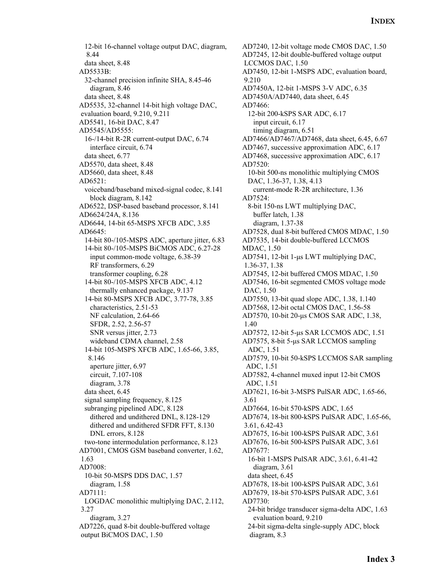12-bit 16-channel voltage output DAC, diagram, 8.44 data sheet, 8.48 AD5533B: 32-channel precision infinite SHA, 8.45-46 diagram, 8.46 data sheet, 8.48 AD5535, 32-channel 14-bit high voltage DAC, evaluation board, 9.210, 9.211 AD5541, 16-bit DAC, 8.47 AD5545/AD5555: 16-/14-bit R-2R current-output DAC, 6.74 interface circuit, 6.74 data sheet, 6.77 AD5570, data sheet, 8.48 AD5660, data sheet, 8.48 AD6521: voiceband/baseband mixed-signal codec, 8.141 block diagram, 8.142 AD6522, DSP-based baseband processor, 8.141 AD6624/24A, 8.136 AD6644, 14-bit 65-MSPS XFCB ADC, 3.85 AD6645: 14-bit 80-/105-MSPS ADC, aperture jitter, 6.83 14-bit 80-/105-MSPS BiCMOS ADC, 6.27-28 input common-mode voltage, 6.38-39 RF transformers, 6.29 transformer coupling, 6.28 14-bit 80-/105-MSPS XFCB ADC, 4.12 thermally enhanced package, 9.137 14-bit 80-MSPS XFCB ADC, 3.77-78, 3.85 characteristics, 2.51-53 NF calculation, 2.64-66 SFDR, 2.52, 2.56-57 SNR versus jitter, 2.73 wideband CDMA channel, 2.58 14-bit 105-MSPS XFCB ADC, 1.65-66, 3.85, 8.146 aperture jitter, 6.97 circuit, 7.107-108 diagram, 3.78 data sheet, 6.45 signal sampling frequency, 8.125 subranging pipelined ADC, 8.128 dithered and undithered DNL, 8.128-129 dithered and undithered SFDR FFT, 8.130 DNL errors, 8.128 two-tone intermodulation performance, 8.123 AD7001, CMOS GSM baseband converter, 1.62, 1.63 AD7008: 10-bit 50-MSPS DDS DAC, 1.57 diagram, 1.58 AD7111: LOGDAC monolithic multiplying DAC, 2.112, 3.27 diagram, 3.27 AD7226, quad 8-bit double-buffered voltage output BiCMOS DAC, 1.50

AD7240, 12-bit voltage mode CMOS DAC, 1.50 AD7245, 12-bit double-buffered voltage output LCCMOS DAC, 1.50 AD7450, 12-bit 1-MSPS ADC, evaluation board, 9.210 AD7450A, 12-bit 1-MSPS 3-V ADC, 6.35 AD7450A/AD7440, data sheet, 6.45 AD7466: 12-bit 200-kSPS SAR ADC, 6.17 input circuit, 6.17 timing diagram, 6.51 AD7466/AD7467/AD7468, data sheet, 6.45, 6.67 AD7467, successive approximation ADC, 6.17 AD7468, successive approximation ADC, 6.17 AD7520: 10-bit 500-ns monolithic multiplying CMOS DAC, 1.36-37, 1.38, 4.13 current-mode R-2R architecture, 1.36 AD7524: 8-bit 150-ns LWT multiplying DAC, buffer latch, 1.38 diagram, 1.37-38 AD7528, dual 8-bit buffered CMOS MDAC, 1.50 AD7535, 14-bit double-buffered LCCMOS MDAC, 1.50 AD7541, 12-bit 1-µs LWT multiplying DAC, 1.36-37, 1.38 AD7545, 12-bit buffered CMOS MDAC, 1.50 AD7546, 16-bit segmented CMOS voltage mode DAC, 1.50 AD7550, 13-bit quad slope ADC, 1.38, 1.140 AD7568, 12-bit octal CMOS DAC, 1.56-58 AD7570, 10-bit 20-µs CMOS SAR ADC, 1.38, 1.40 AD7572, 12-bit 5-µs SAR LCCMOS ADC, 1.51 AD7575, 8-bit 5-µs SAR LCCMOS sampling ADC, 1.51 AD7579, 10-bit 50-kSPS LCCMOS SAR sampling ADC, 1.51 AD7582, 4-channel muxed input 12-bit CMOS ADC, 1.51 AD7621, 16-bit 3-MSPS PulSAR ADC, 1.65-66, 3.61 AD7664, 16-bit 570-kSPS ADC, 1.65 AD7674, 18-bit 800-kSPS PulSAR ADC, 1.65-66, 3.61, 6.42-43 AD7675, 16-bit 100-kSPS PulSAR ADC, 3.61 AD7676, 16-bit 500-kSPS PulSAR ADC, 3.61 AD7677: 16-bit 1-MSPS PulSAR ADC, 3.61, 6.41-42 diagram, 3.61 data sheet, 6.45 AD7678, 18-bit 100-kSPS PulSAR ADC, 3.61 AD7679, 18-bit 570-kSPS PulSAR ADC, 3.61 AD7730: 24-bit bridge transducer sigma-delta ADC, 1.63 evaluation board, 9.210 24-bit sigma-delta single-supply ADC, block diagram, 8.3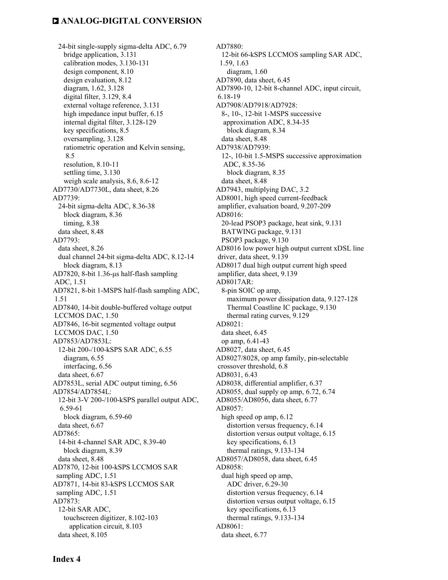24-bit single-supply sigma-delta ADC, 6.79 bridge application, 3.131 calibration modes, 3.130-131 design component, 8.10 design evaluation, 8.12 diagram, 1.62, 3.128 digital filter, 3.129, 8.4 external voltage reference, 3.131 high impedance input buffer,  $6.15$  internal digital filter, 3.128-129 key specifications, 8.5 oversampling, 3.128 ratiometric operation and Kelvin sensing, 8.5 resolution, 8.10-11 settling time, 3.130 weigh scale analysis, 8.6, 8.6-12 AD7730/AD7730L, data sheet, 8.26 AD7739: 24-bit sigma-delta ADC, 8.36-38 block diagram, 8.36 timing, 8.38 data sheet, 8.48 AD7793: data sheet, 8.26 dual channel 24-bit sigma-delta ADC, 8.12-14 block diagram, 8.13 AD7820, 8-bit 1.36-µs half-flash sampling ADC, 1.51 AD7821, 8-bit 1-MSPS half-flash sampling ADC, 1.51 AD7840, 14-bit double-buffered voltage output LCCMOS DAC, 1.50 AD7846, 16-bit segmented voltage output LCCMOS DAC, 1.50 AD7853/AD7853L: 12-bit 200-/100-kSPS SAR ADC, 6.55 diagram, 6.55 interfacing, 6.56 data sheet, 6.67 AD7853L, serial ADC output timing, 6.56 AD7854/AD7854L: 12-bit 3-V 200-/100-kSPS parallel output ADC, 6.59-61 block diagram, 6.59-60 data sheet, 6.67  $AD7865$  14-bit 4-channel SAR ADC, 8.39-40 block diagram, 8.39 data sheet, 8.48 AD7870, 12-bit 100-kSPS LCCMOS SAR sampling ADC, 1.51 AD7871, 14-bit 83-kSPS LCCMOS SAR sampling ADC, 1.51 AD7873: 12-bit SAR ADC, touchscreen digitizer, 8.102-103 application circuit, 8.103 data sheet, 8.105

AD7880: 12-bit 66-kSPS LCCMOS sampling SAR ADC, 1.59, 1.63 diagram, 1.60 AD7890, data sheet, 6.45 AD7890-10, 12-bit 8-channel ADC, input circuit, 6.18-19 AD7908/AD7918/AD7928: 8-, 10-, 12-bit 1-MSPS successive approximation ADC, 8.34-35 block diagram, 8.34 data sheet, 8.48 AD7938/AD7939: 12-, 10-bit 1.5-MSPS successive approximation ADC, 8.35-36 block diagram, 8.35 data sheet, 8.48 AD7943, multiplying DAC, 3.2 AD8001, high speed current-feedback amplifier, evaluation board, 9.207-209 AD8016: 20-lead PSOP3 package, heat sink, 9.131 BATWING package, 9.131 PSOP3 package, 9.130 AD8016 low power high output current xDSL line driver, data sheet, 9.139 AD8017 dual high output current high speed amplifier, data sheet, 9.139 AD8017AR: 8-pin SOIC op amp, maximum power dissipation data, 9.127-128 Thermal Coastline IC package, 9.130 thermal rating curves, 9.129 AD8021: data sheet, 6.45 op amp, 6.41-43 AD8027, data sheet, 6.45 AD8027/8028, op amp family, pin-selectable crossover threshold, 6.8 AD8031, 6.43 AD8038, differential amplifier, 6.37 AD8055, dual supply op amp, 6.72, 6.74 AD8055/AD8056, data sheet, 6.77 AD8057: high speed op amp, 6.12 distortion versus frequency, 6.14 distortion versus output voltage, 6.15 key specifications, 6.13 thermal ratings, 9.133-134 AD8057/AD8058, data sheet, 6.45 AD8058: dual high speed op amp, ADC driver, 6.29-30 distortion versus frequency, 6.14 distortion versus output voltage, 6.15 key specifications, 6.13 thermal ratings, 9.133-134 AD8061: data sheet, 6.77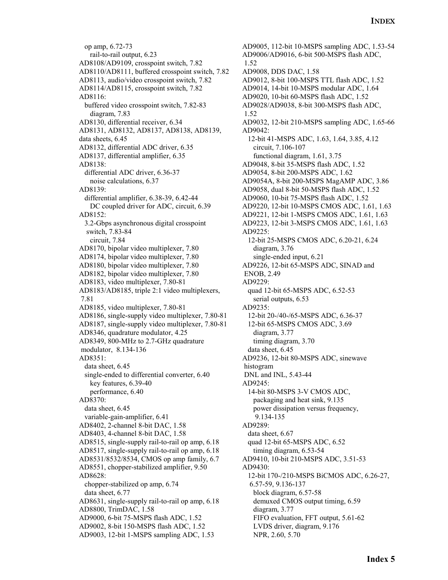op amp, 6.72-73 rail-to-rail output, 6.23 AD8108/AD9109, crosspoint switch, 7.82 AD8110/AD8111, buffered crosspoint switch, 7.82 AD8113, audio/video crosspoint switch, 7.82 AD8114/AD8115, crosspoint switch, 7.82 AD8116: buffered video crosspoint switch, 7.82-83 diagram, 7.83 AD8130, differential receiver, 6.34 AD8131, AD8132, AD8137, AD8138, AD8139, data sheets, 6.45 AD8132, differential ADC driver, 6.35 AD8137, differential amplifier, 6.35 AD8138: differential ADC driver, 6.36-37 noise calculations, 6.37 AD8139: differential amplifier, 6.38-39, 6.42-44 DC coupled driver for ADC, circuit, 6.39 AD8152: 3.2-Gbps asynchronous digital crosspoint switch, 7.83-84 circuit, 7.84 AD8170, bipolar video multiplexer, 7.80 AD8174, bipolar video multiplexer, 7.80 AD8180, bipolar video multiplexer, 7.80 AD8182, bipolar video multiplexer, 7.80 AD8183, video multiplexer, 7.80-81 AD8183/AD8185, triple 2:1 video multiplexers, 7.81 AD8185, video multiplexer, 7.80-81 AD8186, single-supply video multiplexer, 7.80-81 AD8187, single-supply video multiplexer, 7.80-81 AD8346, quadrature modulator, 4.25 AD8349, 800-MHz to 2.7-GHz quadrature modulator, 8.134-136 AD8351: data sheet, 6.45 single-ended to differential converter, 6.40 key features, 6.39-40 performance, 6.40 AD8370: data sheet, 6.45 variable-gain-amplifier, 6.41 AD8402, 2-channel 8-bit DAC, 1.58 AD8403, 4-channel 8-bit DAC, 1.58 AD8515, single-supply rail-to-rail op amp, 6.18 AD8517, single-supply rail-to-rail op amp, 6.18 AD8531/8532/8534, CMOS op amp family, 6.7 AD8551, chopper-stabilized amplifier, 9.50 AD8628: chopper-stabilized op amp, 6.74 data sheet, 6.77 AD8631, single-supply rail-to-rail op amp, 6.18 AD8800, TrimDAC, 1.58 AD9000, 6-bit 75-MSPS flash ADC, 1.52 AD9002, 8-bit 150-MSPS flash ADC, 1.52 AD9003, 12-bit 1-MSPS sampling ADC, 1.53

AD9005, 112-bit 10-MSPS sampling ADC, 1.53-54 AD9006/AD9016, 6-bit 500-MSPS flash ADC, 1.52 AD9008, DDS DAC, 1.58 AD9012, 8-bit 100-MSPS TTL flash ADC, 1.52 AD9014, 14-bit 10-MSPS modular ADC, 1.64 AD9020, 10-bit 60-MSPS flash ADC, 1.52 AD9028/AD9038, 8-bit 300-MSPS flash ADC, 1.52 AD9032, 12-bit 210-MSPS sampling ADC, 1.65-66 AD9042: 12-bit 41-MSPS ADC, 1.63, 1.64, 3.85, 4.12 circuit, 7.106-107 functional diagram, 1.61, 3.75 AD9048, 8-bit 35-MSPS flash ADC, 1.52 AD9054, 8-bit 200-MSPS ADC, 1.62 AD9054A, 8-bit 200-MSPS MagAMP ADC, 3.86 AD9058, dual 8-bit 50-MSPS flash ADC, 1.52 AD9060, 10-bit 75-MSPS flash ADC, 1.52 AD9220, 12-bit 10-MSPS CMOS ADC, 1.61, 1.63 AD9221, 12-bit 1-MSPS CMOS ADC, 1.61, 1.63 AD9223, 12-bit 3-MSPS CMOS ADC, 1.61, 1.63 AD9225: 12-bit 25-MSPS CMOS ADC, 6.20-21, 6.24 diagram, 3.76 single-ended input, 6.21 AD9226, 12-bit 65-MSPS ADC, SINAD and ENOB, 2.49 AD9229: quad 12-bit 65-MSPS ADC, 6.52-53 serial outputs, 6.53 AD9235: 12-bit 20-/40-/65-MSPS ADC, 6.36-37 12-bit 65-MSPS CMOS ADC, 3.69 diagram, 3.77 timing diagram, 3.70 data sheet, 6.45 AD9236, 12-bit 80-MSPS ADC, sinewave histogram DNL and INL, 5.43-44 AD9245: 14-bit 80-MSPS 3-V CMOS ADC, packaging and heat sink, 9.135 power dissipation versus frequency, 9.134-135 AD9289: data sheet, 6.67 quad 12-bit 65-MSPS ADC, 6.52 timing diagram, 6.53-54 AD9410, 10-bit 210-MSPS ADC, 3.51-53 AD9430: 12-bit 170-/210-MSPS BiCMOS ADC, 6.26-27, 6.57-59, 9.136-137 block diagram, 6.57-58 demuxed CMOS output timing, 6.59 diagram, 3.77 FIFO evaluation, FFT output, 5.61-62 LVDS driver, diagram, 9.176 NPR, 2.60, 5.70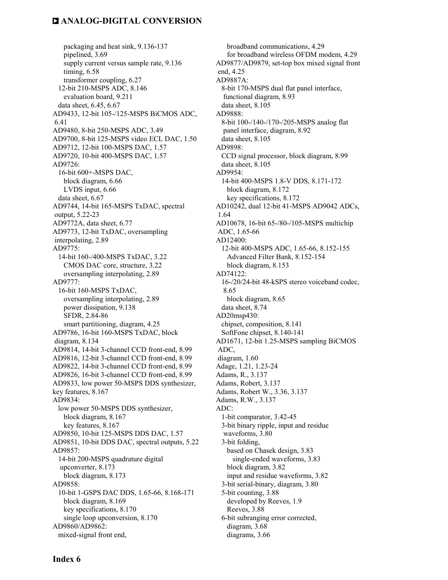packaging and heat sink, 9.136-137 pipelined, 3.69 supply current versus sample rate, 9.136 timing, 6.58 transformer coupling, 6.27 12-bit 210-MSPS ADC, 8.146 evaluation board, 9.211 data sheet, 6.45, 6.67 AD9433, 12-bit 105-/125-MSPS BiCMOS ADC, 6.41 AD9480, 8-bit 250-MSPS ADC, 3.49 AD9700, 8-bit 125-MSPS video ECL DAC, 1.50 AD9712, 12-bit 100-MSPS DAC, 1.57 AD9720, 10-bit 400-MSPS DAC, 1.57 AD9726: 16-bit 600+-MSPS DAC, block diagram, 6.66 LVDS input, 6.66 data sheet, 6.67 AD9744, 14-bit 165-MSPS TxDAC, spectral output, 5.22-23 AD9772A, data sheet, 6.77 AD9773, 12-bit TxDAC, oversampling interpolating, 2.89 AD9775: 14-bit 160-/400-MSPS TxDAC, 3.22 CMOS DAC core, structure, 3.22 oversampling interpolating, 2.89 AD9777: 16-bit 160-MSPS TxDAC, oversampling interpolating, 2.89 power dissipation, 9.138 SFDR, 2.84-86 smart partitioning, diagram, 4.25 AD9786, 16-bit 160-MSPS TxDAC, block diagram, 8.134 AD9814, 14-bit 3-channel CCD front-end, 8.99 AD9816, 12-bit 3-channel CCD front-end, 8.99 AD9822, 14-bit 3-channel CCD front-end, 8.99 AD9826, 16-bit 3-channel CCD front-end, 8.99 AD9833, low power 50-MSPS DDS synthesizer, key features, 8.167 AD9834: low power 50-MSPS DDS synthesizer, block diagram, 8.167 key features, 8.167 AD9850, 10-bit 125-MSPS DDS DAC, 1.57 AD9851, 10-bit DDS DAC, spectral outputs, 5.22 AD9857: 14-bit 200-MSPS quadrature digital upconverter, 8.173 block diagram, 8.173 AD9858: 10-bit 1-GSPS DAC DDS, 1.65-66, 8.168-171 block diagram, 8.169 key specifications, 8.170 single loop upconversion, 8.170 AD9860/AD9862: mixed-signal front end,

 broadband communications, 4.29 for broadband wireless OFDM modem, 4.29 AD9877/AD9879, set-top box mixed signal front end, 4.25 AD9887A: 8-bit 170-MSPS dual flat panel interface, functional diagram, 8.93 data sheet, 8.105 AD9888: 8-bit 100-/140-/170-/205-MSPS analog flat panel interface, diagram, 8.92 data sheet, 8.105 AD9898: CCD signal processor, block diagram, 8.99 data sheet, 8.105 AD9954: 14-bit 400-MSPS 1.8-V DDS, 8.171-172 block diagram, 8.172 key specifications, 8.172 AD10242, dual 12-bit 41-MSPS AD9042 ADCs, 1.64 AD10678, 16-bit 65-/80-/105-MSPS multichip ADC, 1.65-66 AD12400: 12-bit 400-MSPS ADC, 1.65-66, 8.152-155 Advanced Filter Bank, 8.152-154 block diagram, 8.153 AD74122: 16-/20/24-bit 48-kSPS stereo voiceband codec, 8.65 block diagram, 8.65 data sheet, 8.74 AD20msp430: chipset, composition, 8.141 SoftFone chipset, 8.140-141 AD1671, 12-bit 1.25-MSPS sampling BiCMOS ADC, diagram, 1.60 Adage, 1.21, 1.23-24 Adams, R., 3.137 Adams, Robert, 3.137 Adams, Robert W., 3.36, 3.137 Adams, R.W., 3.137 ADC: 1-bit comparator, 3.42-45 3-bit binary ripple, input and residue waveforms, 3.80 3-bit folding, based on Chasek design, 3.83 single-ended waveforms, 3.83 block diagram, 3.82 input and residue waveforms, 3.82 3-bit serial-binary, diagram, 3.80 5-bit counting, 3.88 developed by Reeves, 1.9 Reeves, 3.88 6-bit subranging error corrected, diagram, 3.68 diagrams, 3.66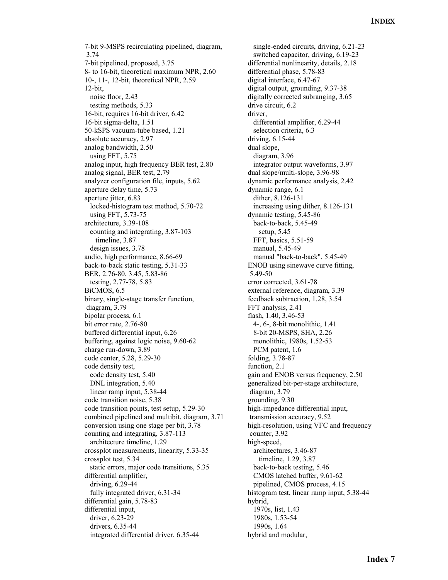7-bit 9-MSPS recirculating pipelined, diagram, 3.74 7-bit pipelined, proposed, 3.75 8- to 16-bit, theoretical maximum NPR, 2.60 10-, 11-, 12-bit, theoretical NPR, 2.59 12-bit, noise floor, 2.43 testing methods, 5.33 16-bit, requires 16-bit driver, 6.42 16-bit sigma-delta, 1.51 50-kSPS vacuum-tube based, 1.21 absolute accuracy, 2.97 analog bandwidth, 2.50 using FFT, 5.75 analog input, high frequency BER test, 2.80 analog signal, BER test, 2.79 analyzer configuration file, inputs, 5.62 aperture delay time, 5.73 aperture jitter, 6.83 locked-histogram test method, 5.70-72 using FFT, 5.73-75 architecture, 3.39-108 counting and integrating, 3.87-103 timeline, 3.87 design issues, 3.78 audio, high performance, 8.66-69 back-to-back static testing, 5.31-33 BER, 2.76-80, 3.45, 5.83-86 testing, 2.77-78, 5.83 BiCMOS, 6.5 binary, single-stage transfer function, diagram, 3.79 bipolar process, 6.1 bit error rate, 2.76-80 buffered differential input, 6.26 buffering, against logic noise, 9.60-62 charge run-down, 3.89 code center, 5.28, 5.29-30 code density test, code density test, 5.40 DNL integration, 5.40 linear ramp input, 5.38-44 code transition noise, 5.38 code transition points, test setup, 5.29-30 combined pipelined and multibit, diagram, 3.71 conversion using one stage per bit, 3.78 counting and integrating, 3.87-113 architecture timeline, 1.29 crossplot measurements, linearity, 5.33-35 crossplot test, 5.34 static errors, major code transitions, 5.35 differential amplifier, driving, 6.29-44 fully integrated driver, 6.31-34 differential gain, 5.78-83 differential input, driver, 6.23-29 drivers, 6.35-44 integrated differential driver, 6.35-44

 single-ended circuits, driving, 6.21-23 switched capacitor, driving, 6.19-23 differential nonlinearity, details, 2.18 differential phase, 5.78-83 digital interface, 6.47-67 digital output, grounding, 9.37-38 digitally corrected subranging, 3.65 drive circuit, 6.2 driver, differential amplifier, 6.29-44 selection criteria, 6.3 driving, 6.15-44 dual slope, diagram, 3.96 integrator output waveforms, 3.97 dual slope/multi-slope, 3.96-98 dynamic performance analysis, 2.42 dynamic range, 6.1 dither, 8.126-131 increasing using dither, 8.126-131 dynamic testing, 5.45-86 back-to-back, 5.45-49 setup, 5.45 FFT, basics, 5.51-59 manual, 5.45-49 manual "back-to-back", 5.45-49 ENOB using sinewave curve fitting, 5.49-50 error corrected, 3.61-78 external reference, diagram, 3.39 feedback subtraction, 1.28, 3.54 FFT analysis, 2.41 flash, 1.40, 3.46-53 4-, 6-, 8-bit monolithic, 1.41 8-bit 20-MSPS, SHA, 2.26 monolithic, 1980s, 1.52-53 PCM patent, 1.6 folding, 3.78-87 function, 2.1 gain and ENOB versus frequency, 2.50 generalized bit-per-stage architecture, diagram, 3.79 grounding, 9.30 high-impedance differential input, transmission accuracy, 9.52 high-resolution, using VFC and frequency counter, 3.92 high-speed, architectures, 3.46-87 timeline, 1.29, 3.87 back-to-back testing, 5.46 CMOS latched buffer, 9.61-62 pipelined, CMOS process, 4.15 histogram test, linear ramp input, 5.38-44 hybrid, 1970s, list, 1.43 1980s, 1.53-54 1990s, 1.64 hybrid and modular,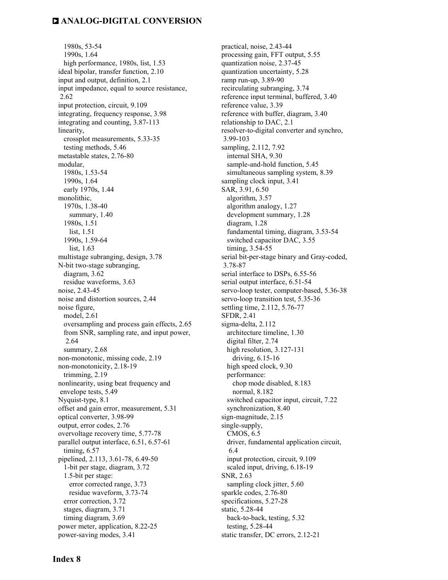1980s, 53-54 1990s, 1.64 high performance, 1980s, list, 1.53 ideal bipolar, transfer function, 2.10 input and output, definition, 2.1 input impedance, equal to source resistance, 2.62 input protection, circuit, 9.109 integrating, frequency response, 3.98 integrating and counting, 3.87-113 linearity, crossplot measurements, 5.33-35 testing methods, 5.46 metastable states, 2.76-80 modular, 1980s, 1.53-54 1990s, 1.64 early 1970s, 1.44 monolithic, 1970s, 1.38-40 summary, 1.40 1980s, 1.51 list, 1.51 1990s, 1.59-64 list, 1.63 multistage subranging, design, 3.78 N-bit two-stage subranging, diagram, 3.62 residue waveforms, 3.63 noise, 2.43-45 noise and distortion sources, 2.44 noise figure, model, 2.61 oversampling and process gain effects, 2.65 from SNR, sampling rate, and input power, 2.64 summary, 2.68 non-monotonic, missing code, 2.19 non-monotonicity, 2.18-19 trimming, 2.19 nonlinearity, using beat frequency and envelope tests, 5.49 Nyquist-type, 8.1 offset and gain error, measurement, 5.31 optical converter, 3.98-99 output, error codes, 2.76 overvoltage recovery time, 5.77-78 parallel output interface, 6.51, 6.57-61 timing, 6.57 pipelined, 2.113, 3.61-78, 6.49-50 1-bit per stage, diagram, 3.72 1.5-bit per stage: error corrected range, 3.73 residue waveform, 3.73-74 error correction, 3.72 stages, diagram, 3.71 timing diagram, 3.69 power meter, application, 8.22-25 power-saving modes, 3.41

 practical, noise, 2.43-44 processing gain, FFT output, 5.55 quantization noise, 2.37-45 quantization uncertainty, 5.28 ramp run-up, 3.89-90 recirculating subranging, 3.74 reference input terminal, buffered, 3.40 reference value, 3.39 reference with buffer, diagram, 3.40 relationship to DAC, 2.1 resolver-to-digital converter and synchro, 3.99-103 sampling, 2.112, 7.92 internal SHA, 9.30 sample-and-hold function, 5.45 simultaneous sampling system, 8.39 sampling clock input, 3.41 SAR, 3.91, 6.50 algorithm, 3.57 algorithm analogy, 1.27 development summary, 1.28 diagram, 1.28 fundamental timing, diagram, 3.53-54 switched capacitor DAC, 3.55 timing, 3.54-55 serial bit-per-stage binary and Gray-coded, 3.78-87 serial interface to DSPs, 6.55-56 serial output interface, 6.51-54 servo-loop tester, computer-based, 5.36-38 servo-loop transition test, 5.35-36 settling time, 2.112, 5.76-77 SFDR, 2.41 sigma-delta, 2.112 architecture timeline, 1.30 digital filter, 2.74 high resolution, 3.127-131 driving, 6.15-16 high speed clock, 9.30 performance: chop mode disabled, 8.183 normal, 8.182 switched capacitor input, circuit, 7.22 synchronization, 8.40 sign-magnitude, 2.15 single-supply, CMOS, 6.5 driver, fundamental application circuit, 6.4 input protection, circuit, 9.109 scaled input, driving, 6.18-19 SNR, 2.63 sampling clock jitter, 5.60 sparkle codes, 2.76-80 specifications, 5.27-28 static, 5.28-44 back-to-back, testing, 5.32 testing, 5.28-44 static transfer, DC errors, 2.12-21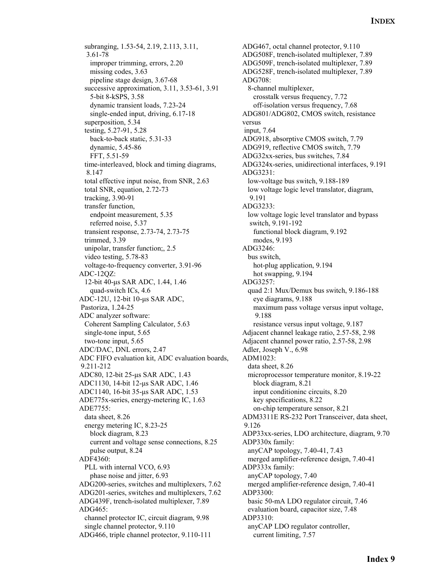subranging, 1.53-54, 2.19, 2.113, 3.11, 3.61-78 improper trimming, errors, 2.20 missing codes, 3.63 pipeline stage design, 3.67-68 successive approximation, 3.11, 3.53-61, 3.91 5-bit 8-kSPS, 3.58 dynamic transient loads, 7.23-24 single-ended input, driving, 6.17-18 superposition, 5.34 testing, 5.27-91, 5.28 back-to-back static, 5.31-33 dynamic, 5.45-86 FFT, 5.51-59 time-interleaved, block and timing diagrams, 8.147 total effective input noise, from SNR, 2.63 total SNR, equation, 2.72-73 tracking, 3.90-91 transfer function, endpoint measurement, 5.35 referred noise, 5.37 transient response, 2.73-74, 2.73-75 trimmed, 3.39 unipolar, transfer function;, 2.5 video testing, 5.78-83 voltage-to-frequency converter, 3.91-96 ADC-12QZ: 12-bit 40-µs SAR ADC, 1.44, 1.46 quad-switch ICs, 4.6 ADC-12U, 12-bit 10-µs SAR ADC, Pastoriza, 1.24-25 ADC analyzer software: Coherent Sampling Calculator, 5.63 single-tone input, 5.65 two-tone input, 5.65 ADC/DAC, DNL errors, 2.47 ADC FIFO evaluation kit, ADC evaluation boards, 9.211-212 ADC80, 12-bit 25-µs SAR ADC, 1.43 ADC1130, 14-bit 12-µs SAR ADC, 1.46 ADC1140, 16-bit 35-µs SAR ADC, 1.53 ADE775x-series, energy-metering IC, 1.63 ADE7755: data sheet, 8.26 energy metering IC, 8.23-25 block diagram, 8.23 current and voltage sense connections, 8.25 pulse output, 8.24 ADF4360: PLL with internal VCO, 6.93 phase noise and jitter, 6.93 ADG200-series, switches and multiplexers, 7.62 ADG201-series, switches and multiplexers, 7.62 ADG439F, trench-isolated multiplexer, 7.89 ADG465: channel protector IC, circuit diagram, 9.98 single channel protector, 9.110 ADG466, triple channel protector, 9.110-111

ADG467, octal channel protector, 9.110 ADG508F, trench-isolated multiplexer, 7.89 ADG509F, trench-isolated multiplexer, 7.89 ADG528F, trench-isolated multiplexer, 7.89 ADG708: 8-channel multiplexer, crosstalk versus frequency, 7.72 off-isolation versus frequency, 7.68 ADG801/ADG802, CMOS switch, resistance versus input, 7.64 ADG918, absorptive CMOS switch, 7.79 ADG919, reflective CMOS switch, 7.79 ADG32xx-series, bus switches, 7.84 ADG324x-series, unidirectional interfaces, 9.191 ADG3231: low-voltage bus switch, 9.188-189 low voltage logic level translator, diagram, 9.191 ADG3233: low voltage logic level translator and bypass switch, 9.191-192 functional block diagram, 9.192 modes, 9.193 ADG3246: bus switch, hot-plug application, 9.194 hot swapping, 9.194 ADG3257: quad 2:1 Mux/Demux bus switch, 9.186-188 eye diagrams, 9.188 maximum pass voltage versus input voltage, 9.188 resistance versus input voltage, 9.187 Adjacent channel leakage ratio, 2.57-58, 2.98 Adjacent channel power ratio, 2.57-58, 2.98 Adler, Joseph V., 6.98 ADM1023: data sheet, 8.26 microprocessor temperature monitor, 8.19-22 block diagram, 8.21 input conditioninc circuits, 8.20 key specifications, 8.22 on-chip temperature sensor, 8.21 ADM3311E RS-232 Port Transceiver, data sheet, 9.126 ADP33xx-series, LDO architecture, diagram, 9.70 ADP330x family: anyCAP topology, 7.40-41, 7.43 merged amplifier-reference design, 7.40-41 ADP333x family: anyCAP topology, 7.40 merged amplifier-reference design, 7.40-41 ADP3300: basic 50-mA LDO regulator circuit, 7.46 evaluation board, capacitor size, 7.48 ADP3310: anyCAP LDO regulator controller, current limiting, 7.57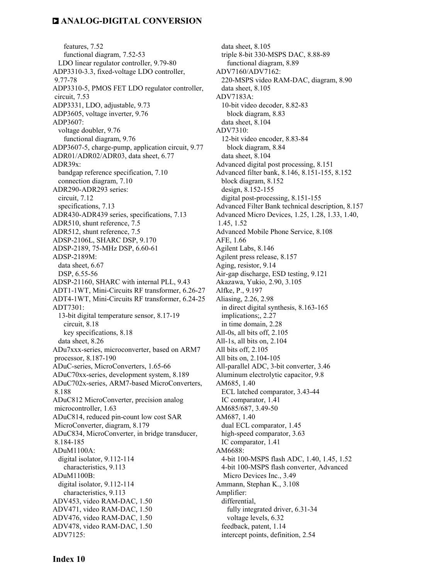features, 7.52 functional diagram, 7.52-53 LDO linear regulator controller, 9.79-80 ADP3310-3.3, fixed-voltage LDO controller, 9.77-78 ADP3310-5, PMOS FET LDO regulator controller, circuit, 7.53 ADP3331, LDO, adjustable, 9.73 ADP3605, voltage inverter, 9.76 ADP3607: voltage doubler, 9.76 functional diagram, 9.76 ADP3607-5, charge-pump, application circuit, 9.77 ADR01/ADR02/ADR03, data sheet, 6.77 ADR39x: bandgap reference specification, 7.10 connection diagram, 7.10 ADR290-ADR293 series: circuit, 7.12 specifications, 7.13 ADR430-ADR439 series, specifications, 7.13 ADR510, shunt reference, 7.5 ADR512, shunt reference, 7.5 ADSP-2106L, SHARC DSP, 9.170 ADSP-2189, 75-MHz DSP, 6.60-61 ADSP-2189M: data sheet, 6.67 DSP, 6.55-56 ADSP-21160, SHARC with internal PLL, 9.43 ADT1-1WT, Mini-Circuits RF transformer, 6.26-27 ADT4-1WT, Mini-Circuits RF transformer, 6.24-25 ADT7301: 13-bit digital temperature sensor, 8.17-19 circuit, 8.18 key specifications, 8.18 data sheet, 8.26 ADu7xxx-series, microconverter, based on ARM7 processor, 8.187-190 ADuC-series, MicroConverters, 1.65-66 ADuC70xx-series, development system, 8.189 ADuC702x-series, ARM7-based MicroConverters, 8.188 ADuC812 MicroConverter, precision analog microcontroller, 1.63 ADuC814, reduced pin-count low cost SAR MicroConverter, diagram, 8.179 ADuC834, MicroConverter, in bridge transducer, 8.184-185 ADuM1100A: digital isolator, 9.112-114 characteristics, 9.113 ADuM1100B: digital isolator, 9.112-114 characteristics, 9.113 ADV453, video RAM-DAC, 1.50 ADV471, video RAM-DAC, 1.50 ADV476, video RAM-DAC, 1.50 ADV478, video RAM-DAC, 1.50 ADV7125:

 data sheet, 8.105 triple 8-bit 330-MSPS DAC, 8.88-89 functional diagram, 8.89 ADV7160/ADV7162: 220-MSPS video RAM-DAC, diagram, 8.90 data sheet, 8.105 ADV7183A: 10-bit video decoder, 8.82-83 block diagram, 8.83 data sheet, 8.104 ADV7310: 12-bit video encoder, 8.83-84 block diagram, 8.84 data sheet, 8.104 Advanced digital post processing, 8.151 Advanced filter bank, 8.146, 8.151-155, 8.152 block diagram, 8.152 design, 8.152-155 digital post-processing, 8.151-155 Advanced Filter Bank technical description, 8.157 Advanced Micro Devices, 1.25, 1.28, 1.33, 1.40, 1.45, 1.52 Advanced Mobile Phone Service, 8.108 AFE, 1.66 Agilent Labs, 8.146 Agilent press release, 8.157 Aging, resistor, 9.14 Air-gap discharge, ESD testing, 9.121 Akazawa, Yukio, 2.90, 3.105 Alfke, P., 9.197 Aliasing, 2.26, 2.98 in direct digital synthesis, 8.163-165 implications;, 2.27 in time domain, 2.28 All-0s, all bits off, 2.105 All-1s, all bits on, 2.104 All bits off, 2.105 All bits on, 2.104-105 All-parallel ADC, 3-bit converter, 3.46 Aluminum electrolytic capacitor, 9.8 AM685, 1.40 ECL latched comparator, 3.43-44 IC comparator, 1.41 AM685/687, 3.49-50 AM687, 1.40 dual ECL comparator, 1.45 high-speed comparator, 3.63 IC comparator, 1.41 AM6688: 4-bit 100-MSPS flash ADC, 1.40, 1.45, 1.52 4-bit 100-MSPS flash converter, Advanced Micro Devices Inc., 3.49 Ammann, Stephan K., 3.108 Amplifier: differential, fully integrated driver, 6.31-34 voltage levels, 6.32 feedback, patent, 1.14 intercept points, definition, 2.54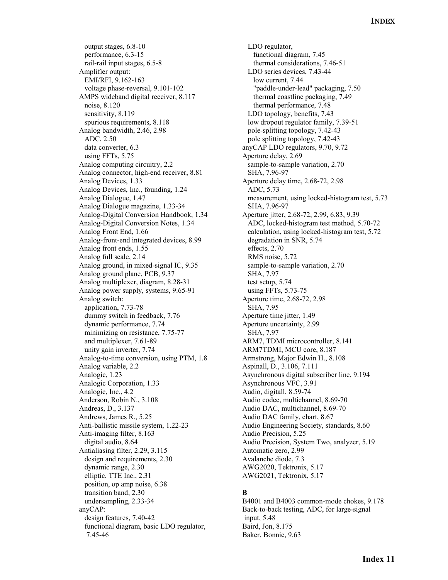output stages, 6.8-10 performance, 6.3-15 rail-rail input stages, 6.5-8 Amplifier output: EMI/RFI, 9.162-163 voltage phase-reversal, 9.101-102 AMPS wideband digital receiver, 8.117 noise, 8.120 sensitivity, 8.119 spurious requirements, 8.118 Analog bandwidth, 2.46, 2.98 ADC, 2.50 data converter, 6.3 using FFTs, 5.75 Analog computing circuitry, 2.2 Analog connector, high-end receiver, 8.81 Analog Devices, 1.33 Analog Devices, Inc., founding, 1.24 Analog Dialogue, 1.47 Analog Dialogue magazine, 1.33-34 Analog-Digital Conversion Handbook, 1.34 Analog-Digital Conversion Notes, 1.34 Analog Front End, 1.66 Analog-front-end integrated devices, 8.99 Analog front ends, 1.55 Analog full scale, 2.14 Analog ground, in mixed-signal IC, 9.35 Analog ground plane, PCB, 9.37 Analog multiplexer, diagram, 8.28-31 Analog power supply, systems, 9.65-91 Analog switch: application, 7.73-78 dummy switch in feedback, 7.76 dynamic performance, 7.74 minimizing on resistance, 7.75-77 and multiplexer, 7.61-89 unity gain inverter, 7.74 Analog-to-time conversion, using PTM, 1.8 Analog variable, 2.2 Analogic, 1.23 Analogic Corporation, 1.33 Analogic, Inc., 4.2 Anderson, Robin N., 3.108 Andreas, D., 3.137 Andrews, James R., 5.25 Anti-ballistic missile system, 1.22-23 Anti-imaging filter, 8.163 digital audio, 8.64 Antialiasing filter, 2.29, 3.115 design and requirements, 2.30 dynamic range, 2.30 elliptic, TTE Inc., 2.31 position, op amp noise, 6.38 transition band, 2.30 undersampling, 2.33-34 anyCAP: design features, 7.40-42 functional diagram, basic LDO regulator, 7.45-46

 LDO regulator, functional diagram, 7.45 thermal considerations, 7.46-51 LDO series devices, 7.43-44 low current, 7.44 "paddle-under-lead" packaging, 7.50 thermal coastline packaging, 7.49 thermal performance, 7.48 LDO topology, benefits, 7.43 low dropout regulator family, 7.39-51 pole-splitting topology, 7.42-43 pole splitting topology, 7.42-43 anyCAP LDO regulators, 9.70, 9.72 Aperture delay, 2.69 sample-to-sample variation, 2.70 SHA, 7.96-97 Aperture delay time, 2.68-72, 2.98 ADC, 5.73 measurement, using locked-histogram test, 5.73 SHA, 7.96-97 Aperture jitter, 2.68-72, 2.99, 6.83, 9.39 ADC, locked-histogram test method, 5.70-72 calculation, using locked-histogram test, 5.72 degradation in SNR, 5.74 effects, 2.70 RMS noise, 5.72 sample-to-sample variation, 2.70 SHA, 7.97 test setup, 5.74 using FFTs, 5.73-75 Aperture time, 2.68-72, 2.98 SHA, 7.95 Aperture time jitter, 1.49 Aperture uncertainty, 2.99 SHA, 7.97 ARM7, TDMI microcontroller, 8.141 ARM7TDMI, MCU core, 8.187 Armstrong, Major Edwin H., 8.108 Aspinall, D., 3.106, 7.111 Asynchronous digital subscriber line, 9.194 Asynchronous VFC, 3.91 Audio, digitall, 8.59-74 Audio codec, multichannel, 8.69-70 Audio DAC, multichannel, 8.69-70 Audio DAC family, chart, 8.67 Audio Engineering Society, standards, 8.60 Audio Precision, 5.25 Audio Precision, System Two, analyzer, 5.19 Automatic zero, 2.99 Avalanche diode, 7.3 AWG2020, Tektronix, 5.17 AWG2021, Tektronix, 5.17

#### **B**

B4001 and B4003 common-mode chokes, 9.178 Back-to-back testing, ADC, for large-signal input, 5.48 Baird, Jon, 8.175 Baker, Bonnie, 9.63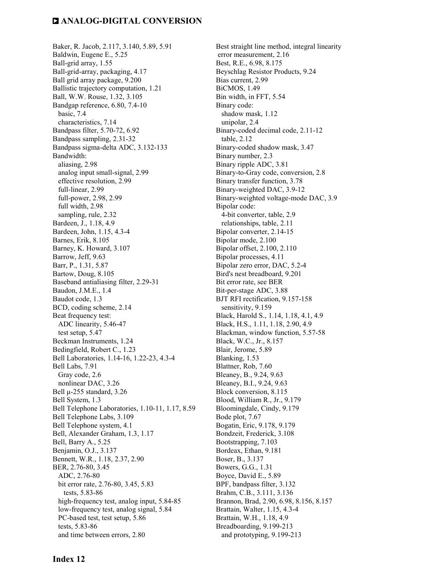Baker, R. Jacob, 2.117, 3.140, 5.89, 5.91 Baldwin, Eugene E., 5.25 Ball-grid array, 1.55 Ball-grid-array, packaging, 4.17 Ball grid array package, 9.200 Ballistic trajectory computation, 1.21 Ball, W.W. Rouse, 1.32, 3.105 Bandgap reference, 6.80, 7.4-10 basic, 7.4 characteristics, 7.14 Bandpass filter, 5.70-72, 6.92 Bandpass sampling, 2.31-32 Bandpass sigma-delta ADC, 3.132-133 Bandwidth: aliasing, 2.98 analog input small-signal, 2.99 effective resolution, 2.99 full-linear, 2.99 full-power, 2.98, 2.99 full width, 2.98 sampling, rule, 2.32 Bardeen, J., 1.18, 4.9 Bardeen, John, 1.15, 4.3-4 Barnes, Erik, 8.105 Barney, K. Howard, 3.107 Barrow, Jeff, 9.63 Barr, P., 1.31, 5.87 Bartow, Doug, 8.105 Baseband antialiasing filter, 2.29-31 Baudon, J.M.E., 1.4 Baudot code, 1.3 BCD, coding scheme, 2.14 Beat frequency test: ADC linearity, 5.46-47 test setup, 5.47 Beckman Instruments, 1.24 Bedingfield, Robert C., 1.23 Bell Laboratories, 1.14-16, 1.22-23, 4.3-4 Bell Labs, 7.91 Gray code, 2.6 nonlinear DAC, 3.26 Bell µ-255 standard, 3.26 Bell System, 1.3 Bell Telephone Laboratories, 1.10-11, 1.17, 8.59 Bell Telephone Labs, 3.109 Bell Telephone system, 4.1 Bell, Alexander Graham, 1.3, 1.17 Bell, Barry A., 5.25 Benjamin, O.J., 3.137 Bennett, W.R., 1.18, 2.37, 2.90 BER, 2.76-80, 3.45 ADC, 2.76-80 bit error rate, 2.76-80, 3.45, 5.83 tests, 5.83-86 high-frequency test, analog input, 5.84-85 low-frequency test, analog signal, 5.84 PC-based test, test setup, 5.86 tests, 5.83-86 and time between errors, 2.80

Best straight line method, integral linearity error measurement, 2.16 Best, R.E., 6.98, 8.175 Beyschlag Resistor Products, 9.24 Bias current, 2.99 BiCMOS, 1.49 Bin width, in FFT, 5.54 Binary code: shadow mask, 1.12 unipolar, 2.4 Binary-coded decimal code, 2.11-12 table, 2.12 Binary-coded shadow mask, 3.47 Binary number, 2.3 Binary ripple ADC, 3.81 Binary-to-Gray code, conversion, 2.8 Binary transfer function, 3.78 Binary-weighted DAC, 3.9-12 Binary-weighted voltage-mode DAC, 3.9 Bipolar code: 4-bit converter, table, 2.9 relationships, table, 2.11 Bipolar converter, 2.14-15 Bipolar mode, 2.100 Bipolar offset, 2.100, 2.110 Bipolar processes, 4.11 Bipolar zero error, DAC, 5.2-4 Bird's nest breadboard, 9.201 Bit error rate, see BER Bit-per-stage ADC, 3.88 BJT RFI rectification, 9.157-158 sensitivity, 9.159 Black, Harold S., 1.14, 1.18, 4.1, 4.9 Black, H.S., 1.11, 1.18, 2.90, 4.9 Blackman, window function, 5.57-58 Black, W.C., Jr., 8.157 Blair, Jerome, 5.89 Blanking, 1.53 Blattner, Rob, 7.60 Bleaney, B., 9.24, 9.63 Bleaney, B.I., 9.24, 9.63 Block conversion, 8.115 Blood, William R., Jr., 9.179 Bloomingdale, Cindy, 9.179 Bode plot, 7.67 Bogatin, Eric, 9.178, 9.179 Bondzeit, Frederick, 3.108 Bootstrapping, 7.103 Bordeax, Ethan, 9.181 Boser, B., 3.137 Bowers, G.G., 1.31 Boyce, David E., 5.89 BPF, bandpass filter, 3.132 Brahm, C.B., 3.111, 3.136 Brannon, Brad, 2.90, 6.98, 8.156, 8.157 Brattain, Walter, 1.15, 4.3-4 Brattain, W.H., 1.18, 4.9 Breadboarding, 9.199-213 and prototyping, 9.199-213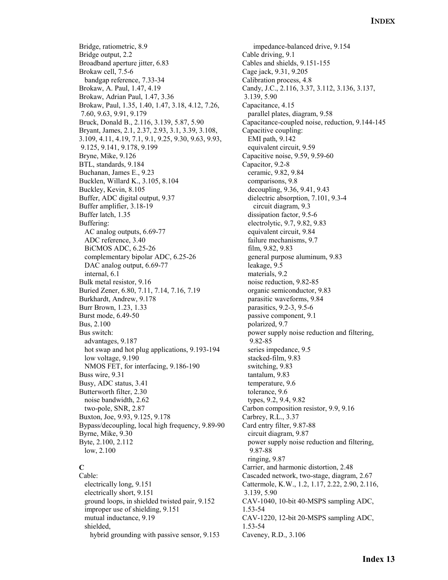Bridge, ratiometric, 8.9 Bridge output, 2.2 Broadband aperture jitter, 6.83 Brokaw cell, 7.5-6 bandgap reference, 7.33-34 Brokaw, A. Paul, 1.47, 4.19 Brokaw, Adrian Paul, 1.47, 3.36 Brokaw, Paul, 1.35, 1.40, 1.47, 3.18, 4.12, 7.26, 7.60, 9.63, 9.91, 9.179 Bruck, Donald B., 2.116, 3.139, 5.87, 5.90 Bryant, James, 2.1, 2.37, 2.93, 3.1, 3.39, 3.108, 3.109, 4.11, 4.19, 7.1, 9.1, 9.25, 9.30, 9.63, 9.93, 9.125, 9.141, 9.178, 9.199 Bryne, Mike, 9.126 BTL, standards, 9.184 Buchanan, James E., 9.23 Bucklen, Willard K., 3.105, 8.104 Buckley, Kevin, 8.105 Buffer, ADC digital output, 9.37 Buffer amplifier, 3.18-19 Buffer latch, 1.35 Buffering: AC analog outputs, 6.69-77 ADC reference, 3.40 BiCMOS ADC, 6.25-26 complementary bipolar ADC, 6.25-26 DAC analog output, 6.69-77 internal, 6.1 Bulk metal resistor, 9.16 Buried Zener, 6.80, 7.11, 7.14, 7.16, 7.19 Burkhardt, Andrew, 9.178 Burr Brown, 1.23, 1.33 Burst mode, 6.49-50 Bus, 2.100 Bus switch: advantages, 9.187 hot swap and hot plug applications, 9.193-194 low voltage, 9.190 NMOS FET, for interfacing, 9.186-190 Buss wire, 9.31 Busy, ADC status, 3.41 Butterworth filter, 2.30 noise bandwidth, 2.62 two-pole, SNR, 2.87 Buxton, Joe, 9.93, 9.125, 9.178 Bypass/decoupling, local high frequency, 9.89-90 Byrne, Mike, 9.30 Byte, 2.100, 2.112 low, 2.100

### **C**

Cable: electrically long, 9.151 electrically short, 9.151 ground loops, in shielded twisted pair, 9.152 improper use of shielding, 9.151 mutual inductance, 9.19 shielded, hybrid grounding with passive sensor, 9.153

 impedance-balanced drive, 9.154 Cable driving, 9.1 Cables and shields, 9.151-155 Cage jack, 9.31, 9.205 Calibration process, 4.8 Candy, J.C., 2.116, 3.37, 3.112, 3.136, 3.137, 3.139, 5.90 Capacitance, 4.15 parallel plates, diagram, 9.58 Capacitance-coupled noise, reduction, 9.144-145 Capacitive coupling: EMI path, 9.142 equivalent circuit, 9.59 Capacitive noise, 9.59, 9.59-60 Capacitor, 9.2-8 ceramic, 9.82, 9.84 comparisons, 9.8 decoupling, 9.36, 9.41, 9.43 dielectric absorption, 7.101, 9.3-4 circuit diagram, 9.3 dissipation factor, 9.5-6 electrolytic, 9.7, 9.82, 9.83 equivalent circuit, 9.84 failure mechanisms, 9.7 film, 9.82, 9.83 general purpose aluminum, 9.83 leakage, 9.5 materials, 9.2 noise reduction, 9.82-85 organic semiconductor, 9.83 parasitic waveforms, 9.84 parasitics, 9.2-3, 9.5-6 passive component, 9.1 polarized, 9.7 power supply noise reduction and filtering, 9.82-85 series impedance, 9.5 stacked-film, 9.83 switching, 9.83 tantalum, 9.83 temperature, 9.6 tolerance, 9.6 types, 9.2, 9.4, 9.82 Carbon composition resistor, 9.9, 9.16 Carbrey, R.L., 3.37 Card entry filter, 9.87-88 circuit diagram, 9.87 power supply noise reduction and filtering, 9.87-88 ringing, 9.87 Carrier, and harmonic distortion, 2.48 Cascaded network, two-stage, diagram, 2.67 Cattermole, K.W., 1.2, 1.17, 2.22, 2.90, 2.116, 3.139, 5.90 CAV-1040, 10-bit 40-MSPS sampling ADC, 1.53-54 CAV-1220, 12-bit 20-MSPS sampling ADC, 1.53-54 Caveney, R.D., 3.106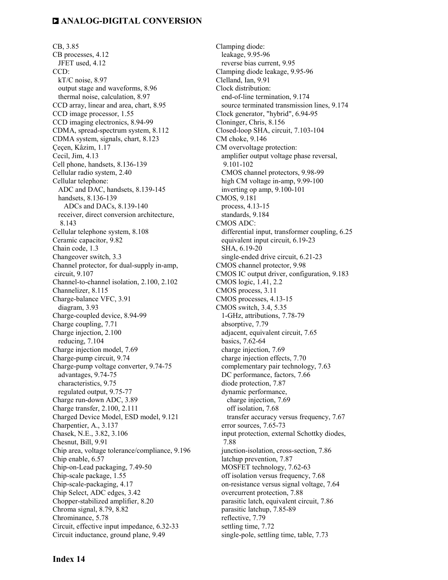CB, 3.85 CB processes, 4.12 JFET used, 4.12 CCD: kT/C noise, 8.97 output stage and waveforms, 8.96 thermal noise, calculation, 8.97 CCD array, linear and area, chart, 8.95 CCD image processor, 1.55 CCD imaging electronics, 8.94-99 CDMA, spread-spectrum system, 8.112 CDMA system, signals, chart, 8.123 Çeçen, Kâzim, 1.17 Cecil, Jim, 4.13 Cell phone, handsets, 8.136-139 Cellular radio system, 2.40 Cellular telephone: ADC and DAC, handsets, 8.139-145 handsets, 8.136-139 ADCs and DACs, 8.139-140 receiver, direct conversion architecture, 8.143 Cellular telephone system, 8.108 Ceramic capacitor, 9.82 Chain code, 1.3 Changeover switch, 3.3 Channel protector, for dual-supply in-amp, circuit, 9.107 Channel-to-channel isolation, 2.100, 2.102 Channelizer, 8.115 Charge-balance VFC, 3.91 diagram, 3.93 Charge-coupled device, 8.94-99 Charge coupling, 7.71 Charge injection, 2.100 reducing, 7.104 Charge injection model, 7.69 Charge-pump circuit, 9.74 Charge-pump voltage converter, 9.74-75 advantages, 9.74-75 characteristics, 9.75 regulated output, 9.75-77 Charge run-down ADC, 3.89 Charge transfer, 2.100, 2.111 Charged Device Model, ESD model, 9.121 Charpentier, A., 3.137 Chasek, N.E., 3.82, 3.106 Chesnut, Bill, 9.91 Chip area, voltage tolerance/compliance, 9.196 Chip enable, 6.57 Chip-on-Lead packaging, 7.49-50 Chip-scale package, 1.55 Chip-scale-packaging, 4.17 Chip Select, ADC edges, 3.42 Chopper-stabilized amplifier, 8.20 Chroma signal, 8.79, 8.82 Chrominance, 5.78 Circuit, effective input impedance, 6.32-33 Circuit inductance, ground plane, 9.49

Clamping diode: leakage, 9.95-96 reverse bias current, 9.95 Clamping diode leakage, 9.95-96 Clelland, Ian, 9.91 Clock distribution: end-of-line termination, 9.174 source terminated transmission lines, 9.174 Clock generator, "hybrid", 6.94-95 Cloninger, Chris, 8.156 Closed-loop SHA, circuit, 7.103-104 CM choke, 9.146 CM overvoltage protection: amplifier output voltage phase reversal, 9.101-102 CMOS channel protectors, 9.98-99 high CM voltage in-amp, 9.99-100 inverting op amp, 9.100-101 CMOS, 9.181 process, 4.13-15 standards, 9.184 CMOS ADC: differential input, transformer coupling, 6.25 equivalent input circuit, 6.19-23 SHA, 6.19-20 single-ended drive circuit, 6.21-23 CMOS channel protector, 9.98 CMOS IC output driver, configuration, 9.183 CMOS logic, 1.41, 2.2 CMOS process, 3.11 CMOS processes, 4.13-15 CMOS switch, 3.4, 5.35 1-GHz, attributions, 7.78-79 absorptive, 7.79 adjacent, equivalent circuit, 7.65 basics, 7.62-64 charge injection, 7.69 charge injection effects, 7.70 complementary pair technology, 7.63 DC performance, factors, 7.66 diode protection, 7.87 dynamic performance, charge injection, 7.69 off isolation, 7.68 transfer accuracy versus frequency, 7.67 error sources, 7.65-73 input protection, external Schottky diodes, 7.88 junction-isolation, cross-section, 7.86 latchup prevention, 7.87 MOSFET technology, 7.62-63 off isolation versus frequency, 7.68 on-resistance versus signal voltage, 7.64 overcurrent protection, 7.88 parasitic latch, equivalent circuit, 7.86 parasitic latchup, 7.85-89 reflective, 7.79 settling time, 7.72 single-pole, settling time, table, 7.73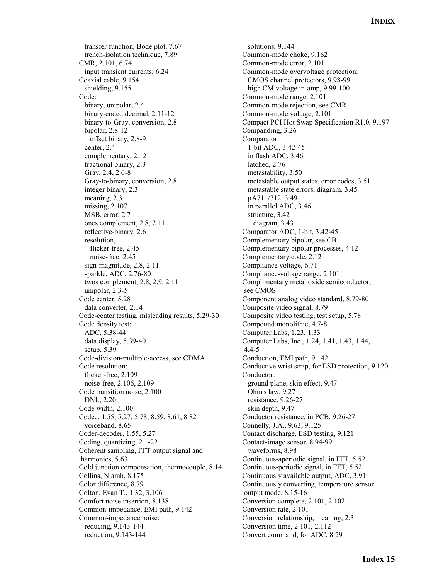transfer function, Bode plot, 7.67 trench-isolation technique, 7.89 CMR, 2.101, 6.74 input transient currents, 6.24 Coaxial cable, 9.154 shielding, 9.155 Code: binary, unipolar, 2.4 binary-coded decimal, 2.11-12 binary-to-Gray, conversion, 2.8 bipolar, 2.8-12 offset binary, 2.8-9 center, 2.4 complementary, 2.12 fractional binary, 2.3 Gray, 2.4, 2.6-8 Gray-to-binary, conversion, 2.8 integer binary, 2.3 meaning, 2.3 missing, 2.107 MSB, error, 2.7 ones complement, 2.8, 2.11 reflective-binary, 2.6 resolution, flicker-free, 2.45 noise-free, 2.45 sign-magnitude, 2.8, 2.11 sparkle, ADC, 2.76-80 twos complement, 2.8, 2.9, 2.11 unipolar, 2.3-5 Code center, 5.28 data converter, 2.14 Code-center testing, misleading results, 5.29-30 Code density test: ADC, 5.38-44 data display, 5.39-40 setup, 5.39 Code-division-multiple-access, see CDMA Code resolution: flicker-free, 2.109 noise-free, 2.106, 2.109 Code transition noise, 2.100 DNL, 2.20 Code width, 2.100 Codec, 1.55, 5.27, 5.78, 8.59, 8.61, 8.82 voiceband, 8.65 Coder-decoder, 1.55, 5.27 Coding, quantizing, 2.1-22 Coherent sampling, FFT output signal and harmonics, 5.63 Cold junction compensation, thermocouple, 8.14 Collins, Niamh, 8.175 Color difference, 8.79 Colton, Evan T., 1.32, 3.106 Comfort noise insertion, 8.138 Common-impedance, EMI path, 9.142 Common-impedance noise: reducing, 9.143-144 reduction, 9.143-144

 solutions, 9.144 Common-mode choke, 9.162 Common-mode error, 2.101 Common-mode overvoltage protection: CMOS channel protectors, 9.98-99 high CM voltage in-amp, 9.99-100 Common-mode range, 2.101 Common-mode rejection, see CMR Common-mode voltage, 2.101 Compact PCI Hot Swap Specification R1.0, 9.197 Companding, 3.26 Comparator: 1-bit ADC, 3.42-45 in flash ADC, 3.46 latched, 2.76 metastability, 3.50 metastable output states, error codes, 3.51 metastable state errors, diagram, 3.45 µA711/712, 3.49 in parallel ADC, 3.46 structure, 3.42 diagram, 3.43 Comparator ADC, 1-bit, 3.42-45 Complementary bipolar, see CB Complementary bipolar processes, 4.12 Complementary code, 2.12 Compliance voltage, 6.71 Compliance-voltage range, 2.101 Complimentary metal oxide semiconductor, see CMOS Component analog video standard, 8.79-80 Composite video signal, 8.79 Composite video testing, test setup, 5.78 Compound monolithic, 4.7-8 Computer Labs, 1.23, 1.33 Computer Labs, Inc., 1.24, 1.41, 1.43, 1.44, 4.4-5 Conduction, EMI path, 9.142 Conductive wrist strap, for ESD protection, 9.120 Conductor: ground plane, skin effect, 9.47 Ohm's law, 9.27 resistance, 9.26-27 skin depth, 9.47 Conductor resistance, in PCB, 9.26-27 Connelly, J.A., 9.63, 9.125 Contact discharge, ESD testing, 9.121 Contact-image sensor, 8.94-99 waveforms, 8.98 Continuous-aperiodic signal, in FFT, 5.52 Continuous-periodic signal, in FFT, 5.52 Continuously available output, ADC, 3.91 Continuously converting, temperature sensor output mode, 8.15-16 Conversion complete, 2.101, 2.102 Conversion rate, 2.101 Conversion relationship, meaning, 2.3 Conversion time, 2.101, 2.112 Convert command, for ADC, 8.29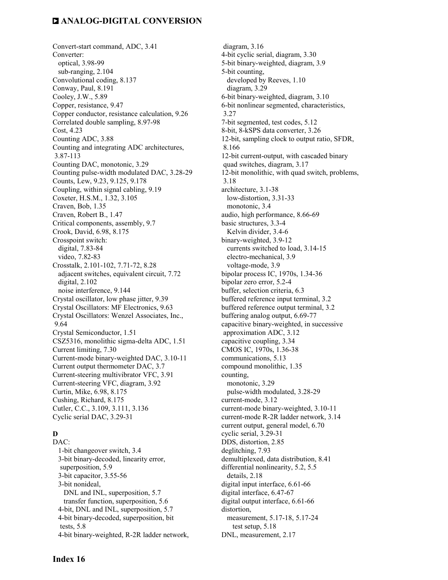Convert-start command, ADC, 3.41 Converter: optical, 3.98-99 sub-ranging, 2.104 Convolutional coding, 8.137 Conway, Paul, 8.191 Cooley, J.W., 5.89 Copper, resistance, 9.47 Copper conductor, resistance calculation, 9.26 Correlated double sampling, 8.97-98 Cost, 4.23 Counting ADC, 3.88 Counting and integrating ADC architectures, 3.87-113 Counting DAC, monotonic, 3.29 Counting pulse-width modulated DAC, 3.28-29 Counts, Lew, 9.23, 9.125, 9.178 Coupling, within signal cabling, 9.19 Coxeter, H.S.M., 1.32, 3.105 Craven, Bob, 1.35 Craven, Robert B., 1.47 Critical components, assembly, 9.7 Crook, David, 6.98, 8.175 Crosspoint switch: digital, 7.83-84 video, 7.82-83 Crosstalk, 2.101-102, 7.71-72, 8.28 adjacent switches, equivalent circuit, 7.72 digital, 2.102 noise interference, 9.144 Crystal oscillator, low phase jitter, 9.39 Crystal Oscillators: MF Electronics, 9.63 Crystal Oscillators: Wenzel Associates, Inc., 9.64 Crystal Semiconductor, 1.51 CSZ5316, monolithic sigma-delta ADC, 1.51 Current limiting, 7.30 Current-mode binary-weighted DAC, 3.10-11 Current output thermometer DAC, 3.7 Current-steering multivibrator VFC, 3.91 Current-steering VFC, diagram, 3.92 Curtin, Mike, 6.98, 8.175 Cushing, Richard, 8.175 Cutler, C.C., 3.109, 3.111, 3.136 Cyclic serial DAC, 3.29-31

#### **D**

DAC: 1-bit changeover switch, 3.4 3-bit binary-decoded, linearity error, superposition, 5.9 3-bit capacitor, 3.55-56 3-bit nonideal, DNL and INL, superposition, 5.7 transfer function, superposition, 5.6 4-bit, DNL and INL, superposition, 5.7 4-bit binary-decoded, superposition, bit tests, 5.8 4-bit binary-weighted, R-2R ladder network,

 diagram, 3.16 4-bit cyclic serial, diagram, 3.30 5-bit binary-weighted, diagram, 3.9 5-bit counting, developed by Reeves, 1.10 diagram, 3.29 6-bit binary-weighted, diagram, 3.10 6-bit nonlinear segmented, characteristics, 3.27 7-bit segmented, test codes, 5.12 8-bit, 8-kSPS data converter, 3.26 12-bit, sampling clock to output ratio, SFDR, 8.166 12-bit current-output, with cascaded binary quad switches, diagram, 3.17 12-bit monolithic, with quad switch, problems, 3.18 architecture, 3.1-38 low-distortion, 3.31-33 monotonic, 3.4 audio, high performance, 8.66-69 basic structures, 3.3-4 Kelvin divider, 3.4-6 binary-weighted, 3.9-12 currents switched to load, 3.14-15 electro-mechanical, 3.9 voltage-mode, 3.9 bipolar process IC, 1970s, 1.34-36 bipolar zero error, 5.2-4 buffer, selection criteria, 6.3 buffered reference input terminal, 3.2 buffered reference output terminal, 3.2 buffering analog output, 6.69-77 capacitive binary-weighted, in successive approximation ADC, 3.12 capacitive coupling, 3.34 CMOS IC, 1970s, 1.36-38 communications, 5.13 compound monolithic, 1.35 counting, monotonic, 3.29 pulse-width modulated, 3.28-29 current-mode, 3.12 current-mode binary-weighted, 3.10-11 current-mode R-2R ladder network, 3.14 current output, general model, 6.70 cyclic serial, 3.29-31 DDS, distortion, 2.85 deglitching, 7.93 demultiplexed, data distribution, 8.41 differential nonlinearity, 5.2, 5.5 details, 2.18 digital input interface, 6.61-66 digital interface, 6.47-67 digital output interface, 6.61-66 distortion, measurement, 5.17-18, 5.17-24 test setup, 5.18 DNL, measurement, 2.17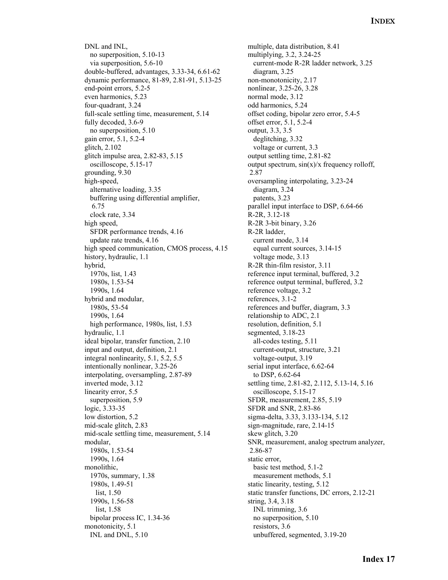DNL and INL, no superposition, 5.10-13 via superposition, 5.6-10 double-buffered, advantages, 3.33-34, 6.61-62 dynamic performance, 81-89, 2.81-91, 5.13-25 end-point errors, 5.2-5 even harmonics, 5.23 four-quadrant, 3.24 full-scale settling time, measurement, 5.14 fully decoded, 3.6-9 no superposition, 5.10 gain error, 5.1, 5.2-4 glitch, 2.102 glitch impulse area, 2.82-83, 5.15 oscilloscope, 5.15-17 grounding, 9.30 high-speed, alternative loading, 3.35 buffering using differential amplifier, 6.75 clock rate, 3.34 high speed, SFDR performance trends, 4.16 update rate trends, 4.16 high speed communication, CMOS process, 4.15 history, hydraulic, 1.1 hybrid, 1970s, list, 1.43 1980s, 1.53-54 1990s, 1.64 hybrid and modular, 1980s, 53-54 1990s, 1.64 high performance, 1980s, list, 1.53 hydraulic, 1.1 ideal bipolar, transfer function, 2.10 input and output, definition, 2.1 integral nonlinearity, 5.1, 5.2, 5.5 intentionally nonlinear, 3.25-26 interpolating, oversampling, 2.87-89 inverted mode, 3.12 linearity error, 5.5 superposition, 5.9 logic, 3.33-35 low distortion, 5.2 mid-scale glitch, 2.83 mid-scale settling time, measurement, 5.14 modular, 1980s, 1.53-54 1990s, 1.64 monolithic, 1970s, summary, 1.38 1980s, 1.49-51 list, 1.50 1990s, 1.56-58 list, 1.58 bipolar process IC, 1.34-36 monotonicity, 5.1 INL and DNL, 5.10

 multiple, data distribution, 8.41 multiplying, 3.2, 3.24-25 current-mode R-2R ladder network, 3.25 diagram, 3.25 non-monotonicity, 2.17 nonlinear, 3.25-26, 3.28 normal mode, 3.12 odd harmonics, 5.24 offset coding, bipolar zero error, 5.4-5 offset error, 5.1, 5.2-4 output, 3.3, 3.5 deglitching, 3.32 voltage or current, 3.3 output settling time, 2.81-82 output spectrum,  $sin(x)/x$  frequency rolloff, 2.87 oversampling interpolating, 3.23-24 diagram, 3.24 patents, 3.23 parallel input interface to DSP, 6.64-66 R-2R, 3.12-18 R-2R 3-bit binary, 3.26 R-2R ladder, current mode, 3.14 equal current sources, 3.14-15 voltage mode, 3.13 R-2R thin-film resistor, 3.11 reference input terminal, buffered, 3.2 reference output terminal, buffered, 3.2 reference voltage, 3.2 references, 3.1-2 references and buffer, diagram, 3.3 relationship to ADC, 2.1 resolution, definition, 5.1 segmented, 3.18-23 all-codes testing, 5.11 current-output, structure, 3.21 voltage-output, 3.19 serial input interface, 6.62-64 to DSP, 6.62-64 settling time, 2.81-82, 2.112, 5.13-14, 5.16 oscilloscope, 5.15-17 SFDR, measurement, 2.85, 5.19 SFDR and SNR, 2.83-86 sigma-delta, 3.33, 3.133-134, 5.12 sign-magnitude, rare, 2.14-15 skew glitch, 3.20 SNR, measurement, analog spectrum analyzer, 2.86-87 static error, basic test method, 5.1-2 measurement methods, 5.1 static linearity, testing, 5.12 static transfer functions, DC errors, 2.12-21 string, 3.4, 3.18 INL trimming, 3.6 no superposition, 5.10 resistors, 3.6 unbuffered, segmented, 3.19-20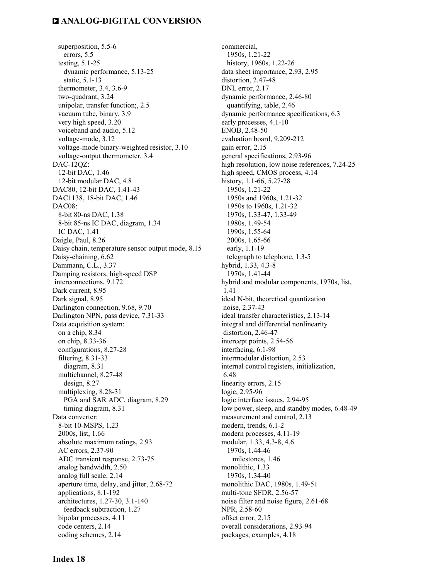superposition, 5.5-6 errors, 5.5 testing, 5.1-25 dynamic performance, 5.13-25 static, 5.1-13 thermometer, 3.4, 3.6-9 two-quadrant, 3.24 unipolar, transfer function;, 2.5 vacuum tube, binary, 3.9 very high speed, 3.20 voiceband and audio, 5.12 voltage-mode, 3.12 voltage-mode binary-weighted resistor, 3.10 voltage-output thermometer, 3.4 DAC-12QZ: 12-bit DAC, 1.46 12-bit modular DAC, 4.8 DAC80, 12-bit DAC, 1.41-43 DAC1138, 18-bit DAC, 1.46 DAC08: 8-bit 80-ns DAC, 1.38 8-bit 85-ns IC DAC, diagram, 1.34 IC DAC, 1.41 Daigle, Paul, 8.26 Daisy chain, temperature sensor output mode, 8.15 Daisy-chaining, 6.62 Dammann, C.L., 3.37 Damping resistors, high-speed DSP interconnections, 9.172 Dark current, 8.95 Dark signal, 8.95 Darlington connection, 9.68, 9.70 Darlington NPN, pass device, 7.31-33 Data acquisition system: on a chip, 8.34 on chip, 8.33-36 configurations, 8.27-28 filtering, 8.31-33 diagram, 8.31 multichannel, 8.27-48 design, 8.27 multiplexing, 8.28-31 PGA and SAR ADC, diagram, 8.29 timing diagram, 8.31 Data converter: 8-bit 10-MSPS, 1.23 2000s, list, 1.66 absolute maximum ratings, 2.93 AC errors, 2.37-90 ADC transient response, 2.73-75 analog bandwidth, 2.50 analog full scale, 2.14 aperture time, delay, and jitter, 2.68-72 applications, 8.1-192 architectures, 1.27-30, 3.1-140 feedback subtraction, 1.27 bipolar processes, 4.11 code centers, 2.14 coding schemes, 2.14

 commercial, 1950s, 1.21-22 history, 1960s, 1.22-26 data sheet importance, 2.93, 2.95 distortion, 2.47-48 DNL error, 2.17 dynamic performance, 2.46-80 quantifying, table, 2.46 dynamic performance specifications, 6.3 early processes, 4.1-10 ENOB, 2.48-50 evaluation board, 9.209-212 gain error, 2.15 general specifications, 2.93-96 high resolution, low noise references, 7.24-25 high speed, CMOS process, 4.14 history, 1.1-66, 5.27-28 1950s, 1.21-22 1950s and 1960s, 1.21-32 1950s to 1960s, 1.21-32 1970s, 1.33-47, 1.33-49 1980s, 1.49-54 1990s, 1.55-64 2000s, 1.65-66 early, 1.1-19 telegraph to telephone, 1.3-5 hybrid, 1.33, 4.3-8 1970s, 1.41-44 hybrid and modular components, 1970s, list, 1.41 ideal N-bit, theoretical quantization noise, 2.37-43 ideal transfer characteristics, 2.13-14 integral and differential nonlinearity distortion, 2.46-47 intercept points, 2.54-56 interfacing, 6.1-98 intermodular distortion, 2.53 internal control registers, initialization, 6.48 linearity errors, 2.15 logic, 2.95-96 logic interface issues, 2.94-95 low power, sleep, and standby modes, 6.48-49 measurement and control, 2.13 modern, trends, 6.1-2 modern processes, 4.11-19 modular, 1.33, 4.3-8, 4.6 1970s, 1.44-46 milestones, 1.46 monolithic, 1.33 1970s, 1.34-40 monolithic DAC, 1980s, 1.49-51 multi-tone SFDR, 2.56-57 noise filter and noise figure, 2.61-68 NPR, 2.58-60 offset error, 2.15 overall considerations, 2.93-94 packages, examples, 4.18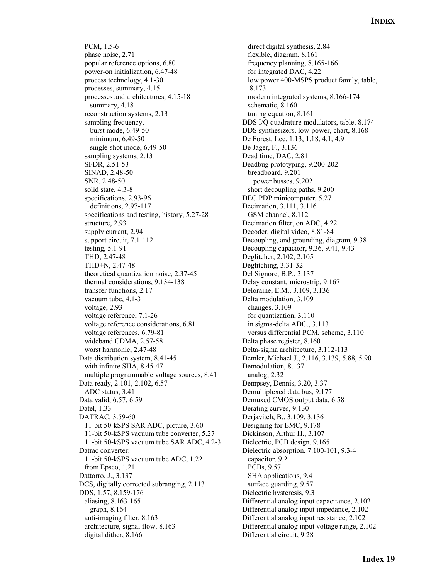PCM, 1.5-6 phase noise, 2.71 popular reference options, 6.80 power-on initialization, 6.47-48 process technology, 4.1-30 processes, summary, 4.15 processes and architectures, 4.15-18 summary, 4.18 reconstruction systems, 2.13 sampling frequency, burst mode, 6.49-50 minimum, 6.49-50 single-shot mode, 6.49-50 sampling systems, 2.13 SFDR, 2.51-53 SINAD, 2.48-50 SNR, 2.48-50 solid state, 4.3-8 specifications, 2.93-96 definitions, 2.97-117 specifications and testing, history, 5.27-28 structure, 2.93 supply current, 2.94 support circuit, 7.1-112 testing, 5.1-91 THD, 2.47-48 THD+N, 2.47-48 theoretical quantization noise, 2.37-45 thermal considerations, 9.134-138 transfer functions, 2.17 vacuum tube, 4.1-3 voltage, 2.93 voltage reference, 7.1-26 voltage reference considerations, 6.81 voltage references, 6.79-81 wideband CDMA, 2.57-58 worst harmonic, 2.47-48 Data distribution system, 8.41-45 with infinite SHA, 8.45-47 multiple programmable voltage sources, 8.41 Data ready, 2.101, 2.102, 6.57 ADC status, 3.41 Data valid, 6.57, 6.59 Datel, 1.33 DATRAC, 3.59-60 11-bit 50-kSPS SAR ADC, picture, 3.60 11-bit 50-kSPS vacuum tube converter, 5.27 11-bit 50-kSPS vacuum tube SAR ADC, 4.2-3 Datrac converter: 11-bit 50-kSPS vacuum tube ADC, 1.22 from Epsco, 1.21 Dattorro, J., 3.137 DCS, digitally corrected subranging, 2.113 DDS, 1.57, 8.159-176 aliasing, 8.163-165 graph, 8.164 anti-imaging filter, 8.163 architecture, signal flow, 8.163 digital dither, 8.166

 direct digital synthesis, 2.84 flexible, diagram, 8.161 frequency planning, 8.165-166 for integrated DAC, 4.22 low power 400-MSPS product family, table, 8.173 modern integrated systems, 8.166-174 schematic, 8.160 tuning equation, 8.161 DDS I/Q quadrature modulators, table, 8.174 DDS synthesizers, low-power, chart, 8.168 De Forest, Lee, 1.13, 1.18, 4.1, 4.9 De Jager, F., 3.136 Dead time, DAC, 2.81 Deadbug prototyping, 9.200-202 breadboard, 9.201 power busses, 9.202 short decoupling paths, 9.200 DEC PDP minicomputer, 5.27 Decimation, 3.111, 3.116 GSM channel, 8.112 Decimation filter, on ADC, 4.22 Decoder, digital video, 8.81-84 Decoupling, and grounding, diagram, 9.38 Decoupling capacitor, 9.36, 9.41, 9.43 Deglitcher, 2.102, 2.105 Deglitching, 3.31-32 Del Signore, B.P., 3.137 Delay constant, microstrip, 9.167 Deloraine, E.M., 3.109, 3.136 Delta modulation, 3.109 changes, 3.109 for quantization, 3.110 in sigma-delta ADC., 3.113 versus differential PCM, scheme, 3.110 Delta phase register, 8.160 Delta-sigma architecture, 3.112-113 Demler, Michael J., 2.116, 3.139, 5.88, 5.90 Demodulation, 8.137 analog, 2.32 Dempsey, Dennis, 3.20, 3.37 Demultiplexed data bus, 9.177 Demuxed CMOS output data, 6.58 Derating curves, 9.130 Derjavitch, B., 3.109, 3.136 Designing for EMC, 9.178 Dickinson, Arthur H., 3.107 Dielectric, PCB design, 9.165 Dielectric absorption, 7.100-101, 9.3-4 capacitor, 9.2 PCBs, 9.57 SHA applications, 9.4 surface guarding, 9.57 Dielectric hysteresis, 9.3 Differential analog input capacitance, 2.102 Differential analog input impedance, 2.102 Differential analog input resistance, 2.102 Differential analog input voltage range, 2.102 Differential circuit, 9.28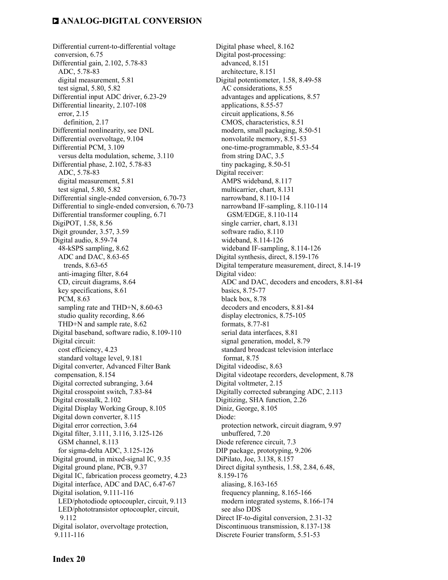Differential current-to-differential voltage conversion, 6.75 Differential gain, 2.102, 5.78-83 ADC, 5.78-83 digital measurement, 5.81 test signal, 5.80, 5.82 Differential input ADC driver, 6.23-29 Differential linearity, 2.107-108 error, 2.15 definition, 2.17 Differential nonlinearity, see DNL Differential overvoltage, 9.104 Differential PCM, 3.109 versus delta modulation, scheme, 3.110 Differential phase, 2.102, 5.78-83 ADC, 5.78-83 digital measurement, 5.81 test signal, 5.80, 5.82 Differential single-ended conversion, 6.70-73 Differential to single-ended conversion, 6.70-73 Differential transformer coupling, 6.71 DigiPOT, 1.58, 8.56 Digit grounder, 3.57, 3.59 Digital audio, 8.59-74 48-kSPS sampling, 8.62 ADC and DAC, 8.63-65 trends, 8.63-65 anti-imaging filter, 8.64 CD, circuit diagrams, 8.64 key specifications, 8.61 PCM, 8.63 sampling rate and THD+N, 8.60-63 studio quality recording, 8.66 THD+N and sample rate, 8.62 Digital baseband, software radio, 8.109-110 Digital circuit: cost efficiency, 4.23 standard voltage level, 9.181 Digital converter, Advanced Filter Bank compensation, 8.154 Digital corrected subranging, 3.64 Digital crosspoint switch, 7.83-84 Digital crosstalk, 2.102 Digital Display Working Group, 8.105 Digital down converter, 8.115 Digital error correction, 3.64 Digital filter, 3.111, 3.116, 3.125-126 GSM channel, 8.113 for sigma-delta ADC, 3.125-126 Digital ground, in mixed-signal IC, 9.35 Digital ground plane, PCB, 9.37 Digital IC, fabrication process geometry, 4.23 Digital interface, ADC and DAC, 6.47-67 Digital isolation, 9.111-116 LED/photodiode optocoupler, circuit, 9.113 LED/phototransistor optocoupler, circuit, 9.112 Digital isolator, overvoltage protection, 9.111-116

Digital phase wheel, 8.162 Digital post-processing: advanced, 8.151 architecture, 8.151 Digital potentiometer, 1.58, 8.49-58 AC considerations, 8.55 advantages and applications, 8.57 applications, 8.55-57 circuit applications, 8.56 CMOS, characteristics, 8.51 modern, small packaging, 8.50-51 nonvolatile memory, 8.51-53 one-time-programmable, 8.53-54 from string DAC, 3.5 tiny packaging, 8.50-51 Digital receiver: AMPS wideband, 8.117 multicarrier, chart, 8.131 narrowband, 8.110-114 narrowband IF-sampling, 8.110-114 GSM/EDGE, 8.110-114 single carrier, chart, 8.131 software radio, 8.110 wideband, 8.114-126 wideband IF-sampling, 8.114-126 Digital synthesis, direct, 8.159-176 Digital temperature measurement, direct, 8.14-19 Digital video: ADC and DAC, decoders and encoders, 8.81-84 basics, 8.75-77 black box, 8.78 decoders and encoders, 8.81-84 display electronics, 8.75-105 formats, 8.77-81 serial data interfaces, 8.81 signal generation, model, 8.79 standard broadcast television interlace format, 8.75 Digital videodisc, 8.63 Digital videotape recorders, development, 8.78 Digital voltmeter, 2.15 Digitally corrected subranging ADC, 2.113 Digitizing, SHA function, 2.26 Diniz, George, 8.105 Diode: protection network, circuit diagram, 9.97 unbuffered, 7.20 Diode reference circuit, 7.3 DIP package, prototyping, 9.206 DiPilato, Joe, 3.138, 8.157 Direct digital synthesis, 1.58, 2.84, 6.48, 8.159-176 aliasing, 8.163-165 frequency planning, 8.165-166 modern integrated systems, 8.166-174 see also DDS Direct IF-to-digital conversion, 2.31-32 Discontinuous transmission, 8.137-138 Discrete Fourier transform, 5.51-53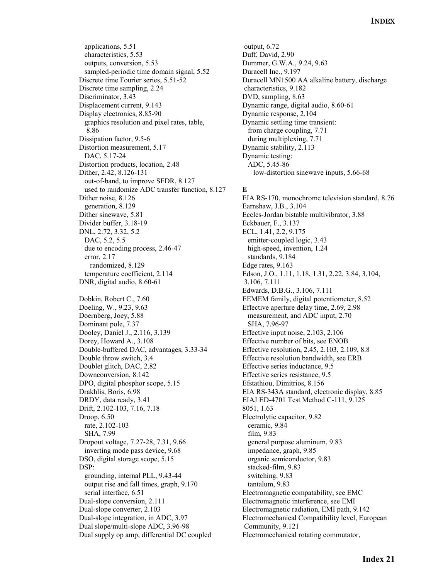applications, 5.51 characteristics, 5.53 outputs, conversion, 5.53 sampled-periodic time domain signal, 5.52 Discrete time Fourier series, 5.51-52 Discrete time sampling, 2.24 Discriminator, 3.43 Displacement current, 9.143 Display electronics, 8.85-90 graphics resolution and pixel rates, table, 8.86 Dissipation factor, 9.5-6 Distortion measurement, 5.17 DAC, 5.17-24 Distortion products, location, 2.48 Dither, 2.42, 8.126-131 out-of-band, to improve SFDR, 8.127 used to randomize ADC transfer function, 8.127 Dither noise, 8.126 generation, 8.129 Dither sinewave, 5.81 Divider buffer, 3.18-19 DNL, 2.72, 3.32, 5.2 DAC, 5.2, 5.5 due to encoding process, 2.46-47 error, 2.17 randomized, 8.129 temperature coefficient, 2.114 DNR, digital audio, 8.60-61 Dobkin, Robert C., 7.60 Doeling, W., 9.23, 9.63 Doernberg, Joey, 5.88 Dominant pole, 7.37 Dooley, Daniel J., 2.116, 3.139 Dorey, Howard A., 3.108 Double-buffered DAC, advantages, 3.33-34 Double throw switch, 3.4 Doublet glitch, DAC, 2.82 Downconversion, 8.142 DPO, digital phosphor scope, 5.15 Drakhlis, Boris, 6.98 DRDY, data ready, 3.41 Drift, 2.102-103, 7.16, 7.18 Droop, 6.50 rate, 2.102-103 SHA, 7.99 Dropout voltage, 7.27-28, 7.31, 9.66 inverting mode pass device, 9.68 DSO, digital storage scope, 5.15 DSP: grounding, internal PLL, 9.43-44 output rise and fall times, graph, 9.170 serial interface, 6.51 Dual-slope conversion, 2.111 Dual-slope converter, 2.103 Dual-slope integration, in ADC, 3.97 Dual slope/multi-slope ADC, 3.96-98 Dual supply op amp, differential DC coupled

 output, 6.72 Duff, David, 2.90 Dummer, G.W.A., 9.24, 9.63 Duracell Inc., 9.197 Duracell MN1500 AA alkaline battery, discharge characteristics, 9.182 DVD, sampling, 8.63 Dynamic range, digital audio, 8.60-61 Dynamic response, 2.104 Dynamic settling time transient: from charge coupling, 7.71 during multiplexing, 7.71 Dynamic stability, 2.113 Dynamic testing: ADC, 5.45-86 low-distortion sinewave inputs, 5.66-68

#### **E**

EIA RS-170, monochrome television standard, 8.76 Earnshaw, J.B., 3.104 Eccles-Jordan bistable multivibrator, 3.88 Eckbauer, F., 3.137 ECL, 1.41, 2.2, 9.175 emitter-coupled logic, 3.43 high-speed, invention, 1.24 standards, 9.184 Edge rates, 9.163 Edson, J.O., 1.11, 1.18, 1.31, 2.22, 3.84, 3.104, 3.106, 7.111 Edwards, D.B.G., 3.106, 7.111 EEMEM family, digital potentiometer, 8.52 Effective aperture delay time, 2.69, 2.98 measurement, and ADC input, 2.70 SHA, 7.96-97 Effective input noise, 2.103, 2.106 Effective number of bits, see ENOB Effective resolution, 2.45, 2.103, 2.109, 8.8 Effective resolution bandwidth, see ERB Effective series inductance, 9.5 Effective series resistance, 9.5 Efstathiou, Dimitrios, 8.156 EIA RS-343A standard, electronic display, 8.85 EIAJ ED-4701 Test Method C-111, 9.125 8051, 1.63 Electrolytic capacitor, 9.82 ceramic, 9.84 film, 9.83 general purpose aluminum, 9.83 impedance, graph, 9.85 organic semiconductor, 9.83 stacked-film, 9.83 switching, 9.83 tantalum, 9.83 Electromagnetic compatability, see EMC Electromagnetic interference, see EMI Electromagnetic radiation, EMI path, 9.142 Electromechanical Compatibility level, European Community, 9.121 Electromechanical rotating commutator,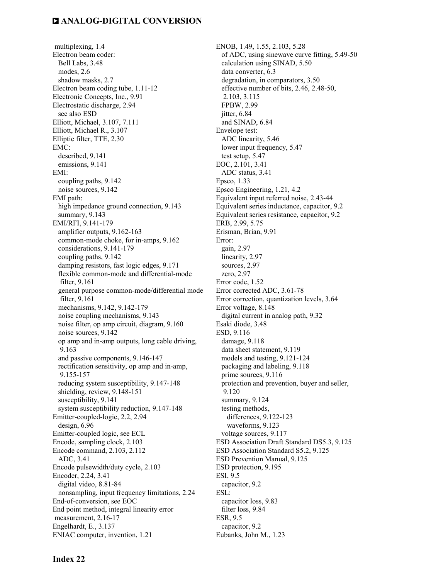multiplexing, 1.4 Electron beam coder: Bell Labs, 3.48 modes, 2.6 shadow masks, 2.7 Electron beam coding tube, 1.11-12 Electronic Concepts, Inc., 9.91 Electrostatic discharge, 2.94 see also ESD Elliott, Michael, 3.107, 7.111 Elliott, Michael R., 3.107 Elliptic filter, TTE, 2.30 EMC: described, 9.141 emissions, 9.141 EMI: coupling paths, 9.142 noise sources, 9.142 EMI path: high impedance ground connection, 9.143 summary, 9.143 EMI/RFI, 9.141-179 amplifier outputs, 9.162-163 common-mode choke, for in-amps, 9.162 considerations, 9.141-179 coupling paths, 9.142 damping resistors, fast logic edges, 9.171 flexible common-mode and differential-mode filter, 9.161 general purpose common-mode/differential mode filter, 9.161 mechanisms, 9.142, 9.142-179 noise coupling mechanisms, 9.143 noise filter, op amp circuit, diagram, 9.160 noise sources, 9.142 op amp and in-amp outputs, long cable driving, 9.163 and passive components, 9.146-147 rectification sensitivity, op amp and in-amp, 9.155-157 reducing system susceptibility, 9.147-148 shielding, review, 9.148-151 susceptibility, 9.141 system susceptibility reduction, 9.147-148 Emitter-coupled-logic, 2.2, 2.94 design, 6.96 Emitter-coupled logic, see ECL Encode, sampling clock, 2.103 Encode command, 2.103, 2.112 ADC, 3.41 Encode pulsewidth/duty cycle, 2.103 Encoder, 2.24, 3.41 digital video, 8.81-84 nonsampling, input frequency limitations, 2.24 End-of-conversion, see EOC End point method, integral linearity error measurement, 2.16-17 Engelhardt, E., 3.137 ENIAC computer, invention, 1.21

ENOB, 1.49, 1.55, 2.103, 5.28 of ADC, using sinewave curve fitting, 5.49-50 calculation using SINAD, 5.50 data converter, 6.3 degradation, in comparators, 3.50 effective number of bits, 2.46, 2.48-50, 2.103, 3.115 FPBW, 2.99 jitter, 6.84 and SINAD, 6.84 Envelope test: ADC linearity, 5.46 lower input frequency, 5.47 test setup, 5.47 EOC, 2.101, 3.41 ADC status, 3.41 Epsco, 1.33 Epsco Engineering, 1.21, 4.2 Equivalent input referred noise, 2.43-44 Equivalent series inductance, capacitor, 9.2 Equivalent series resistance, capacitor, 9.2 ERB, 2.99, 5.75 Erisman, Brian, 9.91 Error: gain, 2.97 linearity, 2.97 sources, 2.97 zero, 2.97 Error code, 1.52 Error corrected ADC, 3.61-78 Error correction, quantization levels, 3.64 Error voltage, 8.148 digital current in analog path, 9.32 Esaki diode, 3.48 ESD, 9.116 damage, 9.118 data sheet statement, 9.119 models and testing, 9.121-124 packaging and labeling, 9.118 prime sources, 9.116 protection and prevention, buyer and seller, 9.120 summary, 9.124 testing methods, differences, 9.122-123 waveforms, 9.123 voltage sources, 9.117 ESD Association Draft Standard DS5.3, 9.125 ESD Association Standard S5.2, 9.125 ESD Prevention Manual, 9.125 ESD protection, 9.195 ESI, 9.5 capacitor, 9.2 ESL: capacitor loss, 9.83 filter loss, 9.84 ESR, 9.5 capacitor, 9.2

Eubanks, John M., 1.23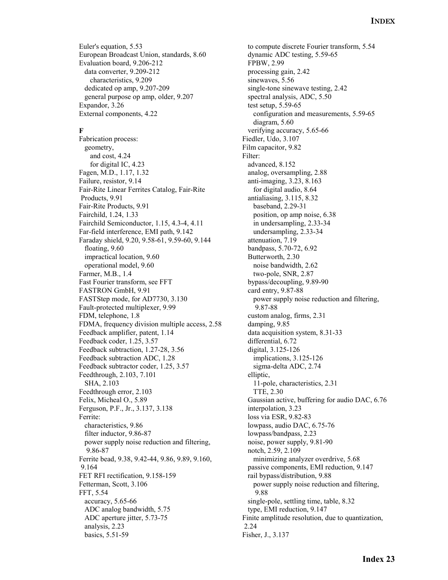Euler's equation, 5.53 European Broadcast Union, standards, 8.60 Evaluation board, 9.206-212 data converter, 9.209-212 characteristics, 9.209 dedicated op amp, 9.207-209 general purpose op amp, older, 9.207 Expandor, 3.26 External components, 4.22

#### **F**

Fabrication process: geometry, and cost, 4.24 for digital IC, 4.23 Fagen, M.D., 1.17, 1.32 Failure, resistor, 9.14 Fair-Rite Linear Ferrites Catalog, Fair-Rite Products, 9.91 Fair-Rite Products, 9.91 Fairchild, 1.24, 1.33 Fairchild Semiconductor, 1.15, 4.3-4, 4.11 Far-field interference, EMI path, 9.142 Faraday shield, 9.20, 9.58-61, 9.59-60, 9.144 floating, 9.60 impractical location, 9.60 operational model, 9.60 Farmer, M.B., 1.4 Fast Fourier transform, see FFT FASTRON GmbH, 9.91 FASTStep mode, for AD7730, 3.130 Fault-protected multiplexer, 9.99 FDM, telephone, 1.8 FDMA, frequency division multiple access, 2.58 Feedback amplifier, patent, 1.14 Feedback coder, 1.25, 3.57 Feedback subtraction, 1.27-28, 3.56 Feedback subtraction ADC, 1.28 Feedback subtractor coder, 1.25, 3.57 Feedthrough, 2.103, 7.101 SHA, 2.103 Feedthrough error, 2.103 Felix, Micheal O., 5.89 Ferguson, P.F., Jr., 3.137, 3.138 Ferrite: characteristics, 9.86 filter inductor, 9.86-87 power supply noise reduction and filtering, 9.86-87 Ferrite bead, 9.38, 9.42-44, 9.86, 9.89, 9.160, 9.164 FET RFI rectification, 9.158-159 Fetterman, Scott, 3.106 FFT, 5.54 accuracy, 5.65-66 ADC analog bandwidth, 5.75 ADC aperture jitter, 5.73-75 analysis, 2.23 basics, 5.51-59

 to compute discrete Fourier transform, 5.54 dynamic ADC testing, 5.59-65 FPBW, 2.99 processing gain, 2.42 sinewaves, 5.56 single-tone sinewave testing, 2.42 spectral analysis, ADC, 5.50 test setup, 5.59-65 configuration and measurements, 5.59-65 diagram, 5.60 verifying accuracy, 5.65-66 Fiedler, Udo, 3.107 Film capacitor, 9.82 Filter: advanced, 8.152 analog, oversampling, 2.88 anti-imaging, 3.23, 8.163 for digital audio, 8.64 antialiasing, 3.115, 8.32 baseband, 2.29-31 position, op amp noise, 6.38 in undersampling, 2.33-34 undersampling, 2.33-34 attenuation, 7.19 bandpass, 5.70-72, 6.92 Butterworth, 2.30 noise bandwidth, 2.62 two-pole, SNR, 2.87 bypass/decoupling, 9.89-90 card entry, 9.87-88 power supply noise reduction and filtering, 9.87-88 custom analog, firms, 2.31 damping, 9.85 data acquisition system, 8.31-33 differential, 6.72 digital, 3.125-126 implications, 3.125-126 sigma-delta ADC, 2.74 elliptic, 11-pole, characteristics, 2.31 TTE, 2.30 Gaussian active, buffering for audio DAC, 6.76 interpolation, 3.23 loss via ESR, 9.82-83 lowpass, audio DAC, 6.75-76 lowpass/bandpass, 2.23 noise, power supply, 9.81-90 notch, 2.59, 2.109 minimizing analyzer overdrive, 5.68 passive components, EMI reduction, 9.147 rail bypass/distribution, 9.88 power supply noise reduction and filtering, 9.88 single-pole, settling time, table, 8.32 type, EMI reduction, 9.147 Finite amplitude resolution, due to quantization, 2.24 Fisher, J., 3.137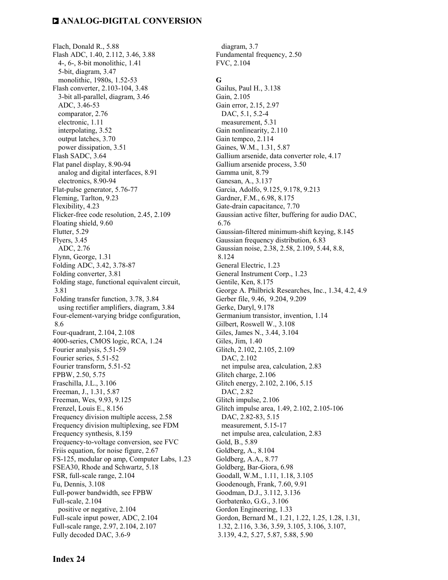Flach, Donald R., 5.88 Flash ADC, 1.40, 2.112, 3.46, 3.88 4-, 6-, 8-bit monolithic, 1.41 5-bit, diagram, 3.47 monolithic, 1980s, 1.52-53 Flash converter, 2.103-104, 3.48 3-bit all-parallel, diagram, 3.46 ADC, 3.46-53 comparator, 2.76 electronic, 1.11 interpolating, 3.52 output latches, 3.70 power dissipation, 3.51 Flash SADC, 3.64 Flat panel display, 8.90-94 analog and digital interfaces, 8.91 electronics, 8.90-94 Flat-pulse generator, 5.76-77 Fleming, Tarlton, 9.23 Flexibility, 4.23 Flicker-free code resolution, 2.45, 2.109 Floating shield, 9.60 Flutter, 5.29 Flyers, 3.45 ADC, 2.76 Flynn, George, 1.31 Folding ADC, 3.42, 3.78-87 Folding converter, 3.81 Folding stage, functional equivalent circuit, 3.81 Folding transfer function, 3.78, 3.84 using rectifier amplifiers, diagram, 3.84 Four-element-varying bridge configuration, 8.6 Four-quadrant, 2.104, 2.108 4000-series, CMOS logic, RCA, 1.24 Fourier analysis, 5.51-59 Fourier series, 5.51-52 Fourier transform, 5.51-52 FPBW, 2.50, 5.75 Fraschilla, J.L., 3.106 Freeman, J., 1.31, 5.87 Freeman, Wes, 9.93, 9.125 Frenzel, Louis E., 8.156 Frequency division multiple access, 2.58 Frequency division multiplexing, see FDM Frequency synthesis, 8.159 Frequency-to-voltage conversion, see FVC Friis equation, for noise figure, 2.67 FS-125, modular op amp, Computer Labs, 1.23 FSEA30, Rhode and Schwartz, 5.18 FSR, full-scale range, 2.104 Fu, Dennis, 3.108 Full-power bandwidth, see FPBW Full-scale, 2.104 positive or negative, 2.104 Full-scale input power, ADC, 2.104 Full-scale range, 2.97, 2.104, 2.107 Fully decoded DAC, 3.6-9

Fundamental frequency, 2.50 FVC, 2.104 **G**  Gailus, Paul H., 3.138 Gain, 2.105 Gain error, 2.15, 2.97 DAC, 5.1, 5.2-4 measurement, 5.31 Gain nonlinearity, 2.110 Gain tempco, 2.114 Gaines, W.M., 1.31, 5.87 Gallium arsenide, data converter role, 4.17 Gallium arsenide process, 3.50 Gamma unit, 8.79 Ganesan, A., 3.137 Garcia, Adolfo, 9.125, 9.178, 9.213 Gardner, F.M., 6.98, 8.175 Gate-drain capacitance, 7.70 Gaussian active filter, buffering for audio DAC, 6.76 Gaussian-filtered minimum-shift keying, 8.145 Gaussian frequency distribution, 6.83 Gaussian noise, 2.38, 2.58, 2.109, 5.44, 8.8, 8.124 General Electric, 1.23 General Instrument Corp., 1.23 Gentile, Ken, 8.175 George A. Philbrick Researches, Inc., 1.34, 4.2, 4.9 Gerber file, 9.46, 9.204, 9.209 Gerke, Daryl, 9.178 Germanium transistor, invention, 1.14 Gilbert, Roswell W., 3.108 Giles, James N., 3.44, 3.104 Giles, Jim, 1.40 Glitch, 2.102, 2.105, 2.109 DAC, 2.102 net impulse area, calculation, 2.83 Glitch charge, 2.106 Glitch energy, 2.102, 2.106, 5.15 DAC, 2.82 Glitch impulse, 2.106 Glitch impulse area, 1.49, 2.102, 2.105-106 DAC, 2.82-83, 5.15 measurement, 5.15-17 net impulse area, calculation, 2.83 Gold, B., 5.89 Goldberg, A., 8.104 Goldberg, A.A., 8.77 Goldberg, Bar-Giora, 6.98 Goodall, W.M., 1.11, 1.18, 3.105 Goodenough, Frank, 7.60, 9.91 Goodman, D.J., 3.112, 3.136 Gorbatenko, G.G., 3.106 Gordon Engineering, 1.33 Gordon, Bernard M., 1.21, 1.22, 1.25, 1.28, 1.31, 1.32, 2.116, 3.36, 3.59, 3.105, 3.106, 3.107,

diagram, 3.7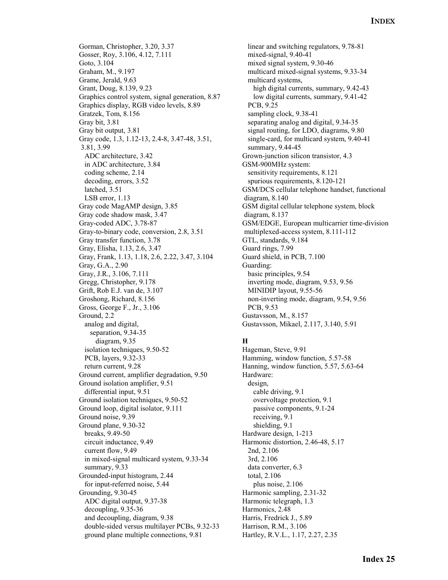Gorman, Christopher, 3.20, 3.37 Gosser, Roy, 3.106, 4.12, 7.111 Goto, 3.104 Graham, M., 9.197 Grame, Jerald, 9.63 Grant, Doug, 8.139, 9.23 Graphics control system, signal generation, 8.87 Graphics display, RGB video levels, 8.89 Gratzek, Tom, 8.156 Gray bit, 3.81 Gray bit output, 3.81 Gray code, 1.3, 1.12-13, 2.4-8, 3.47-48, 3.51, 3.81, 3.99 ADC architecture, 3.42 in ADC architecture, 3.84 coding scheme, 2.14 decoding, errors, 3.52 latched, 3.51 LSB error, 1.13 Gray code MagAMP design, 3.85 Gray code shadow mask, 3.47 Gray-coded ADC, 3.78-87 Gray-to-binary code, conversion, 2.8, 3.51 Gray transfer function, 3.78 Gray, Elisha, 1.13, 2.6, 3.47 Gray, Frank, 1.13, 1.18, 2.6, 2.22, 3.47, 3.104 Gray, G.A., 2.90 Gray, J.R., 3.106, 7.111 Gregg, Christopher, 9.178 Grift, Rob E.J. van de, 3.107 Groshong, Richard, 8.156 Gross, George F., Jr., 3.106 Ground, 2.2 analog and digital, separation, 9.34-35 diagram, 9.35 isolation techniques, 9.50-52 PCB, layers, 9.32-33 return current, 9.28 Ground current, amplifier degradation, 9.50 Ground isolation amplifier, 9.51 differential input, 9.51 Ground isolation techniques, 9.50-52 Ground loop, digital isolator, 9.111 Ground noise, 9.39 Ground plane, 9.30-32 breaks, 9.49-50 circuit inductance, 9.49 current flow, 9.49 in mixed-signal multicard system, 9.33-34 summary, 9.33 Grounded-input histogram, 2.44 for input-referred noise, 5.44 Grounding, 9.30-45 ADC digital output, 9.37-38 decoupling, 9.35-36 and decoupling, diagram, 9.38 double-sided versus multilayer PCBs, 9.32-33 ground plane multiple connections, 9.81

 linear and switching regulators, 9.78-81 mixed-signal, 9.40-41 mixed signal system, 9.30-46 multicard mixed-signal systems, 9.33-34 multicard systems, high digital currents, summary, 9.42-43 low digital currents, summary, 9.41-42 PCB, 9.25 sampling clock, 9.38-41 separating analog and digital, 9.34-35 signal routing, for LDO, diagrams, 9.80 single-card, for multicard system, 9.40-41 summary, 9.44-45 Grown-junction silicon transistor, 4.3 GSM-900MHz system: sensitivity requirements, 8.121 spurious requirements, 8.120-121 GSM/DCS cellular telephone handset, functional diagram, 8.140 GSM digital cellular telephone system, block diagram, 8.137 GSM/EDGE, European multicarrier time-division multiplexed-access system, 8.111-112 GTL, standards, 9.184 Guard rings, 7.99 Guard shield, in PCB, 7.100 Guarding: basic principles, 9.54 inverting mode, diagram, 9.53, 9.56 MINIDIP layout, 9.55-56 non-inverting mode, diagram, 9.54, 9.56 PCB, 9.53 Gustavsson, M., 8.157 Gustavsson, Mikael, 2.117, 3.140, 5.91

#### **H**

Hageman, Steve, 9.91 Hamming, window function, 5.57-58 Hanning, window function, 5.57, 5.63-64 Hardware: design, cable driving, 9.1 overvoltage protection, 9.1 passive components, 9.1-24 receiving, 9.1 shielding, 9.1 Hardware design, 1-213 Harmonic distortion, 2.46-48, 5.17 2nd, 2.106 3rd, 2.106 data converter, 6.3 total, 2.106 plus noise, 2.106 Harmonic sampling, 2.31-32 Harmonic telegraph, 1.3 Harmonics, 2.48 Harris, Fredrick J., 5.89 Harrison, R.M., 3.106 Hartley, R.V.L., 1.17, 2.27, 2.35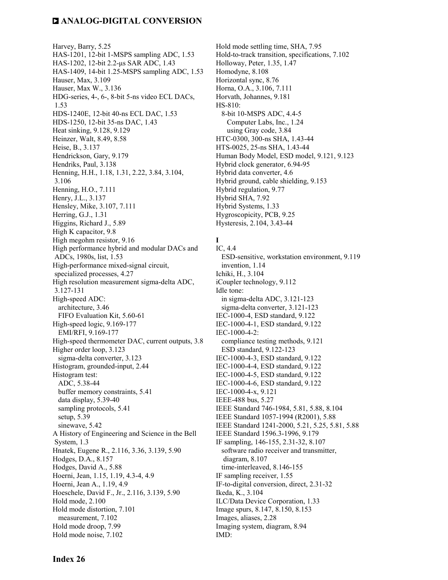Harvey, Barry, 5.25 HAS-1201, 12-bit 1-MSPS sampling ADC, 1.53 HAS-1202, 12-bit 2.2-µs SAR ADC, 1.43 HAS-1409, 14-bit 1.25-MSPS sampling ADC, 1.53 Hauser, Max, 3.109 Hauser, Max W., 3.136 HDG-series, 4-, 6-, 8-bit 5-ns video ECL DACs, 1.53 HDS-1240E, 12-bit 40-ns ECL DAC, 1.53 HDS-1250, 12-bit 35-ns DAC, 1.43 Heat sinking, 9.128, 9.129 Heinzer, Walt, 8.49, 8.58 Heise, B., 3.137 Hendrickson, Gary, 9.179 Hendriks, Paul, 3.138 Henning, H.H., 1.18, 1.31, 2.22, 3.84, 3.104, 3.106 Henning, H.O., 7.111 Henry, J.L., 3.137 Hensley, Mike, 3.107, 7.111 Herring, G.J., 1.31 Higgins, Richard J., 5.89 High K capacitor, 9.8 High megohm resistor, 9.16 High performance hybrid and modular DACs and ADCs, 1980s, list, 1.53 High-performance mixed-signal circuit, specialized processes, 4.27 High resolution measurement sigma-delta ADC, 3.127-131 High-speed ADC: architecture, 3.46 FIFO Evaluation Kit, 5.60-61 High-speed logic, 9.169-177 EMI/RFI, 9.169-177 High-speed thermometer DAC, current outputs, 3.8 Higher order loop, 3.123 sigma-delta converter, 3.123 Histogram, grounded-input, 2.44 Histogram test: ADC, 5.38-44 buffer memory constraints, 5.41 data display, 5.39-40 sampling protocols, 5.41 setup, 5.39 sinewave, 5.42 A History of Engineering and Science in the Bell System, 1.3 Hnatek, Eugene R., 2.116, 3.36, 3.139, 5.90 Hodges, D.A., 8.157 Hodges, David A., 5.88 Hoerni, Jean, 1.15, 1.19, 4.3-4, 4.9 Hoerni, Jean A., 1.19, 4.9 Hoeschele, David F., Jr., 2.116, 3.139, 5.90 Hold mode, 2.100 Hold mode distortion, 7.101 measurement, 7.102 Hold mode droop, 7.99 Hold mode noise, 7.102

Hold mode settling time, SHA, 7.95 Hold-to-track transition, specifications, 7.102 Holloway, Peter, 1.35, 1.47 Homodyne, 8.108 Horizontal sync, 8.76 Horna, O.A., 3.106, 7.111 Horvath, Johannes, 9.181 HS-810: 8-bit 10-MSPS ADC, 4.4-5 Computer Labs, Inc., 1.24 using Gray code, 3.84 HTC-0300, 300-ns SHA, 1.43-44 HTS-0025, 25-ns SHA, 1.43-44 Human Body Model, ESD model, 9.121, 9.123 Hybrid clock generator, 6.94-95 Hybrid data converter, 4.6 Hybrid ground, cable shielding, 9.153 Hybrid regulation, 9.77 Hybrid SHA, 7.92 Hybrid Systems, 1.33 Hygroscopicity, PCB, 9.25 Hysteresis, 2.104, 3.43-44

#### **I**  IC, 4.4

 ESD-sensitive, workstation environment, 9.119 invention, 1.14 Ichiki, H., 3.104 iCoupler technology, 9.112 Idle tone: in sigma-delta ADC, 3.121-123 sigma-delta converter, 3.121-123 IEC-1000-4, ESD standard, 9.122 IEC-1000-4-1, ESD standard, 9.122 IEC-1000-4-2: compliance testing methods, 9.121 ESD standard, 9.122-123 IEC-1000-4-3, ESD standard, 9.122 IEC-1000-4-4, ESD standard, 9.122 IEC-1000-4-5, ESD standard, 9.122 IEC-1000-4-6, ESD standard, 9.122 IEC-1000-4-x, 9.121 IEEE-488 bus, 5.27 IEEE Standard 746-1984, 5.81, 5.88, 8.104 IEEE Standard 1057-1994 (R2001), 5.88 IEEE Standard 1241-2000, 5.21, 5.25, 5.81, 5.88 IEEE Standard 1596.3-1996, 9.179 IF sampling, 146-155, 2.31-32, 8.107 software radio receiver and transmitter, diagram, 8.107 time-interleaved, 8.146-155 IF sampling receiver, 1.55 IF-to-digital conversion, direct, 2.31-32 Ikeda, K., 3.104 ILC/Data Device Corporation, 1.33 Image spurs, 8.147, 8.150, 8.153 Images, aliases, 2.28 Imaging system, diagram, 8.94 IMD: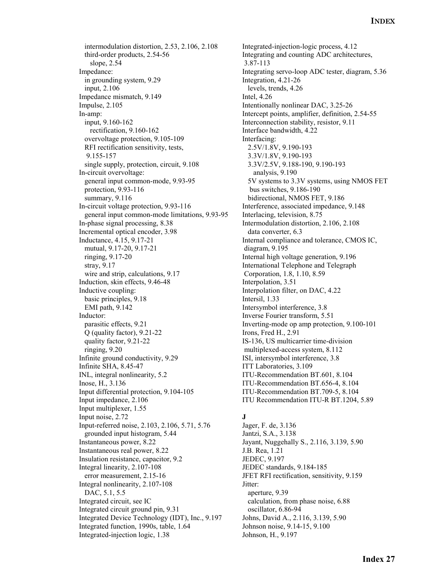intermodulation distortion, 2.53, 2.106, 2.108 third-order products, 2.54-56 slope, 2.54 Impedance: in grounding system, 9.29 input, 2.106 Impedance mismatch, 9.149 Impulse, 2.105 In-amp: input, 9.160-162 rectification, 9.160-162 overvoltage protection, 9.105-109 RFI rectification sensitivity, tests, 9.155-157 single supply, protection, circuit, 9.108 In-circuit overvoltage: general input common-mode, 9.93-95 protection, 9.93-116 summary, 9.116 In-circuit voltage protection, 9.93-116 general input common-mode limitations, 9.93-95 In-phase signal processing, 8.38 Incremental optical encoder, 3.98 Inductance, 4.15, 9.17-21 mutual, 9.17-20, 9.17-21 ringing, 9.17-20 stray, 9.17 wire and strip, calculations, 9.17 Induction, skin effects, 9.46-48 Inductive coupling: basic principles, 9.18 EMI path, 9.142 Inductor: parasitic effects, 9.21 Q (quality factor), 9.21-22 quality factor, 9.21-22 ringing, 9.20 Infinite ground conductivity, 9.29 Infinite SHA, 8.45-47 INL, integral nonlinearity, 5.2 Inose, H., 3.136 Input differential protection, 9.104-105 Input impedance, 2.106 Input multiplexer, 1.55 Input noise, 2.72 Input-referred noise, 2.103, 2.106, 5.71, 5.76 grounded input histogram, 5.44 Instantaneous power, 8.22 Instantaneous real power, 8.22 Insulation resistance, capacitor, 9.2 Integral linearity, 2.107-108 error measurement, 2.15-16 Integral nonlinearity, 2.107-108 DAC, 5.1, 5.5 Integrated circuit, see IC Integrated circuit ground pin, 9.31 Integrated Device Technology (IDT), Inc., 9.197 Integrated function, 1990s, table, 1.64 Integrated-injection logic, 1.38

Integrated-injection-logic process, 4.12 Integrating and counting ADC architectures, 3.87-113 Integrating servo-loop ADC tester, diagram, 5.36 Integration, 4.21-26 levels, trends, 4.26 Intel, 4.26 Intentionally nonlinear DAC, 3.25-26 Intercept points, amplifier, definition, 2.54-55 Interconnection stability, resistor, 9.11 Interface bandwidth, 4.22 Interfacing: 2.5V/1.8V, 9.190-193 3.3V/1.8V, 9.190-193 3.3V/2.5V, 9.188-190, 9.190-193 analysis, 9.190 5V systems to 3.3V systems, using NMOS FET bus switches, 9.186-190 bidirectional, NMOS FET, 9.186 Interference, associated impedance, 9.148 Interlacing, television, 8.75 Intermodulation distortion, 2.106, 2.108 data converter, 6.3 Internal compliance and tolerance, CMOS IC, diagram, 9.195 Internal high voltage generation, 9.196 International Telephone and Telegraph Corporation, 1.8, 1.10, 8.59 Interpolation, 3.51 Interpolation filter, on DAC, 4.22 Intersil, 1.33 Intersymbol interference, 3.8 Inverse Fourier transform, 5.51 Inverting-mode op amp protection, 9.100-101 Irons, Fred H., 2.91 IS-136, US multicarrier time-division multiplexed-access system, 8.112 ISI, intersymbol interference, 3.8 ITT Laboratories, 3.109 ITU-Recommendation BT.601, 8.104 ITU-Recommendation BT.656-4, 8.104 ITU-Recommendation BT.709-5, 8.104 ITU Recommendation ITU-R BT.1204, 5.89

### **J**

Jager, F. de, 3.136 Jantzi, S.A., 3.138 Jayant, Nuggehally S., 2.116, 3.139, 5.90 J.B. Rea, 1.21 JEDEC, 9.197 JEDEC standards, 9.184-185 JFET RFI rectification, sensitivity, 9.159 Jitter: aperture, 9.39 calculation, from phase noise, 6.88 oscillator, 6.86-94 Johns, David A., 2.116, 3.139, 5.90 Johnson noise, 9.14-15, 9.100 Johnson, H., 9.197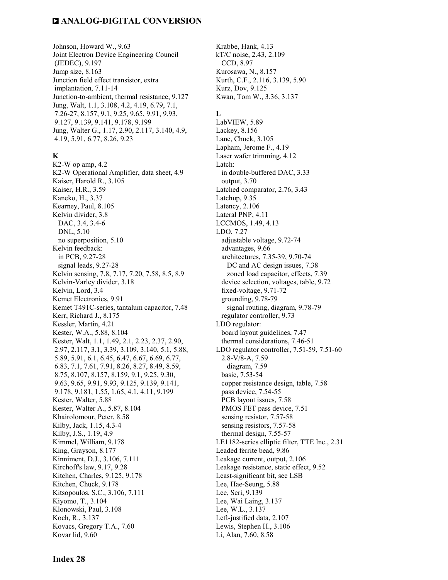Johnson, Howard W., 9.63 Joint Electron Device Engineering Council (JEDEC), 9.197 Jump size, 8.163 Junction field effect transistor, extra implantation, 7.11-14 Junction-to-ambient, thermal resistance, 9.127 Jung, Walt, 1.1, 3.108, 4.2, 4.19, 6.79, 7.1, 7.26-27, 8.157, 9.1, 9.25, 9.65, 9.91, 9.93, 9.127, 9.139, 9.141, 9.178, 9.199 Jung, Walter G., 1.17, 2.90, 2.117, 3.140, 4.9, 4.19, 5.91, 6.77, 8.26, 9.23

#### **K**

K2-W op amp, 4.2 K2-W Operational Amplifier, data sheet, 4.9 Kaiser, Harold R., 3.105 Kaiser, H.R., 3.59 Kaneko, H., 3.37 Kearney, Paul, 8.105 Kelvin divider, 3.8 DAC, 3.4, 3.4-6 DNL, 5.10 no superposition, 5.10 Kelvin feedback: in PCB, 9.27-28 signal leads, 9.27-28 Kelvin sensing, 7.8, 7.17, 7.20, 7.58, 8.5, 8.9 Kelvin-Varley divider, 3.18 Kelvin, Lord, 3.4 Kemet Electronics, 9.91 Kemet T491C-series, tantalum capacitor, 7.48 Kerr, Richard J., 8.175 Kessler, Martin, 4.21 Kester, W.A., 5.88, 8.104 Kester, Walt, 1.1, 1.49, 2.1, 2.23, 2.37, 2.90, 2.97, 2.117, 3.1, 3.39, 3.109, 3.140, 5.1, 5.88, 5.89, 5.91, 6.1, 6.45, 6.47, 6.67, 6.69, 6.77, 6.83, 7.1, 7.61, 7.91, 8.26, 8.27, 8.49, 8.59, 8.75, 8.107, 8.157, 8.159, 9.1, 9.25, 9.30, 9.63, 9.65, 9.91, 9.93, 9.125, 9.139, 9.141, 9.178, 9.181, 1.55, 1.65, 4.1, 4.11, 9.199 Kester, Walter, 5.88 Kester, Walter A., 5.87, 8.104 Khairolomour, Peter, 8.58 Kilby, Jack, 1.15, 4.3-4 Kilby, J.S., 1.19, 4.9 Kimmel, William, 9.178 King, Grayson, 8.177 Kinniment, D.J., 3.106, 7.111 Kirchoff's law, 9.17, 9.28 Kitchen, Charles, 9.125, 9.178 Kitchen, Chuck, 9.178 Kitsopoulos, S.C., 3.106, 7.111 Kiyomo, T., 3.104 Klonowski, Paul, 3.108 Koch, R., 3.137 Kovacs, Gregory T.A., 7.60 Kovar lid, 9.60

Krabbe, Hank, 4.13 kT/C noise, 2.43, 2.109 CCD, 8.97 Kurosawa, N., 8.157 Kurth, C.F., 2.116, 3.139, 5.90 Kurz, Dov, 9.125 Kwan, Tom W., 3.36, 3.137

#### **L**

LabVIEW, 5.89 Lackey, 8.156 Lane, Chuck, 3.105 Lapham, Jerome F., 4.19 Laser wafer trimming, 4.12 Latch: in double-buffered DAC, 3.33 output, 3.70 Latched comparator, 2.76, 3.43 Latchup, 9.35 Latency, 2.106 Lateral PNP, 4.11 LCCMOS, 1.49, 4.13 LDO, 7.27 adjustable voltage, 9.72-74 advantages, 9.66 architectures, 7.35-39, 9.70-74 DC and AC design issues, 7.38 zoned load capacitor, effects, 7.39 device selection, voltages, table, 9.72 fixed-voltage, 9.71-72 grounding, 9.78-79 signal routing, diagram, 9.78-79 regulator controller, 9.73 LDO regulator: board layout guidelines, 7.47 thermal considerations, 7.46-51 LDO regulator controller, 7.51-59, 7.51-60 2.8-V/8-A, 7.59 diagram, 7.59 basic, 7.53-54 copper resistance design, table, 7.58 pass device, 7.54-55 PCB layout issues, 7.58 PMOS FET pass device, 7.51 sensing resistor, 7.57-58 sensing resistors, 7.57-58 thermal design, 7.55-57 LE1182-series elliptic filter, TTE Inc., 2.31 Leaded ferrite bead, 9.86 Leakage current, output, 2.106 Leakage resistance, static effect, 9.52 Least-significant bit, see LSB Lee, Hae-Seung, 5.88 Lee, Seri, 9.139 Lee, Wai Laing, 3.137 Lee, W.L., 3.137 Left-justified data, 2.107 Lewis, Stephen H., 3.106

Li, Alan, 7.60, 8.58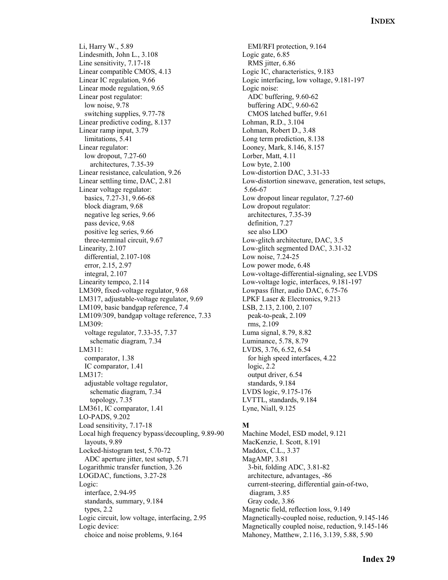Li, Harry W., 5.89 Lindesmith, John L., 3.108 Line sensitivity, 7.17-18 Linear compatible CMOS, 4.13 Linear IC regulation, 9.66 Linear mode regulation, 9.65 Linear post regulator: low noise, 9.78 switching supplies, 9.77-78 Linear predictive coding, 8.137 Linear ramp input, 3.79 limitations, 5.41 Linear regulator: low dropout, 7.27-60 architectures, 7.35-39 Linear resistance, calculation, 9.26 Linear settling time, DAC, 2.81 Linear voltage regulator: basics, 7.27-31, 9.66-68 block diagram, 9.68 negative leg series, 9.66 pass device, 9.68 positive leg series, 9.66 three-terminal circuit, 9.67 Linearity, 2.107 differential, 2.107-108 error, 2.15, 2.97 integral, 2.107 Linearity tempco, 2.114 LM309, fixed-voltage regulator, 9.68 LM317, adjustable-voltage regulator, 9.69 LM109, basic bandgap reference, 7.4 LM109/309, bandgap voltage reference, 7.33 LM309: voltage regulator, 7.33-35, 7.37 schematic diagram, 7.34 LM311: comparator, 1.38 IC comparator, 1.41 LM317: adjustable voltage regulator, schematic diagram, 7.34 topology, 7.35 LM361, IC comparator, 1.41 LO-PADS, 9.202 Load sensitivity, 7.17-18 Local high frequency bypass/decoupling, 9.89-90 layouts, 9.89 Locked-histogram test, 5.70-72 ADC aperture jitter, test setup, 5.71 Logarithmic transfer function, 3.26 LOGDAC, functions, 3.27-28 Logic: interface, 2.94-95 standards, summary, 9.184 types, 2.2 Logic circuit, low voltage, interfacing, 2.95 Logic device: choice and noise problems, 9.164

 EMI/RFI protection, 9.164 Logic gate, 6.85 RMS jitter, 6.86 Logic IC, characteristics, 9.183 Logic interfacing, low voltage, 9.181-197 Logic noise: ADC buffering, 9.60-62 buffering ADC, 9.60-62 CMOS latched buffer, 9.61 Lohman, R.D., 3.104 Lohman, Robert D., 3.48 Long term prediction, 8.138 Looney, Mark, 8.146, 8.157 Lorber, Matt, 4.11 Low byte, 2.100 Low-distortion DAC, 3.31-33 Low-distortion sinewave, generation, test setups, 5.66-67 Low dropout linear regulator, 7.27-60 Low dropout regulator: architectures, 7.35-39 definition, 7.27 see also LDO Low-glitch architecture, DAC, 3.5 Low-glitch segmented DAC, 3.31-32 Low noise, 7.24-25 Low power mode, 6.48 Low-voltage-differential-signaling, see LVDS Low-voltage logic, interfaces, 9.181-197 Lowpass filter, audio DAC, 6.75-76 LPKF Laser & Electronics, 9.213 LSB, 2.13, 2.100, 2.107 peak-to-peak, 2.109 rms, 2.109 Luma signal, 8.79, 8.82 Luminance, 5.78, 8.79 LVDS, 3.76, 6.52, 6.54 for high speed interfaces, 4.22 logic, 2.2 output driver, 6.54 standards, 9.184 LVDS logic, 9.175-176 LVTTL, standards, 9.184 Lyne, Niall, 9.125

#### **M**

Machine Model, ESD model, 9.121 MacKenzie, I. Scott, 8.191 Maddox, C.L., 3.37 MagAMP, 3.81 3-bit, folding ADC, 3.81-82 architecture, advantages, -86 current-steering, differential gain-of-two, diagram, 3.85 Gray code, 3.86 Magnetic field, reflection loss, 9.149 Magnetically-coupled noise, reduction, 9.145-146 Magnetically coupled noise, reduction, 9.145-146 Mahoney, Matthew, 2.116, 3.139, 5.88, 5.90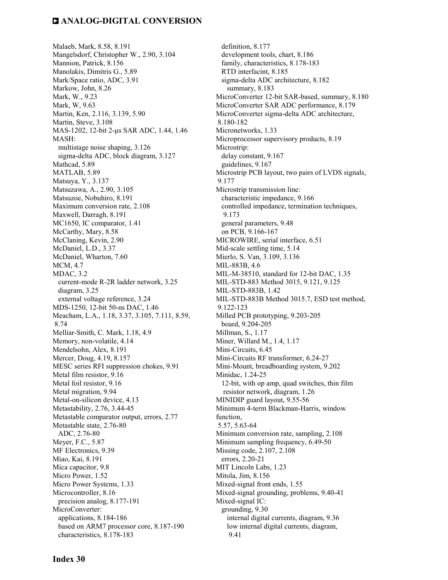Malaeb, Mark, 8.58, 8.191 Mangelsdorf, Christopher W., 2.90, 3.104 Mannion, Patrick, 8.156 Manolakis, Dimitris G., 5.89 Mark/Space ratio, ADC, 3.91 Markow, John, 8.26 Mark, W., 9.23 Mark, W, 9.63 Martin, Ken, 2.116, 3.139, 5.90 Martin, Steve, 3.108 MAS-1202, 12-bit 2-µs SAR ADC, 1.44, 1.46 MASH: multistage noise shaping, 3.126 sigma-delta ADC, block diagram, 3.127 Mathcad, 5.89 MATLAB, 5.89 Matsuya, Y., 3.137 Matsuzawa, A., 2.90, 3.105 Matsuzoe, Nobuhiro, 8.191 Maximum conversion rate, 2.108 Maxwell, Darragh, 8.191 MC1650, IC comparator, 1.41 McCarthy, Mary, 8.58 McClaning, Kevin, 2.90 McDaniel, L.D., 3.37 McDaniel, Wharton, 7.60 MCM, 4.7 MDAC, 3.2 current-mode R-2R ladder network, 3.25 diagram, 3.25 external voltage reference, 3.24 MDS-1250, 12-bit 50-ns DAC, 1.46 Meacham, L.A., 1.18, 3.37, 3.105, 7.111, 8.59, 8.74 Melliar-Smith, C. Mark, 1.18, 4.9 Memory, non-volatile, 4.14 Mendelsohn, Alex, 8.191 Mercer, Doug, 4.19, 8.157 MESC series RFI suppression chokes, 9.91 Metal film resistor, 9.16 Metal foil resistor, 9.16 Metal migration, 9.94 Metal-on-silicon device, 4.13 Metastability, 2.76, 3.44-45 Metastable comparator output, errors, 2.77 Metastable state, 2.76-80 ADC, 2.76-80 Meyer, F.C., 5.87 MF Electronics, 9.39 Miao, Kai, 8.191 Mica capacitor, 9.8 Micro Power, 1.52 Micro Power Systems, 1.33 Microcontroller, 8.16 precision analog, 8.177-191 MicroConverter: applications, 8.184-186 based on ARM7 processor core, 8.187-190 characteristics, 8.178-183

 definition, 8.177 development tools, chart, 8.186 family, characteristics, 8.178-183 RTD interfacint, 8.185 sigma-delta ADC architecture, 8.182 summary, 8.183 MicroConverter 12-bit SAR-based, summary, 8.180 MicroConverter SAR ADC performance, 8.179 MicroConverter sigma-delta ADC architecture, 8.180-182 Micronetworks, 1.33 Microprocessor supervisory products, 8.19 Microstrip: delay constant, 9.167 guidelines, 9.167 Microstrip PCB layout, two pairs of LVDS signals, 9.177 Microstrip transmission line: characteristic impedance, 9.166 controlled impedance, termination techniques, 9.173 general parameters, 9.48 on PCB, 9.166-167 MICROWIRE, serial interface, 6.51 Mid-scale settling time, 5.14 Mierlo, S. Van, 3.109, 3.136 MIL-883B, 4.6 MIL-M-38510, standard for 12-bit DAC, 1.35 MIL-STD-883 Method 3015, 9.121, 9.125 MIL-STD-883B, 1.42 MIL-STD-883B Method 3015.7, ESD test method, 9.122-123 Milled PCB prototyping, 9.203-205 board, 9.204-205 Millman, S., 1.17 Miner, Willard M., 1.4, 1.17 Mini-Circuits, 6.45 Mini-Circuits RF transformer, 6.24-27 Mini-Mount, breadboarding system, 9.202 Minidac, 1.24-25 12-bit, with op amp, quad switches, thin film resistor network, diagram, 1.26 MINIDIP guard layout, 9.55-56 Minimum 4-term Blackman-Harris, window function, 5.57, 5.63-64 Minimum conversion rate, sampling, 2.108 Minimum sampling frequency, 6.49-50 Missing code, 2.107, 2.108 errors, 2.20-21 MIT Lincoln Labs, 1.23 Mitola, Jim, 8.156 Mixed-signal front ends, 1.55 Mixed-signal grounding, problems, 9.40-41 Mixed-signal IC: grounding, 9.30 internal digital currents, diagram, 9.36 low internal digital currents, diagram, 9.41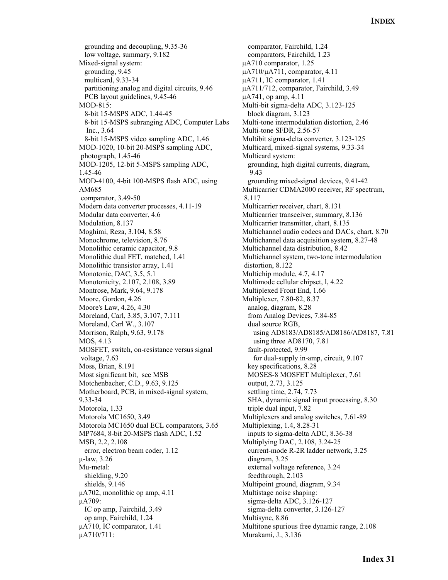grounding and decoupling, 9.35-36 low voltage, summary, 9.182 Mixed-signal system: grounding, 9.45 multicard, 9.33-34 partitioning analog and digital circuits, 9.46 PCB layout guidelines, 9.45-46 MOD-815: 8-bit 15-MSPS ADC, 1.44-45 8-bit 15-MSPS subranging ADC, Computer Labs Inc., 3.64 8-bit 15-MSPS video sampling ADC, 1.46 MOD-1020, 10-bit 20-MSPS sampling ADC, photograph, 1.45-46 MOD-1205, 12-bit 5-MSPS sampling ADC, 1.45-46 MOD-4100, 4-bit 100-MSPS flash ADC, using AM685 comparator, 3.49-50 Modern data converter processes, 4.11-19 Modular data converter, 4.6 Modulation, 8.137 Moghimi, Reza, 3.104, 8.58 Monochrome, television, 8.76 Monolithic ceramic capacitor, 9.8 Monolithic dual FET, matched, 1.41 Monolithic transistor array, 1.41 Monotonic, DAC, 3.5, 5.1 Monotonicity, 2.107, 2.108, 3.89 Montrose, Mark, 9.64, 9.178 Moore, Gordon, 4.26 Moore's Law, 4.26, 4.30 Moreland, Carl, 3.85, 3.107, 7.111 Moreland, Carl W., 3.107 Morrison, Ralph, 9.63, 9.178 MOS, 4.13 MOSFET, switch, on-resistance versus signal voltage, 7.63 Moss, Brian, 8.191 Most significant bit, see MSB Motchenbacher, C.D., 9.63, 9.125 Motherboard, PCB, in mixed-signal system, 9.33-34 Motorola, 1.33 Motorola MC1650, 3.49 Motorola MC1650 dual ECL comparators, 3.65 MP7684, 8-bit 20-MSPS flash ADC, 1.52 MSB, 2.2, 2.108 error, electron beam coder, 1.12 µ-law, 3.26 Mu-metal: shielding, 9.20 shields, 9.146 µA702, monolithic op amp, 4.11 µA709: IC op amp, Fairchild, 3.49 op amp, Fairchild, 1.24 µA710, IC comparator, 1.41 µA710/711:

 comparator, Fairchild, 1.24 comparators, Fairchild, 1.23 µA710 comparator, 1.25 µA710/µA711, comparator, 4.11 µA711, IC comparator, 1.41 µA711/712, comparator, Fairchild, 3.49 µA741, op amp, 4.11 Multi-bit sigma-delta ADC, 3.123-125 block diagram, 3.123 Multi-tone intermodulation distortion, 2.46 Multi-tone SFDR, 2.56-57 Multibit sigma-delta converter, 3.123-125 Multicard, mixed-signal systems, 9.33-34 Multicard system: grounding, high digital currents, diagram, 9.43 grounding mixed-signal devices, 9.41-42 Multicarrier CDMA2000 receiver, RF spectrum, 8.117 Multicarrier receiver, chart, 8.131 Multicarrier transceiver, summary, 8.136 Multicarrier transmitter, chart, 8.135 Multichannel audio codecs and DACs, chart, 8.70 Multichannel data acquisition system, 8.27-48 Multichannel data distribution, 8.42 Multichannel system, two-tone intermodulation distortion, 8.122 Multichip module, 4.7, 4.17 Multimode cellular chipset, l, 4.22 Multiplexed Front End, 1.66 Multiplexer, 7.80-82, 8.37 analog, diagram, 8.28 from Analog Devices, 7.84-85 dual source RGB, using AD8183/AD8185/AD8186/AD8187, 7.81 using three AD8170, 7.81 fault-protected, 9.99 for dual-supply in-amp, circuit, 9.107 key specifications, 8.28 MOSES-8 MOSFET Multiplexer, 7.61 output, 2.73, 3.125 settling time, 2.74, 7.73 SHA, dynamic signal input processing, 8.30 triple dual input, 7.82 Multiplexers and analog switches, 7.61-89 Multiplexing, 1.4, 8.28-31 inputs to sigma-delta ADC, 8.36-38 Multiplying DAC, 2.108, 3.24-25 current-mode R-2R ladder network, 3.25 diagram, 3.25 external voltage reference, 3.24 feedthrough, 2.103 Multipoint ground, diagram, 9.34 Multistage noise shaping: sigma-delta ADC, 3.126-127 sigma-delta converter, 3.126-127 Multisync, 8.86 Multitone spurious free dynamic range, 2.108 Murakami, J., 3.136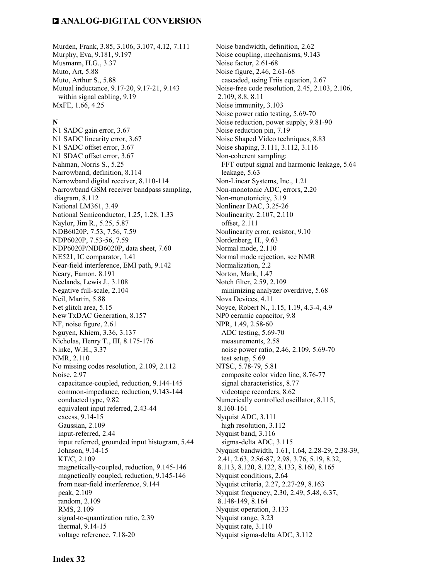Murden, Frank, 3.85, 3.106, 3.107, 4.12, 7.111 Murphy, Eva, 9.181, 9.197 Musmann, H.G., 3.37 Muto, Art, 5.88 Muto, Arthur S., 5.88 Mutual inductance, 9.17-20, 9.17-21, 9.143 within signal cabling, 9.19 MxFE, 1.66, 4.25

#### **N**

N1 SADC gain error, 3.67 N1 SADC linearity error, 3.67 N1 SADC offset error, 3.67 N1 SDAC offset error, 3.67 Nahman, Norris S., 5.25 Narrowband, definition, 8.114 Narrowband digital receiver, 8.110-114 Narrowband GSM receiver bandpass sampling, diagram, 8.112 National LM361, 3.49 National Semiconductor, 1.25, 1.28, 1.33 Naylor, Jim R., 5.25, 5.87 NDB6020P, 7.53, 7.56, 7.59 NDP6020P, 7.53-56, 7.59 NDP6020P/NDB6020P, data sheet, 7.60 NE521, IC comparator, 1.41 Near-field interference, EMI path, 9.142 Neary, Eamon, 8.191 Neelands, Lewis J., 3.108 Negative full-scale, 2.104 Neil, Martin, 5.88 Net glitch area, 5.15 New TxDAC Generation, 8.157 NF, noise figure, 2.61 Nguyen, Khiem, 3.36, 3.137 Nicholas, Henry T., III, 8.175-176 Ninke, W.H., 3.37 NMR, 2.110 No missing codes resolution, 2.109, 2.112 Noise, 2.97 capacitance-coupled, reduction, 9.144-145 common-impedance, reduction, 9.143-144 conducted type, 9.82 equivalent input referred, 2.43-44 excess, 9.14-15 Gaussian, 2.109 input-referred, 2.44 input referred, grounded input histogram, 5.44 Johnson, 9.14-15 KT/C, 2.109 magnetically-coupled, reduction, 9.145-146 magnetically coupled, reduction, 9.145-146 from near-field interference, 9.144 peak, 2.109 random, 2.109 RMS, 2.109 signal-to-quantization ratio, 2.39 thermal, 9.14-15 voltage reference, 7.18-20

Noise bandwidth, definition, 2.62 Noise coupling, mechanisms, 9.143 Noise factor, 2.61-68 Noise figure, 2.46, 2.61-68 cascaded, using Friis equation, 2.67 Noise-free code resolution, 2.45, 2.103, 2.106, 2.109, 8.8, 8.11 Noise immunity, 3.103 Noise power ratio testing, 5.69-70 Noise reduction, power supply, 9.81-90 Noise reduction pin, 7.19 Noise Shaped Video techniques, 8.83 Noise shaping, 3.111, 3.112, 3.116 Non-coherent sampling: FFT output signal and harmonic leakage, 5.64 leakage, 5.63 Non-Linear Systems, Inc., 1.21 Non-monotonic ADC, errors, 2.20 Non-monotonicity, 3.19 Nonlinear DAC, 3.25-26 Nonlinearity, 2.107, 2.110 offset, 2.111 Nonlinearity error, resistor, 9.10 Nordenberg, H., 9.63 Normal mode, 2.110 Normal mode rejection, see NMR Normalization, 2.2 Norton, Mark, 1.47 Notch filter, 2.59, 2.109 minimizing analyzer overdrive, 5.68 Nova Devices, 4.11 Noyce, Robert N., 1.15, 1.19, 4.3-4, 4.9 NP0 ceramic capacitor, 9.8 NPR, 1.49, 2.58-60 ADC testing, 5.69-70 measurements, 2.58 noise power ratio, 2.46, 2.109, 5.69-70 test setup, 5.69 NTSC, 5.78-79, 5.81 composite color video line, 8.76-77 signal characteristics, 8.77 videotape recorders, 8.62 Numerically controlled oscillator, 8.115, 8.160-161 Nyquist ADC, 3.111 high resolution, 3.112 Nyquist band, 3.116 sigma-delta ADC, 3.115 Nyquist bandwidth, 1.61, 1.64, 2.28-29, 2.38-39, 2.41, 2.63, 2.86-87, 2.98, 3.76, 5.19, 8.32, 8.113, 8.120, 8.122, 8.133, 8.160, 8.165 Nyquist conditions, 2.64 Nyquist criteria, 2.27, 2.27-29, 8.163 Nyquist frequency, 2.30, 2.49, 5.48, 6.37, 8.148-149, 8.164 Nyquist operation, 3.133 Nyquist range, 3.23 Nyquist rate, 3.110 Nyquist sigma-delta ADC, 3.112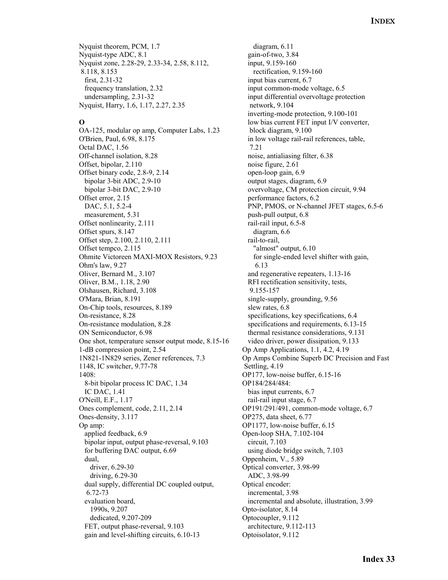Nyquist theorem, PCM, 1.7 Nyquist-type ADC, 8.1 Nyquist zone, 2.28-29, 2.33-34, 2.58, 8.112, 8.118, 8.153 first, 2.31-32 frequency translation, 2.32 undersampling, 2.31-32 Nyquist, Harry, 1.6, 1.17, 2.27, 2.35

#### **O**

OA-125, modular op amp, Computer Labs, 1.23 O'Brien, Paul, 6.98, 8.175 Octal DAC, 1.56 Off-channel isolation, 8.28 Offset, bipolar, 2.110 Offset binary code, 2.8-9, 2.14 bipolar 3-bit ADC, 2.9-10 bipolar 3-bit DAC, 2.9-10 Offset error, 2.15 DAC, 5.1, 5.2-4 measurement, 5.31 Offset nonlinearity, 2.111 Offset spurs, 8.147 Offset step, 2.100, 2.110, 2.111 Offset tempco, 2.115 Ohmite Victoreen MAXI-MOX Resistors, 9.23 Ohm's law, 9.27 Oliver, Bernard M., 3.107 Oliver, B.M., 1.18, 2.90 Olshausen, Richard, 3.108 O'Mara, Brian, 8.191 On-Chip tools, resources, 8.189 On-resistance, 8.28 On-resistance modulation, 8.28 ON Semiconductor, 6.98 One shot, temperature sensor output mode, 8.15-16 1-dB compression point, 2.54 1N821-1N829 series, Zener references, 7.3 1148, IC switcher, 9.77-78 1408: 8-bit bipolar process IC DAC, 1.34 IC DAC, 1.41 O'Neill, E.F., 1.17 Ones complement, code, 2.11, 2.14 Ones-density, 3.117 Op amp: applied feedback, 6.9 bipolar input, output phase-reversal, 9.103 for buffering DAC output, 6.69 dual, driver, 6.29-30 driving, 6.29-30 dual supply, differential DC coupled output, 6.72-73 evaluation board, 1990s, 9.207 dedicated, 9.207-209 FET, output phase-reversal, 9.103 gain and level-shifting circuits, 6.10-13

 diagram, 6.11 gain-of-two, 3.84 input, 9.159-160 rectification, 9.159-160 input bias current, 6.7 input common-mode voltage, 6.5 input differential overvoltage protection network, 9.104 inverting-mode protection, 9.100-101 low bias current FET input I/V converter, block diagram, 9.100 in low voltage rail-rail references, table, 7.21 noise, antialiasing filter, 6.38 noise figure, 2.61 open-loop gain, 6.9 output stages, diagram, 6.9 overvoltage, CM protection circuit, 9.94 performance factors, 6.2 PNP, PMOS, or N-channel JFET stages, 6.5-6 push-pull output, 6.8 rail-rail input, 6.5-8 diagram, 6.6 rail-to-rail, "almost" output, 6.10 for single-ended level shifter with gain, 6.13 and regenerative repeaters, 1.13-16 RFI rectification sensitivity, tests, 9.155-157 single-supply, grounding, 9.56 slew rates, 6.8 specifications, key specifications, 6.4 specifications and requirements, 6.13-15 thermal resistance considerations, 9.131 video driver, power dissipation, 9.133 Op Amp Applications, 1.1, 4.2, 4.19 Op Amps Combine Superb DC Precision and Fast Settling, 4.19 OP177, low-noise buffer, 6.15-16 OP184/284/484: bias input currents, 6.7 rail-rail input stage, 6.7 OP191/291/491, common-mode voltage, 6.7 OP275, data sheet, 6.77 OP1177, low-noise buffer, 6.15 Open-loop SHA, 7.102-104 circuit, 7.103 using diode bridge switch, 7.103 Oppenheim, V., 5.89 Optical converter, 3.98-99 ADC, 3.98-99 Optical encoder: incremental, 3.98 incremental and absolute, illustration, 3.99 Opto-isolator, 8.14 Optocoupler, 9.112 architecture, 9.112-113 Optoisolator, 9.112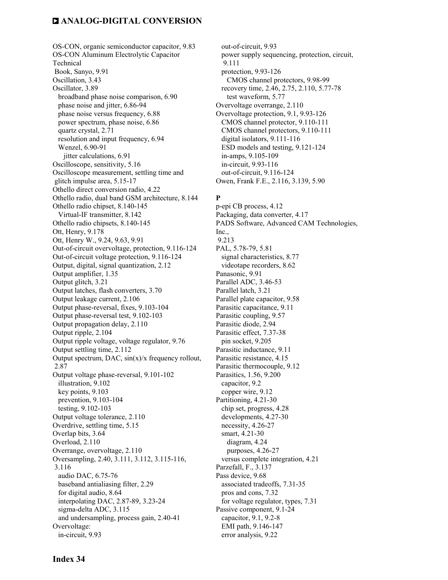OS-CON, organic semiconductor capacitor, 9.83 OS-CON Aluminum Electrolytic Capacitor Technical Book, Sanyo, 9.91 Oscillation, 3.43 Oscillator, 3.89 broadband phase noise comparison, 6.90 phase noise and jitter, 6.86-94 phase noise versus frequency, 6.88 power spectrum, phase noise, 6.86 quartz crystal, 2.71 resolution and input frequency, 6.94 Wenzel, 6.90-91 jitter calculations, 6.91 Oscilloscope, sensitivity, 5.16 Oscilloscope measurement, settling time and glitch impulse area, 5.15-17 Othello direct conversion radio, 4.22 Othello radio, dual band GSM architecture, 8.144 Othello radio chipset, 8.140-145 Virtual-IF transmitter, 8.142 Othello radio chipsets, 8.140-145 Ott, Henry, 9.178 Ott, Henry W., 9.24, 9.63, 9.91 Out-of-circuit overvoltage, protection, 9.116-124 Out-of-circuit voltage protection, 9.116-124 Output, digital, signal quantization, 2.12 Output amplifier, 1.35 Output glitch, 3.21 Output latches, flash converters, 3.70 Output leakage current, 2.106 Output phase-reversal, fixes, 9.103-104 Output phase-reversal test, 9.102-103 Output propagation delay, 2.110 Output ripple, 2.104 Output ripple voltage, voltage regulator, 9.76 Output settling time, 2.112 Output spectrum, DAC,  $sin(x)/x$  frequency rollout, 2.87 Output voltage phase-reversal, 9.101-102 illustration, 9.102 key points, 9.103 prevention, 9.103-104 testing, 9.102-103 Output voltage tolerance, 2.110 Overdrive, settling time, 5.15 Overlap bits, 3.64 Overload, 2.110 Overrange, overvoltage, 2.110 Oversampling, 2.40, 3.111, 3.112, 3.115-116, 3.116 audio DAC, 6.75-76 baseband antialiasing filter, 2.29 for digital audio, 8.64 interpolating DAC, 2.87-89, 3.23-24 sigma-delta ADC, 3.115 and undersampling, process gain, 2.40-41 Overvoltage: in-circuit, 9.93

 out-of-circuit, 9.93 power supply sequencing, protection, circuit, 9.111 protection, 9.93-126 CMOS channel protectors, 9.98-99 recovery time, 2.46, 2.75, 2.110, 5.77-78 test waveform, 5.77 Overvoltage overrange, 2.110 Overvoltage protection, 9.1, 9.93-126 CMOS channel protector, 9.110-111 CMOS channel protectors, 9.110-111 digital isolators, 9.111-116 ESD models and testing, 9.121-124 in-amps, 9.105-109 in-circuit, 9.93-116 out-of-circuit, 9.116-124 Owen, Frank F.E., 2.116, 3.139, 5.90

#### **P**

p-epi CB process, 4.12 Packaging, data converter, 4.17 PADS Software, Advanced CAM Technologies, Inc., 9.213 PAL, 5.78-79, 5.81 signal characteristics, 8.77 videotape recorders, 8.62 Panasonic, 9.91 Parallel ADC, 3.46-53 Parallel latch, 3.21 Parallel plate capacitor, 9.58 Parasitic capacitance, 9.11 Parasitic coupling, 9.57 Parasitic diode, 2.94 Parasitic effect, 7.37-38 pin socket, 9.205 Parasitic inductance, 9.11 Parasitic resistance, 4.15 Parasitic thermocouple, 9.12 Parasitics, 1.56, 9.200 capacitor, 9.2 copper wire, 9.12 Partitioning, 4.21-30 chip set, progress, 4.28 developments, 4.27-30 necessity, 4.26-27 smart, 4.21-30 diagram, 4.24 purposes, 4.26-27 versus complete integration, 4.21 Parzefall, F., 3.137 Pass device, 9.68 associated tradeoffs, 7.31-35 pros and cons, 7.32 for voltage regulator, types, 7.31 Passive component, 9.1-24 capacitor, 9.1, 9.2-8 EMI path, 9.146-147 error analysis, 9.22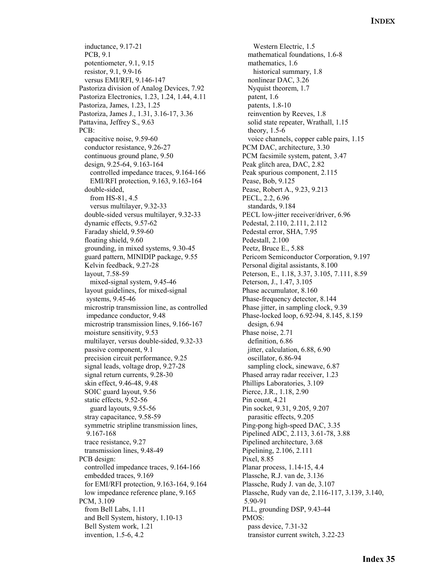inductance, 9.17-21 PCB, 9.1 potentiometer, 9.1, 9.15 resistor, 9.1, 9.9-16 versus EMI/RFI, 9.146-147 Pastoriza division of Analog Devices, 7.92 Pastoriza Electronics, 1.23, 1.24, 1.44, 4.11 Pastoriza, James, 1.23, 1.25 Pastoriza, James J., 1.31, 3.16-17, 3.36 Pattavina, Jeffrey S., 9.63 PCB: capacitive noise, 9.59-60 conductor resistance, 9.26-27 continuous ground plane, 9.50 design, 9.25-64, 9.163-164 controlled impedance traces, 9.164-166 EMI/RFI protection, 9.163, 9.163-164 double-sided, from HS-81, 4.5 versus multilayer, 9.32-33 double-sided versus multilayer, 9.32-33 dynamic effects, 9.57-62 Faraday shield, 9.59-60 floating shield, 9.60 grounding, in mixed systems, 9.30-45 guard pattern, MINIDIP package, 9.55 Kelvin feedback, 9.27-28 layout, 7.58-59 mixed-signal system, 9.45-46 layout guidelines, for mixed-signal systems, 9.45-46 microstrip transmission line, as controlled impedance conductor, 9.48 microstrip transmission lines, 9.166-167 moisture sensitivity, 9.53 multilayer, versus double-sided, 9.32-33 passive component, 9.1 precision circuit performance, 9.25 signal leads, voltage drop, 9.27-28 signal return currents, 9.28-30 skin effect, 9.46-48, 9.48 SOIC guard layout, 9.56 static effects, 9.52-56 guard layouts, 9.55-56 stray capacitance, 9.58-59 symmetric stripline transmission lines, 9.167-168 trace resistance, 9.27 transmission lines, 9.48-49 PCB design: controlled impedance traces, 9.164-166 embedded traces, 9.169 for EMI/RFI protection, 9.163-164, 9.164 low impedance reference plane, 9.165 PCM, 3.109 from Bell Labs, 1.11 and Bell System, history, 1.10-13 Bell System work, 1.21 invention, 1.5-6, 4.2

 Western Electric, 1.5 mathematical foundations, 1.6-8 mathematics, 1.6 historical summary, 1.8 nonlinear DAC, 3.26 Nyquist theorem, 1.7 patent, 1.6 patents, 1.8-10 reinvention by Reeves, 1.8 solid state repeater, Wrathall, 1.15 theory, 1.5-6 voice channels, copper cable pairs, 1.15 PCM DAC, architecture, 3.30 PCM facsimile system, patent, 3.47 Peak glitch area, DAC, 2.82 Peak spurious component, 2.115 Pease, Bob, 9.125 Pease, Robert A., 9.23, 9.213 PECL, 2.2, 6.96 standards, 9.184 PECL low-jitter receiver/driver, 6.96 Pedestal, 2.110, 2.111, 2.112 Pedestal error, SHA, 7.95 Pedestall, 2.100 Peetz, Bruce E., 5.88 Pericom Semiconductor Corporation, 9.197 Personal digital assistants, 8.100 Peterson, E., 1.18, 3.37, 3.105, 7.111, 8.59 Peterson, J., 1.47, 3.105 Phase accumulator, 8.160 Phase-frequency detector, 8.144 Phase jitter, in sampling clock, 9.39 Phase-locked loop, 6.92-94, 8.145, 8.159 design, 6.94 Phase noise, 2.71 definition, 6.86 jitter, calculation, 6.88, 6.90 oscillator, 6.86-94 sampling clock, sinewave, 6.87 Phased array radar receiver, 1.23 Phillips Laboratories, 3.109 Pierce, J.R., 1.18, 2.90 Pin count, 4.21 Pin socket, 9.31, 9.205, 9.207 parasitic effects, 9.205 Ping-pong high-speed DAC, 3.35 Pipelined ADC, 2.113, 3.61-78, 3.88 Pipelined architecture, 3.68 Pipelining, 2.106, 2.111 Pixel, 8.85 Planar process, 1.14-15, 4.4 Plassche, R.J. van de, 3.136 Plassche, Rudy J. van de, 3.107 Plassche, Rudy van de, 2.116-117, 3.139, 3.140, 5.90-91 PLL, grounding DSP, 9.43-44 PMOS: pass device, 7.31-32 transistor current switch, 3.22-23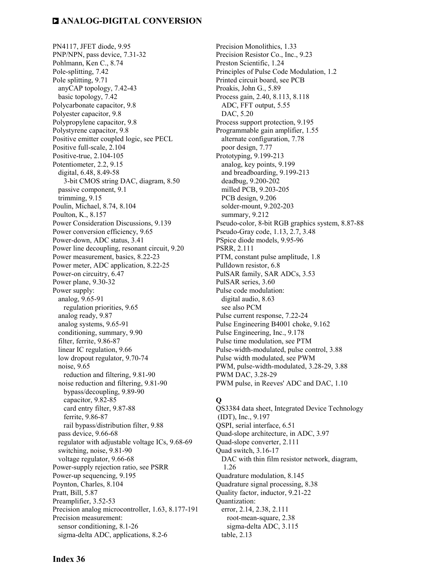PN4117, JFET diode, 9.95 PNP/NPN, pass device, 7.31-32 Pohlmann, Ken C., 8.74 Pole-splitting, 7.42 Pole splitting, 9.71 anyCAP topology, 7.42-43 basic topology, 7.42 Polycarbonate capacitor, 9.8 Polyester capacitor, 9.8 Polypropylene capacitor, 9.8 Polystyrene capacitor, 9.8 Positive emitter coupled logic, see PECL Positive full-scale, 2.104 Positive-true, 2.104-105 Potentiometer, 2.2, 9.15 digital, 6.48, 8.49-58 3-bit CMOS string DAC, diagram, 8.50 passive component, 9.1 trimming, 9.15 Poulin, Michael, 8.74, 8.104 Poulton, K., 8.157 Power Consideration Discussions, 9.139 Power conversion efficiency, 9.65 Power-down, ADC status, 3.41 Power line decoupling, resonant circuit, 9.20 Power measurement, basics, 8.22-23 Power meter, ADC application, 8.22-25 Power-on circuitry, 6.47 Power plane, 9.30-32 Power supply: analog, 9.65-91 regulation priorities, 9.65 analog ready, 9.87 analog systems, 9.65-91 conditioning, summary, 9.90 filter, ferrite, 9.86-87 linear IC regulation, 9.66 low dropout regulator, 9.70-74 noise, 9.65 reduction and filtering, 9.81-90 noise reduction and filtering, 9.81-90 bypass/decoupling, 9.89-90 capacitor, 9.82-85 card entry filter, 9.87-88 ferrite, 9.86-87 rail bypass/distribution filter, 9.88 pass device, 9.66-68 regulator with adjustable voltage ICs, 9.68-69 switching, noise, 9.81-90 voltage regulator, 9.66-68 Power-supply rejection ratio, see PSRR Power-up sequencing, 9.195 Poynton, Charles, 8.104 Pratt, Bill, 5.87 Preamplifier, 3.52-53 Precision analog microcontroller, 1.63, 8.177-191 Precision measurement: sensor conditioning, 8.1-26 sigma-delta ADC, applications, 8.2-6

Precision Monolithics, 1.33 Precision Resistor Co., Inc., 9.23 Preston Scientific, 1.24 Principles of Pulse Code Modulation, 1.2 Printed circuit board, see PCB Proakis, John G., 5.89 Process gain, 2.40, 8.113, 8.118 ADC, FFT output, 5.55 DAC, 5.20 Process support protection, 9.195 Programmable gain amplifier, 1.55 alternate configuration, 7.78 poor design, 7.77 Prototyping, 9.199-213 analog, key points, 9.199 and breadboarding, 9.199-213 deadbug, 9.200-202 milled PCB, 9.203-205 PCB design, 9.206 solder-mount, 9.202-203 summary, 9.212 Pseudo-color, 8-bit RGB graphics system, 8.87-88 Pseudo-Gray code, 1.13, 2.7, 3.48 PSpice diode models, 9.95-96 PSRR, 2.111 PTM, constant pulse amplitude, 1.8 Pulldown resistor, 6.8 PulSAR family, SAR ADCs, 3.53 PulSAR series, 3.60 Pulse code modulation: digital audio, 8.63 see also PCM Pulse current response, 7.22-24 Pulse Engineering B4001 choke, 9.162 Pulse Engineering, Inc., 9.178 Pulse time modulation, see PTM Pulse-width-modulated, pulse control, 3.88 Pulse width modulated, see PWM PWM, pulse-width-modulated, 3.28-29, 3.88 PWM DAC, 3.28-29 PWM pulse, in Reeves' ADC and DAC, 1.10

#### **Q**

QS3384 data sheet, Integrated Device Technology (IDT), Inc., 9.197 QSPI, serial interface, 6.51 Quad-slope architecture, in ADC, 3.97 Quad-slope converter, 2.111 Quad switch, 3.16-17 DAC with thin film resistor network, diagram, 1.26 Quadrature modulation, 8.145 Quadrature signal processing, 8.38 Quality factor, inductor, 9.21-22 Quantization: error, 2.14, 2.38, 2.111 root-mean-square, 2.38 sigma-delta ADC, 3.115 table, 2.13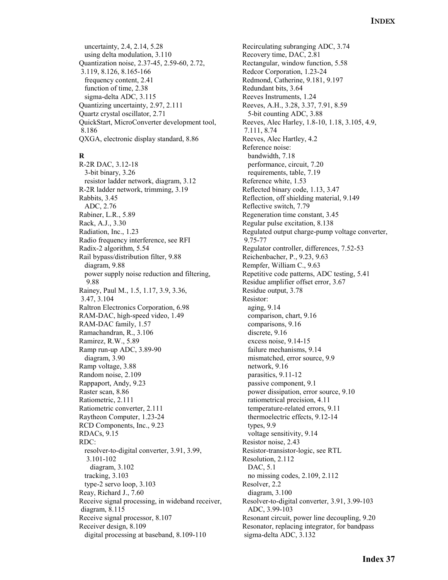uncertainty, 2.4, 2.14, 5.28 using delta modulation, 3.110 Quantization noise, 2.37-45, 2.59-60, 2.72, 3.119, 8.126, 8.165-166 frequency content, 2.41 function of time, 2.38 sigma-delta ADC, 3.115 Quantizing uncertainty, 2.97, 2.111 Quartz crystal oscillator, 2.71 QuickStart, MicroConverter development tool, 8.186 QXGA, electronic display standard, 8.86

#### **R**

R-2R DAC, 3.12-18 3-bit binary, 3.26 resistor ladder network, diagram, 3.12 R-2R ladder network, trimming, 3.19 Rabbits, 3.45 ADC, 2.76 Rabiner, L.R., 5.89 Rack, A.J., 3.30 Radiation, Inc., 1.23 Radio frequency interference, see RFI Radix-2 algorithm, 5.54 Rail bypass/distribution filter, 9.88 diagram, 9.88 power supply noise reduction and filtering, 9.88 Rainey, Paul M., 1.5, 1.17, 3.9, 3.36, 3.47, 3.104 Raltron Electronics Corporation, 6.98 RAM-DAC, high-speed video, 1.49 RAM-DAC family, 1.57 Ramachandran, R., 3.106 Ramirez, R.W., 5.89 Ramp run-up ADC, 3.89-90 diagram, 3.90 Ramp voltage, 3.88 Random noise, 2.109 Rappaport, Andy, 9.23 Raster scan, 8.86 Ratiometric, 2.111 Ratiometric converter, 2.111 Raytheon Computer, 1.23-24 RCD Components, Inc., 9.23 RDACs, 9.15 RDC: resolver-to-digital converter, 3.91, 3.99, 3.101-102 diagram, 3.102 tracking, 3.103 type-2 servo loop, 3.103 Reay, Richard J., 7.60 Receive signal processing, in wideband receiver, diagram, 8.115 Receive signal processor, 8.107 Receiver design, 8.109 digital processing at baseband, 8.109-110

Recirculating subranging ADC, 3.74 Recovery time, DAC, 2.81 Rectangular, window function, 5.58 Redcor Corporation, 1.23-24 Redmond, Catherine, 9.181, 9.197 Redundant bits, 3.64 Reeves Instruments, 1.24 Reeves, A.H., 3.28, 3.37, 7.91, 8.59 5-bit counting ADC, 3.88 Reeves, Alec Harley, 1.8-10, 1.18, 3.105, 4.9, 7.111, 8.74 Reeves, Alec Hartley, 4.2 Reference noise: bandwidth, 7.18 performance, circuit, 7.20 requirements, table, 7.19 Reference white, 1.53 Reflected binary code, 1.13, 3.47 Reflection, off shielding material, 9.149 Reflective switch, 7.79 Regeneration time constant, 3.45 Regular pulse excitation, 8.138 Regulated output charge-pump voltage converter, 9.75-77 Regulator controller, differences, 7.52-53 Reichenbacher, P., 9.23, 9.63 Rempfer, William C., 9.63 Repetitive code patterns, ADC testing, 5.41 Residue amplifier offset error, 3.67 Residue output, 3.78 Resistor: aging, 9.14 comparison, chart, 9.16 comparisons, 9.16 discrete, 9.16 excess noise, 9.14-15 failure mechanisms, 9.14 mismatched, error source, 9.9 network, 9.16 parasitics, 9.11-12 passive component, 9.1 power dissipation, error source, 9.10 ratiometrical precision, 4.11 temperature-related errors, 9.11 thermoelectric effects, 9.12-14 types, 9.9 voltage sensitivity, 9.14 Resistor noise, 2.43 Resistor-transistor-logic, see RTL Resolution, 2.112 DAC, 5.1 no missing codes, 2.109, 2.112 Resolver, 2.2 diagram, 3.100 Resolver-to-digital converter, 3.91, 3.99-103 ADC, 3.99-103 Resonant circuit, power line decoupling, 9.20 Resonator, replacing integrator, for bandpass sigma-delta ADC, 3.132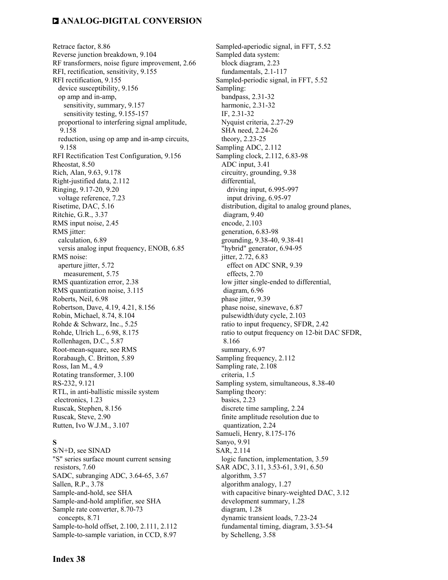Retrace factor, 8.86 Reverse junction breakdown, 9.104 RF transformers, noise figure improvement, 2.66 RFI, rectification, sensitivity, 9.155 RFI rectification, 9.155 device susceptibility, 9.156 op amp and in-amp, sensitivity, summary, 9.157 sensitivity testing, 9.155-157 proportional to interfering signal amplitude, 9.158 reduction, using op amp and in-amp circuits, 9.158 RFI Rectification Test Configuration, 9.156 Rheostat, 8.50 Rich, Alan, 9.63, 9.178 Right-justified data, 2.112 Ringing, 9.17-20, 9.20 voltage reference, 7.23 Risetime, DAC, 5.16 Ritchie, G.R., 3.37 RMS input noise, 2.45 RMS jitter: calculation, 6.89 versis analog input frequency, ENOB, 6.85 RMS noise: aperture jitter, 5.72 measurement, 5.75 RMS quantization error, 2.38 RMS quantization noise, 3.115 Roberts, Neil, 6.98 Robertson, Dave, 4.19, 4.21, 8.156 Robin, Michael, 8.74, 8.104 Rohde & Schwarz, Inc., 5.25 Rohde, Ulrich L., 6.98, 8.175 Rollenhagen, D.C., 5.87 Root-mean-square, see RMS Rorabaugh, C. Britton, 5.89 Ross, Ian M., 4.9 Rotating transformer, 3.100 RS-232, 9.121 RTL, in anti-ballistic missile system electronics, 1.23 Ruscak, Stephen, 8.156 Ruscak, Steve, 2.90 Rutten, Ivo W.J.M., 3.107

#### **S**

S/N+D, see SINAD "S" series surface mount current sensing resistors, 7.60 SADC, subranging ADC, 3.64-65, 3.67 Sallen, R.P., 3.78 Sample-and-hold, see SHA Sample-and-hold amplifier, see SHA Sample rate converter, 8.70-73 concepts, 8.71 Sample-to-hold offset, 2.100, 2.111, 2.112 Sample-to-sample variation, in CCD, 8.97

Sampled-aperiodic signal, in FFT, 5.52 Sampled data system: block diagram, 2.23 fundamentals, 2.1-117 Sampled-periodic signal, in FFT, 5.52 Sampling: bandpass, 2.31-32 harmonic, 2.31-32 IF, 2.31-32 Nyquist criteria, 2.27-29 SHA need, 2.24-26 theory, 2.23-25 Sampling ADC, 2.112 Sampling clock, 2.112, 6.83-98 ADC input, 3.41 circuitry, grounding, 9.38 differential, driving input, 6.995-997 input driving, 6.95-97 distribution, digital to analog ground planes, diagram, 9.40 encode, 2.103 generation, 6.83-98 grounding, 9.38-40, 9.38-41 "hybrid" generator, 6.94-95 jitter, 2.72, 6.83 effect on ADC SNR, 9.39 effects, 2.70 low jitter single-ended to differential, diagram, 6.96 phase jitter, 9.39 phase noise, sinewave, 6.87 pulsewidth/duty cycle, 2.103 ratio to input frequency, SFDR, 2.42 ratio to output frequency on 12-bit DAC SFDR, 8.166 summary, 6.97 Sampling frequency, 2.112 Sampling rate, 2.108 criteria, 1.5 Sampling system, simultaneous, 8.38-40 Sampling theory: basics, 2.23 discrete time sampling, 2.24 finite amplitude resolution due to quantization, 2.24 Samueli, Henry, 8.175-176 Sanyo, 9.91 SAR, 2.114 logic function, implementation, 3.59 SAR ADC, 3.11, 3.53-61, 3.91, 6.50 algorithm, 3.57 algorithm analogy, 1.27 with capacitive binary-weighted DAC, 3.12 development summary, 1.28 diagram, 1.28 dynamic transient loads, 7.23-24 fundamental timing, diagram, 3.53-54 by Schelleng, 3.58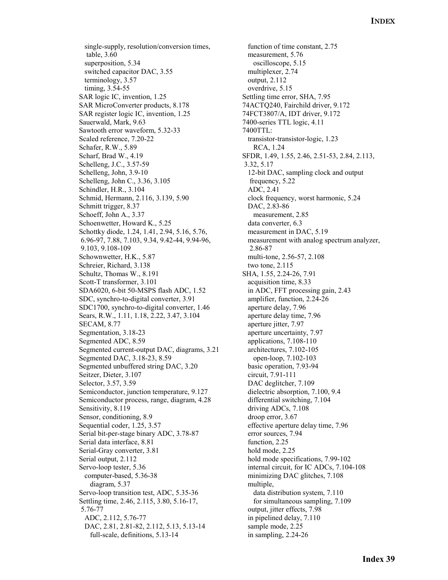single-supply, resolution/conversion times, table, 3.60 superposition, 5.34 switched capacitor DAC, 3.55 terminology, 3.57 timing, 3.54-55 SAR logic IC, invention, 1.25 SAR MicroConverter products, 8.178 SAR register logic IC, invention, 1.25 Sauerwald, Mark, 9.63 Sawtooth error waveform, 5.32-33 Scaled reference, 7.20-22 Schafer, R.W., 5.89 Scharf, Brad W., 4.19 Schelleng, J.C., 3.57-59 Schelleng, John, 3.9-10 Schelleng, John C., 3.36, 3.105 Schindler, H.R., 3.104 Schmid, Hermann, 2.116, 3.139, 5.90 Schmitt trigger, 8.37 Schoeff, John A., 3.37 Schoenwetter, Howard K., 5.25 Schottky diode, 1.24, 1.41, 2.94, 5.16, 5.76, 6.96-97, 7.88, 7.103, 9.34, 9.42-44, 9.94-96, 9.103, 9.108-109 Schownwetter, H.K., 5.87 Schreier, Richard, 3.138 Schultz, Thomas W., 8.191 Scott-T transformer, 3.101 SDA6020, 6-bit 50-MSPS flash ADC, 1.52 SDC, synchro-to-digital converter, 3.91 SDC1700, synchro-to-digital converter, 1.46 Sears, R.W., 1.11, 1.18, 2.22, 3.47, 3.104 SECAM, 8.77 Segmentation, 3.18-23 Segmented ADC, 8.59 Segmented current-output DAC, diagrams, 3.21 Segmented DAC, 3.18-23, 8.59 Segmented unbuffered string DAC, 3.20 Seitzer, Dieter, 3.107 Selector, 3.57, 3.59 Semiconductor, junction temperature, 9.127 Semiconductor process, range, diagram, 4.28 Sensitivity, 8.119 Sensor, conditioning, 8.9 Sequential coder, 1.25, 3.57 Serial bit-per-stage binary ADC, 3.78-87 Serial data interface, 8.81 Serial-Gray converter, 3.81 Serial output, 2.112 Servo-loop tester, 5.36 computer-based, 5.36-38 diagram, 5.37 Servo-loop transition test, ADC, 5.35-36 Settling time, 2.46, 2.115, 3.80, 5.16-17, 5.76-77 ADC, 2.112, 5.76-77 DAC, 2.81, 2.81-82, 2.112, 5.13, 5.13-14 full-scale, definitions, 5.13-14

 function of time constant, 2.75 measurement, 5.76 oscilloscope, 5.15 multiplexer, 2.74 output, 2.112 overdrive, 5.15 Settling time error, SHA, 7.95 74ACTQ240, Fairchild driver, 9.172 74FCT3807/A, IDT driver, 9.172 7400-series TTL logic, 4.11 7400TTL: transistor-transistor-logic, 1.23 RCA, 1.24 SFDR, 1.49, 1.55, 2.46, 2.51-53, 2.84, 2.113, 3.32, 5.17 12-bit DAC, sampling clock and output frequency, 5.22 ADC, 2.41 clock frequency, worst harmonic, 5.24 DAC, 2.83-86 measurement, 2.85 data converter, 6.3 measurement in DAC, 5.19 measurement with analog spectrum analyzer, 2.86-87 multi-tone, 2.56-57, 2.108 two tone, 2.115 SHA, 1.55, 2.24-26, 7.91 acquisition time, 8.33 in ADC, FFT processing gain, 2.43 amplifier, function, 2.24-26 aperture delay, 7.96 aperture delay time, 7.96 aperture jitter, 7.97 aperture uncertainty, 7.97 applications, 7.108-110 architectures, 7.102-105 open-loop, 7.102-103 basic operation, 7.93-94 circuit, 7.91-111 DAC deglitcher, 7.109 dielectric absorption, 7.100, 9.4 differential switching, 7.104 driving ADCs, 7.108 droop error, 3.67 effective aperture delay time, 7.96 error sources, 7.94 function, 2.25 hold mode, 2.25 hold mode specifications, 7.99-102 internal circuit, for IC ADCs, 7.104-108 minimizing DAC glitches, 7.108 multiple, data distribution system, 7.110 for simultaneous sampling, 7.109 output, jitter effects, 7.98 in pipelined delay, 7.110 sample mode, 2.25 in sampling, 2.24-26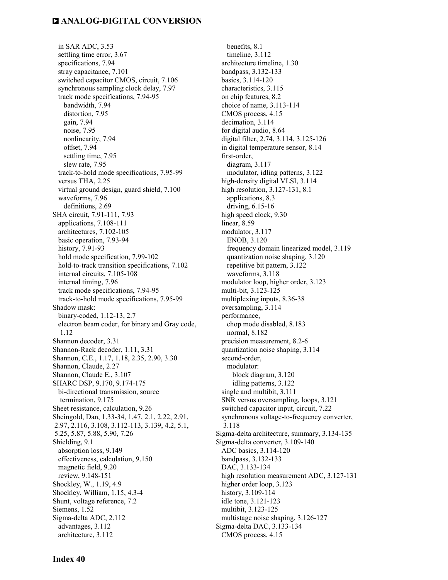in SAR ADC, 3.53 settling time error, 3.67 specifications, 7.94 stray capacitance, 7.101 switched capacitor CMOS, circuit, 7.106 synchronous sampling clock delay, 7.97 track mode specifications, 7.94-95 bandwidth, 7.94 distortion, 7.95 gain, 7.94 noise, 7.95 nonlinearity, 7.94 offset, 7.94 settling time, 7.95 slew rate, 7.95 track-to-hold mode specifications, 7.95-99 versus THA, 2.25 virtual ground design, guard shield, 7.100 waveforms, 7.96 definitions, 2.69 SHA circuit, 7.91-111, 7.93 applications, 7.108-111 architectures, 7.102-105 basic operation, 7.93-94 history, 7.91-93 hold mode specification, 7.99-102 hold-to-track transition specifications, 7.102 internal circuits, 7.105-108 internal timing, 7.96 track mode specifications, 7.94-95 track-to-hold mode specifications, 7.95-99 Shadow mask: binary-coded, 1.12-13, 2.7 electron beam coder, for binary and Gray code, 1.12 Shannon decoder, 3.31 Shannon-Rack decoder, 1.11, 3.31 Shannon, C.E., 1.17, 1.18, 2.35, 2.90, 3.30 Shannon, Claude, 2.27 Shannon, Claude E., 3.107 SHARC DSP, 9.170, 9.174-175 bi-directional transmission, source termination, 9.175 Sheet resistance, calculation, 9.26 Sheingold, Dan, 1.33-34, 1.47, 2.1, 2.22, 2.91, 2.97, 2.116, 3.108, 3.112-113, 3.139, 4.2, 5.1, 5.25, 5.87, 5.88, 5.90, 7.26 Shielding, 9.1 absorption loss, 9.149 effectiveness, calculation, 9.150 magnetic field, 9.20 review, 9.148-151 Shockley, W., 1.19, 4.9 Shockley, William, 1.15, 4.3-4 Shunt, voltage reference, 7.2 Siemens, 1.52 Sigma-delta ADC, 2.112 advantages, 3.112 architecture, 3.112

 benefits, 8.1 timeline, 3.112 architecture timeline, 1.30 bandpass, 3.132-133 basics, 3.114-120 characteristics, 3.115 on chip features, 8.2 choice of name, 3.113-114 CMOS process, 4.15 decimation, 3.114 for digital audio, 8.64 digital filter, 2.74, 3.114, 3.125-126 in digital temperature sensor, 8.14 first-order, diagram, 3.117 modulator, idling patterns, 3.122 high-density digital VLSI, 3.114 high resolution, 3.127-131, 8.1 applications, 8.3 driving, 6.15-16 high speed clock, 9.30 linear, 8.59 modulator, 3.117 ENOB, 3.120 frequency domain linearized model, 3.119 quantization noise shaping, 3.120 repetitive bit pattern, 3.122 waveforms, 3.118 modulator loop, higher order, 3.123 multi-bit, 3.123-125 multiplexing inputs, 8.36-38 oversampling, 3.114 performance, chop mode disabled, 8.183 normal, 8.182 precision measurement, 8.2-6 quantization noise shaping, 3.114 second-order, modulator: block diagram, 3.120 idling patterns, 3.122 single and multibit, 3.111 SNR versus oversampling, loops, 3.121 switched capacitor input, circuit, 7.22 synchronous voltage-to-frequency converter, 3.118 Sigma-delta architecture, summary, 3.134-135 Sigma-delta converter, 3.109-140 ADC basics, 3.114-120 bandpass, 3.132-133 DAC, 3.133-134 high resolution measurement ADC, 3.127-131 higher order loop, 3.123 history, 3.109-114 idle tone, 3.121-123 multibit, 3.123-125 multistage noise shaping, 3.126-127 Sigma-delta DAC, 3.133-134 CMOS process, 4.15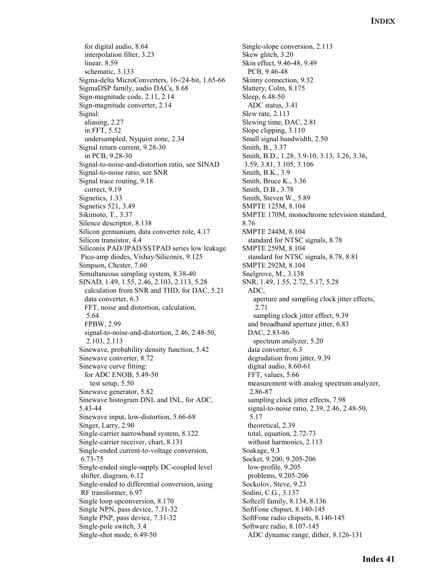for digital audio, 8.64 interpolation filter, 3.23 linear, 8.59 schematic, 3.133 Sigma-delta MicroConverters, 16-/24-bit, 1.65-66 SigmaDSP family, audio DACs, 8.68 Sign-magnitude code, 2.11, 2.14 Sign-magnitude converter, 2.14 Signal: aliasing, 2.27 in FFT, 5.52 undersampled, Nyquist zone, 2.34 Signal return current, 9.28-30 in PCB, 9.28-30 Signal-to-noise-and-distortion ratio, see SINAD Signal-to-noise ratio, see SNR Signal trace routing, 9.18 correct, 9.19 Signetics, 1.33 Signetics 521, 3.49 Sikimoto, T., 3.37 Silence descriptor, 8.138 Silicon germanium, data converter role, 4.17 Silicon transistor, 4.4 Siliconix PAD/JPAD/SSTPAD series low leakage Pico-amp diodes, Vishay/Siliconix, 9.125 Simpson, Chester, 7.60 Simultaneous sampling system, 8.38-40 SINAD, 1.49, 1.55, 2.46, 2.103, 2.113, 5.28 calculation from SNR and THD, for DAC, 5.21 data converter, 6.3 FFT, noise and distortion, calculation, 5.64 FPBW, 2.99 signal-to-noise-and-distortion, 2.46, 2.48-50, 2.103, 2.113 Sinewave, probability density function, 5.42 Sinewave converter, 8.72 Sinewave curve fitting: for ADC ENOB, 5.49-50 test setup, 5.50 Sinewave generator, 5.82 Sinewave histogram DNL and INL, for ADC, 5.43-44 Sinewave input, low-distortion, 5.66-68 Singer, Larry, 2.90 Single-carrier narrowband system, 8.122 Single-carrier receiver, chart, 8.131 Single-ended current-to-voltage conversion, 6.73-75 Single-ended single-supply DC-coupled level shifter, diagram, 6.12 Single-ended to differential conversion, using RF transformer, 6.97 Single loop upconversion, 8.170 Single NPN, pass device, 7.31-32 Single PNP, pass device, 7.31-32 Single-pole switch, 3.4 Single-shot mode, 6.49-50

Single-slope conversion, 2.113 Skew glitch, 3.20 Skin effect, 9.46-48, 9.49 PCB, 9.46-48 Skinny connection, 9.32 Slattery, Colm, 8.175 Sleep, 6.48-50 ADC status, 3.41 Slew rate, 2.113 Slewing time, DAC, 2.81 Slope clipping, 3.110 Small signal bandwidth, 2.50 Smith, B., 3.37 Smith, B.D., 1.28, 3.9-10, 3.13, 3.26, 3.36, 3.59, 3.81, 3.105, 3.106 Smith, B.K., 3.9 Smith, Bruce K., 3.36 Smith, D.B., 3.78 Smith, Steven W., 5.89 SMPTE 125M, 8.104 SMPTE 170M, monochrome television standard, 8.76 SMPTE 244M, 8.104 standard for NTSC signals, 8.78 SMPTE 259M, 8.104 standard for NTSC signals, 8.78, 8.81 SMPTE 292M, 8.104 Snelgrove, M., 3.138 SNR, 1.49, 1.55, 2.72, 5.17, 5.28 ADC, aperture and sampling clock jitter effects, 2.71 sampling clock jitter effect, 9.39 and broadband aperture jitter, 6.83 DAC, 2.83-86 spectrum analyzer, 5.20 data converter, 6.3 degradation from jitter, 9.39 digital audio, 8.60-61 FFT, values, 5.66 measurement with analog spectrum analyzer, 2.86-87 sampling clock jitter effects, 7.98 signal-to-noise ratio, 2.39, 2.46, 2.48-50, 5.17 theoretical, 2.39 total, equation, 2.72-73 without harmonics, 2.113 Soakage, 9.3 Socket, 9.200, 9.205-206 low-profile, 9.205 problems, 9.205-206 Sockolov, Steve, 9.23 Sodini, C.G., 3.137 Softcell family, 8.134, 8.136 SoftFone chipset, 8.140-145 SoftFone radio chipsets, 8.140-145 Software radio, 8.107-145 ADC dynamic range, dither, 8.126-131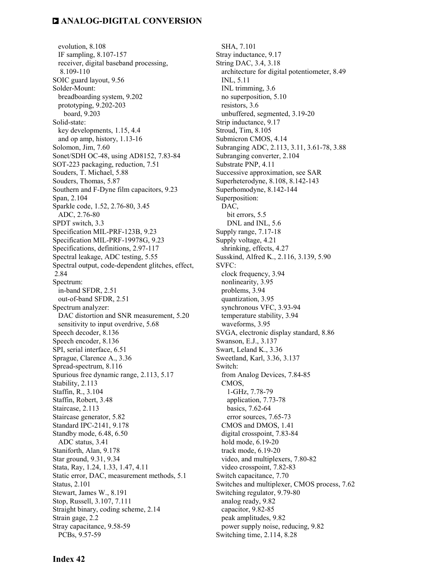evolution, 8.108 IF sampling, 8.107-157 receiver, digital baseband processing, 8.109-110 SOIC guard layout, 9.56 Solder-Mount: breadboarding system, 9.202 prototyping, 9.202-203 board, 9.203 Solid-state: key developments, 1.15, 4.4 and op amp, history, 1.13-16 Solomon, Jim, 7.60 Sonet/SDH OC-48, using AD8152, 7.83-84 SOT-223 packaging, reduction, 7.51 Souders, T. Michael, 5.88 Souders, Thomas, 5.87 Southern and F-Dyne film capacitors, 9.23 Span, 2.104 Sparkle code, 1.52, 2.76-80, 3.45 ADC, 2.76-80 SPDT switch, 3.3 Specification MIL-PRF-123B, 9.23 Specification MIL-PRF-19978G, 9.23 Specifications, definitions, 2.97-117 Spectral leakage, ADC testing, 5.55 Spectral output, code-dependent glitches, effect, 2.84 Spectrum: in-band SFDR, 2.51 out-of-band SFDR, 2.51 Spectrum analyzer: DAC distortion and SNR measurement, 5.20 sensitivity to input overdrive, 5.68 Speech decoder, 8.136 Speech encoder, 8.136 SPI, serial interface, 6.51 Sprague, Clarence A., 3.36 Spread-spectrum, 8.116 Spurious free dynamic range, 2.113, 5.17 Stability, 2.113 Staffin, R., 3.104 Staffin, Robert, 3.48 Staircase, 2.113 Staircase generator, 5.82 Standard IPC-2141, 9.178 Standby mode, 6.48, 6.50 ADC status, 3.41 Staniforth, Alan, 9.178 Star ground, 9.31, 9.34 Stata, Ray, 1.24, 1.33, 1.47, 4.11 Static error, DAC, measurement methods, 5.1 Status, 2.101 Stewart, James W., 8.191 Stop, Russell, 3.107, 7.111 Straight binary, coding scheme, 2.14 Strain gage, 2.2 Stray capacitance, 9.58-59 PCBs, 9.57-59

 SHA, 7.101 Stray inductance, 9.17 String DAC, 3.4, 3.18 architecture for digital potentiometer, 8.49 INL, 5.11 INL trimming, 3.6 no superposition, 5.10 resistors, 3.6 unbuffered, segmented, 3.19-20 Strip inductance, 9.17 Stroud, Tim, 8.105 Submicron CMOS, 4.14 Subranging ADC, 2.113, 3.11, 3.61-78, 3.88 Subranging converter, 2.104 Substrate PNP, 4.11 Successive approximation, see SAR Superheterodyne, 8.108, 8.142-143 Superhomodyne, 8.142-144 Superposition: DAC, bit errors, 5.5 DNL and INL, 5.6 Supply range, 7.17-18 Supply voltage, 4.21 shrinking, effects, 4.27 Susskind, Alfred K., 2.116, 3.139, 5.90 SVFC: clock frequency, 3.94 nonlinearity, 3.95 problems, 3.94 quantization, 3.95 synchronous VFC, 3.93-94 temperature stability, 3.94 waveforms, 3.95 SVGA, electronic display standard, 8.86 Swanson, E.J., 3.137 Swart, Leland K., 3.36 Sweetland, Karl, 3.36, 3.137 Switch: from Analog Devices, 7.84-85 CMOS, 1-GHz, 7.78-79 application, 7.73-78 basics, 7.62-64 error sources, 7.65-73 CMOS and DMOS, 1.41 digital crosspoint, 7.83-84 hold mode, 6.19-20 track mode, 6.19-20 video, and multiplexers, 7.80-82 video crosspoint, 7.82-83 Switch capacitance, 7.70 Switches and multiplexer, CMOS process, 7.62 Switching regulator, 9.79-80 analog ready, 9.82 capacitor, 9.82-85 peak amplitudes, 9.82 power supply noise, reducing, 9.82 Switching time, 2.114, 8.28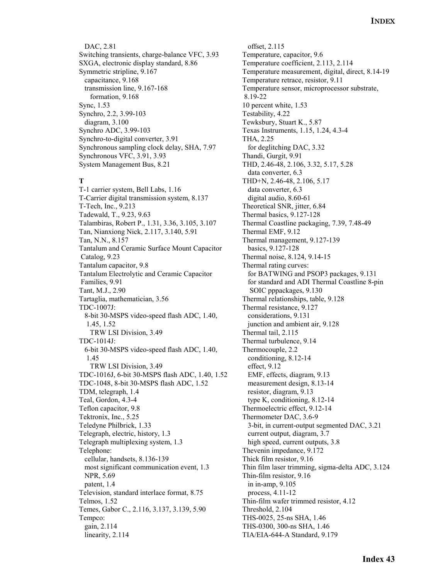DAC, 2.81 Switching transients, charge-balance VFC, 3.93 SXGA, electronic display standard, 8.86 Symmetric stripline, 9.167 capacitance, 9.168 transmission line, 9.167-168 formation, 9.168 Sync, 1.53 Synchro, 2.2, 3.99-103 diagram, 3.100 Synchro ADC, 3.99-103 Synchro-to-digital converter, 3.91 Synchronous sampling clock delay, SHA, 7.97 Synchronous VFC, 3.91, 3.93 System Management Bus, 8.21

#### **T**

T-1 carrier system, Bell Labs, 1.16 T-Carrier digital transmission system, 8.137 T-Tech, Inc., 9.213 Tadewald, T., 9.23, 9.63 Talambiras, Robert P., 1.31, 3.36, 3.105, 3.107 Tan, Nianxiong Nick, 2.117, 3.140, 5.91 Tan, N.N., 8.157 Tantalum and Ceramic Surface Mount Capacitor Catalog, 9.23 Tantalum capacitor, 9.8 Tantalum Electrolytic and Ceramic Capacitor Families, 9.91 Tant, M.J., 2.90 Tartaglia, mathematician, 3.56 TDC-1007J: 8-bit 30-MSPS video-speed flash ADC, 1.40, 1.45, 1.52 TRW LSI Division, 3.49 TDC-1014J: 6-bit 30-MSPS video-speed flash ADC, 1.40, 1.45 TRW LSI Division, 3.49 TDC-1016J, 6-bit 30-MSPS flash ADC, 1.40, 1.52 TDC-1048, 8-bit 30-MSPS flash ADC, 1.52 TDM, telegraph, 1.4 Teal, Gordon, 4.3-4 Teflon capacitor, 9.8 Tektronix, Inc., 5.25 Teledyne Philbrick, 1.33 Telegraph, electric, history, 1.3 Telegraph multiplexing system, 1.3 Telephone: cellular, handsets, 8.136-139 most significant communication event, 1.3 NPR, 5.69 patent, 1.4 Television, standard interlace format, 8.75 Telmos, 1.52 Temes, Gabor C., 2.116, 3.137, 3.139, 5.90 Tempco: gain, 2.114 linearity, 2.114

 offset, 2.115 Temperature, capacitor, 9.6 Temperature coefficient, 2.113, 2.114 Temperature measurement, digital, direct, 8.14-19 Temperature retrace, resistor, 9.11 Temperature sensor, microprocessor substrate, 8.19-22 10 percent white, 1.53 Testability, 4.22 Tewksbury, Stuart K., 5.87 Texas Instruments, 1.15, 1.24, 4.3-4 THA, 2.25 for deglitching DAC, 3.32 Thandi, Gurgit, 9.91 THD, 2.46-48, 2.106, 3.32, 5.17, 5.28 data converter, 6.3 THD+N, 2.46-48, 2.106, 5.17 data converter, 6.3 digital audio, 8.60-61 Theoretical SNR, jitter, 6.84 Thermal basics, 9.127-128 Thermal Coastline packaging, 7.39, 7.48-49 Thermal EMF, 9.12 Thermal management, 9.127-139 basics, 9.127-128 Thermal noise, 8.124, 9.14-15 Thermal rating curves: for BATWING and PSOP3 packages, 9.131 for standard and ADI Thermal Coastline 8-pin SOIC pppackages, 9.130 Thermal relationships, table, 9.128 Thermal resistance, 9.127 considerations, 9.131 junction and ambient air, 9.128 Thermal tail, 2.115 Thermal turbulence, 9.14 Thermocouple, 2.2 conditioning, 8.12-14 effect, 9.12 EMF, effects, diagram, 9.13 measurement design, 8.13-14 resistor, diagram, 9.13 type K, conditioning, 8.12-14 Thermoelectric effect, 9.12-14 Thermometer DAC, 3.6-9 3-bit, in current-output segmented DAC, 3.21 current output, diagram, 3.7 high speed, current outputs, 3.8 Thevenin impedance, 9.172 Thick film resistor, 9.16 Thin film laser trimming, sigma-delta ADC, 3.124 Thin-film resistor, 9.16 in in-amp, 9.105 process, 4.11-12 Thin-film wafer trimmed resistor, 4.12 Threshold, 2.104 THS-0025, 25-ns SHA, 1.46 THS-0300, 300-ns SHA, 1.46 TIA/EIA-644-A Standard, 9.179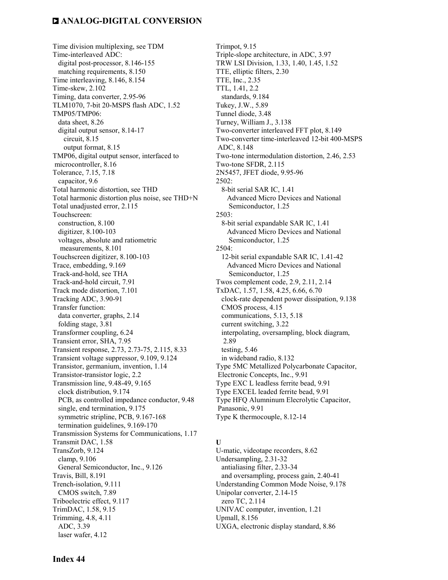Time division multiplexing, see TDM Time-interleaved ADC: digital post-processor, 8.146-155 matching requirements, 8.150 Time interleaving, 8.146, 8.154 Time-skew, 2.102 Timing, data converter, 2.95-96 TLM1070, 7-bit 20-MSPS flash ADC, 1.52 TMP05/TMP06: data sheet, 8.26 digital output sensor, 8.14-17 circuit, 8.15 output format, 8.15 TMP06, digital output sensor, interfaced to microcontroller, 8.16 Tolerance, 7.15, 7.18 capacitor, 9.6 Total harmonic distortion, see THD Total harmonic distortion plus noise, see THD+N Total unadjusted error, 2.115 Touchscreen: construction, 8.100 digitizer, 8.100-103 voltages, absolute and ratiometric measurements, 8.101 Touchscreen digitizer, 8.100-103 Trace, embedding, 9.169 Track-and-hold, see THA Track-and-hold circuit, 7.91 Track mode distortion, 7.101 Tracking ADC, 3.90-91 Transfer function: data converter, graphs, 2.14 folding stage, 3.81 Transformer coupling, 6.24 Transient error, SHA, 7.95 Transient response, 2.73, 2.73-75, 2.115, 8.33 Transient voltage suppressor, 9.109, 9.124 Transistor, germanium, invention, 1.14 Transistor-transistor logic, 2.2 Transmission line, 9.48-49, 9.165 clock distribution, 9.174 PCB, as controlled impedance conductor, 9.48 single, end termination, 9.175 symmetric stripline, PCB, 9.167-168 termination guidelines, 9.169-170 Transmission Systems for Communications, 1.17 Transmit DAC, 1.58 TransZorb, 9.124 clamp, 9.106 General Semiconductor, Inc., 9.126 Travis, Bill, 8.191 Trench-isolation, 9.111 CMOS switch, 7.89 Triboelectric effect, 9.117 TrimDAC, 1.58, 9.15 Trimming, 4.8, 4.11 ADC, 3.39 laser wafer, 4.12

Trimpot, 9.15 Triple-slope architecture, in ADC, 3.97 TRW LSI Division, 1.33, 1.40, 1.45, 1.52 TTE, elliptic filters, 2.30 TTE, Inc., 2.35 TTL, 1.41, 2.2 standards, 9.184 Tukey, J.W., 5.89 Tunnel diode, 3.48 Turney, William J., 3.138 Two-converter interleaved FFT plot, 8.149 Two-converter time-interleaved 12-bit 400-MSPS ADC, 8.148 Two-tone intermodulation distortion, 2.46, 2.53 Two-tone SFDR, 2.115 2N5457, JFET diode, 9.95-96 2502: 8-bit serial SAR IC, 1.41 Advanced Micro Devices and National Semiconductor, 1.25 2503: 8-bit serial expandable SAR IC, 1.41 Advanced Micro Devices and National Semiconductor, 1.25 2504: 12-bit serial expandable SAR IC, 1.41-42 Advanced Micro Devices and National Semiconductor, 1.25 Twos complement code, 2.9, 2.11, 2.14 TxDAC, 1.57, 1.58, 4.25, 6.66, 6.70 clock-rate dependent power dissipation, 9.138 CMOS process, 4.15 communications, 5.13, 5.18 current switching, 3.22 interpolating, oversampling, block diagram, 2.89 testing, 5.46 in wideband radio, 8.132 Type 5MC Metallized Polycarbonate Capacitor, Electronic Concepts, Inc., 9.91 Type EXC L leadless ferrite bead, 9.91 Type EXCEL leaded ferrite bead, 9.91 Type HFQ Alumninum Elecrolytic Capacitor, Panasonic, 9.91 Type K thermocouple, 8.12-14 **U**  U-matic, videotape recorders, 8.62 Undersampling, 2.31-32 antialiasing filter, 2.33-34 and oversampling, process gain, 2.40-41

Understanding Common Mode Noise, 9.178

Unipolar converter, 2.14-15

zero TC, 2.114

UNIVAC computer, invention, 1.21 Upmall, 8.156

UXGA, electronic display standard, 8.86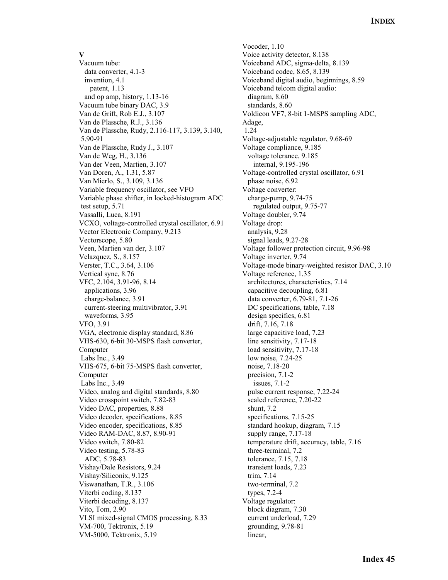#### **V**

Vacuum tube: data converter, 4.1-3 invention, 4.1 patent, 1.13 and op amp, history, 1.13-16 Vacuum tube binary DAC, 3.9 Van de Grift, Rob E.J., 3.107 Van de Plassche, R.J., 3.136 Van de Plassche, Rudy, 2.116-117, 3.139, 3.140, 5.90-91 Van de Plassche, Rudy J., 3.107 Van de Weg, H., 3.136 Van der Veen, Martien, 3.107 Van Doren, A., 1.31, 5.87 Van Mierlo, S., 3.109, 3.136 Variable frequency oscillator, see VFO Variable phase shifter, in locked-histogram ADC test setup, 5.71 Vassalli, Luca, 8.191 VCXO, voltage-controlled crystal oscillator, 6.91 Vector Electronic Company, 9.213 Vectorscope, 5.80 Veen, Martien van der, 3.107 Velazquez, S., 8.157 Verster, T.C., 3.64, 3.106 Vertical sync, 8.76 VFC, 2.104, 3.91-96, 8.14 applications, 3.96 charge-balance, 3.91 current-steering multivibrator, 3.91 waveforms, 3.95 VFO, 3.91 VGA, electronic display standard, 8.86 VHS-630, 6-bit 30-MSPS flash converter, Computer Labs Inc., 3.49 VHS-675, 6-bit 75-MSPS flash converter, Computer Labs Inc., 3.49 Video, analog and digital standards, 8.80 Video crosspoint switch, 7.82-83 Video DAC, properties, 8.88 Video decoder, specifications, 8.85 Video encoder, specifications, 8.85 Video RAM-DAC, 8.87, 8.90-91 Video switch, 7.80-82 Video testing, 5.78-83 ADC, 5.78-83 Vishay/Dale Resistors, 9.24 Vishay/Siliconix, 9.125 Viswanathan, T.R., 3.106 Viterbi coding, 8.137 Viterbi decoding, 8.137 Vito, Tom, 2.90 VLSI mixed-signal CMOS processing, 8.33 VM-700, Tektronix, 5.19 VM-5000, Tektronix, 5.19

Vocoder, 1.10 Voice activity detector, 8.138 Voiceband ADC, sigma-delta, 8.139 Voiceband codec, 8.65, 8.139 Voiceband digital audio, beginnings, 8.59 Voiceband telcom digital audio: diagram, 8.60 standards, 8.60 Voldicon VF7, 8-bit 1-MSPS sampling ADC, Adage, 1.24 Voltage-adjustable regulator, 9.68-69 Voltage compliance, 9.185 voltage tolerance, 9.185 internal, 9.195-196 Voltage-controlled crystal oscillator, 6.91 phase noise, 6.92 Voltage converter: charge-pump, 9.74-75 regulated output, 9.75-77 Voltage doubler, 9.74 Voltage drop: analysis, 9.28 signal leads, 9.27-28 Voltage follower protection circuit, 9.96-98 Voltage inverter, 9.74 Voltage-mode binary-weighted resistor DAC, 3.10 Voltage reference, 1.35 architectures, characteristics, 7.14 capacitive decoupling, 6.81 data converter, 6.79-81, 7.1-26 DC specifications, table,  $7.18$  design specifics, 6.81 drift, 7.16, 7.18 large capacitive load, 7.23 line sensitivity, 7.17-18 load sensitivity, 7.17-18 low noise, 7.24-25 noise, 7.18-20 precision, 7.1-2 issues, 7.1-2 pulse current response, 7.22-24 scaled reference, 7.20-22 shunt, 7.2 specifications, 7.15-25 standard hookup, diagram, 7.15 supply range, 7.17-18 temperature drift, accuracy, table, 7.16 three-terminal, 7.2 tolerance, 7.15, 7.18 transient loads, 7.23 trim, 7.14 two-terminal, 7.2 types, 7.2-4 Voltage regulator: block diagram, 7.30 current underload, 7.29 grounding, 9.78-81 linear,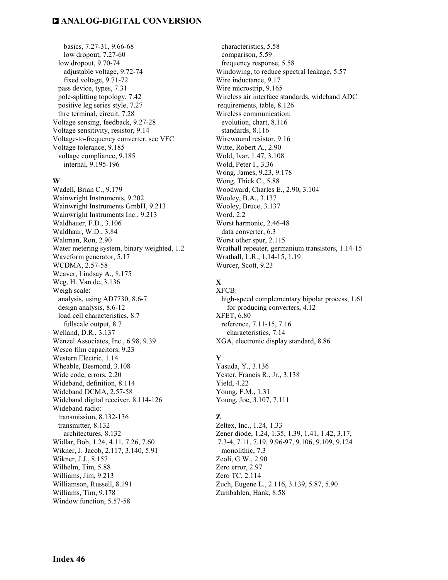basics, 7.27-31, 9.66-68 low dropout, 7.27-60 low dropout, 9.70-74 adjustable voltage, 9.72-74 fixed voltage, 9.71-72 pass device, types, 7.31 pole-splitting topology, 7.42 positive leg series style, 7.27 thre terminal, circuit, 7.28 Voltage sensing, feedback, 9.27-28 Voltage sensitivity, resistor, 9.14 Voltage-to-frequency converter, see VFC Voltage tolerance, 9.185 voltage compliance, 9.185 internal, 9.195-196

#### **W**

Wadell, Brian C., 9.179 Wainwright Instruments, 9.202 Wainwright Instruments GmbH, 9.213 Wainwright Instruments Inc., 9.213 Waldhauer, F.D., 3.106 Waldhaur, W.D., 3.84 Waltman, Ron, 2.90 Water metering system, binary weighted, 1.2 Waveform generator, 5.17 WCDMA, 2.57-58 Weaver, Lindsay A., 8.175 Weg, H. Van de, 3.136 Weigh scale: analysis, using AD7730, 8.6-7 design analysis, 8.6-12 load cell characteristics, 8.7 fullscale output, 8.7 Welland, D.R., 3.137 Wenzel Associates, Inc., 6.98, 9.39 Wesco film capacitors, 9.23 Western Electric, 1.14 Wheable, Desmond, 3.108 Wide code, errors, 2.20 Wideband, definition, 8.114 Wideband DCMA, 2.57-58 Wideband digital receiver, 8.114-126 Wideband radio: transmission, 8.132-136 transmitter, 8.132 architectures, 8.132 Widlar, Bob, 1.24, 4.11, 7.26, 7.60 Wikner, J. Jacob, 2.117, 3.140, 5.91 Wikner, J.J., 8.157 Wilhelm, Tim, 5.88 Williams, Jim, 9.213 Williamson, Russell, 8.191 Williams, Tim, 9.178 Window function, 5.57-58

 characteristics, 5.58 comparison, 5.59 frequency response, 5.58 Windowing, to reduce spectral leakage, 5.57 Wire inductance, 9.17 Wire microstrip, 9.165 Wireless air interface standards, wideband ADC requirements, table, 8.126 Wireless communication: evolution, chart, 8.116 standards, 8.116 Wirewound resistor, 9.16 Witte, Robert A., 2.90 Wold, Ivar, 1.47, 3.108 Wold, Peter I., 3.36 Wong, James, 9.23, 9.178 Wong, Thick C., 5.88 Woodward, Charles E., 2.90, 3.104 Wooley, B.A., 3.137 Wooley, Bruce, 3.137 Word, 2.2 Worst harmonic, 2.46-48 data converter, 6.3 Worst other spur, 2.115 Wrathall repeater, germanium transistors, 1.14-15 Wrathall, L.R., 1.14-15, 1.19 Wurcer, Scott, 9.23

#### **X**  XFCB:

 high-speed complementary bipolar process, 1.61 for producing converters, 4.12 XFET, 6.80 reference, 7.11-15, 7.16 characteristics, 7.14 XGA, electronic display standard, 8.86

#### **Y**

Yasuda, Y., 3.136 Yester, Francis R., Jr., 3.138 Yield, 4.22 Young, F.M., 1.31 Young, Joe, 3.107, 7.111

#### **Z**

Zeltex, Inc., 1.24, 1.33 Zener diode, 1.24, 1.35, 1.39, 1.41, 1.42, 3.17, 7.3-4, 7.11, 7.19, 9.96-97, 9.106, 9.109, 9.124 monolithic, 7.3 Zeoli, G.W., 2.90 Zero error, 2.97 Zero TC, 2.114 Zuch, Eugene L., 2.116, 3.139, 5.87, 5.90 Zumbahlen, Hank, 8.58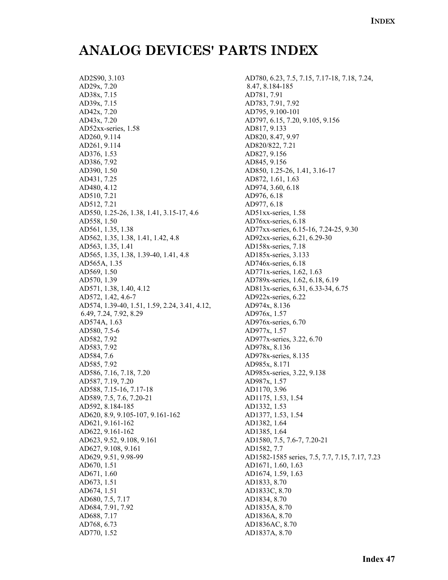## **ANALOG DEVICES' PARTS INDEX**

AD2S90, 3.103 AD29x, 7.20 AD38x, 7.15 AD39x, 7.15 AD42x, 7.20 AD43x, 7.20 AD52xx-series, 1.58 AD260, 9.114 AD261, 9.114 AD376, 1.53 AD386, 7.92 AD390, 1.50 AD431, 7.25 AD480, 4.12 AD510, 7.21 AD512, 7.21 AD550, 1.25-26, 1.38, 1.41, 3.15-17, 4.6 AD558, 1.50 AD561, 1.35, 1.38 AD562, 1.35, 1.38, 1.41, 1.42, 4.8 AD563, 1.35, 1.41 AD565, 1.35, 1.38, 1.39-40, 1.41, 4.8 AD565A, 1.35 AD569, 1.50 AD570, 1.39 AD571, 1.38, 1.40, 4.12 AD572, 1.42, 4.6-7 AD574, 1.39-40, 1.51, 1.59, 2.24, 3.41, 4.12, 6.49, 7.24, 7.92, 8.29 AD574A, 1.63 AD580, 7.5-6 AD582, 7.92 AD583, 7.92 AD584, 7.6 AD585, 7.92 AD586, 7.16, 7.18, 7.20 AD587, 7.19, 7.20 AD588, 7.15-16, 7.17-18 AD589, 7.5, 7.6, 7.20-21 AD592, 8.184-185 AD620, 8.9, 9.105-107, 9.161-162 AD621, 9.161-162 AD622, 9.161-162 AD623, 9.52, 9.108, 9.161 AD627, 9.108, 9.161 AD629, 9.51, 9.98-99 AD670, 1.51 AD671, 1.60 AD673, 1.51 AD674, 1.51 AD680, 7.5, 7.17 AD684, 7.91, 7.92 AD688, 7.17 AD768, 6.73 AD770, 1.52

AD780, 6.23, 7.5, 7.15, 7.17-18, 7.18, 7.24, 8.47, 8.184-185 AD781, 7.91 AD783, 7.91, 7.92 AD795, 9.100-101 AD797, 6.15, 7.20, 9.105, 9.156 AD817, 9.133 AD820, 8.47, 9.97 AD820/822, 7.21 AD827, 9.156 AD845, 9.156 AD850, 1.25-26, 1.41, 3.16-17 AD872, 1.61, 1.63 AD974, 3.60, 6.18 AD976, 6.18 AD977, 6.18 AD51xx-series, 1.58 AD76xx-series, 6.18 AD77xx-series, 6.15-16, 7.24-25, 9.30 AD92xx-series, 6.21, 6.29-30 AD158x-series, 7.18 AD185x-series, 3.133 AD746x-series, 6.18 AD771x-series, 1.62, 1.63 AD789x-series, 1.62, 6.18, 6.19 AD813x-series, 6.31, 6.33-34, 6.75 AD922x-series, 6.22 AD974x, 8.136 AD976x, 1.57 AD976x-series, 6.70 AD977x, 1.57 AD977x-series, 3.22, 6.70 AD978x, 8.136 AD978x-series, 8.135 AD985x, 8.171 AD985x-series, 3.22, 9.138 AD987x, 1.57 AD1170, 3.96 AD1175, 1.53, 1.54 AD1332, 1.53 AD1377, 1.53, 1.54 AD1382, 1.64 AD1385, 1.64 AD1580, 7.5, 7.6-7, 7.20-21 AD1582, 7.7 AD1582-1585 series, 7.5, 7.7, 7.15, 7.17, 7.23 AD1671, 1.60, 1.63 AD1674, 1.59, 1.63 AD1833, 8.70 AD1833C, 8.70 AD1834, 8.70 AD1835A, 8.70 AD1836A, 8.70 AD1836AC, 8.70 AD1837A, 8.70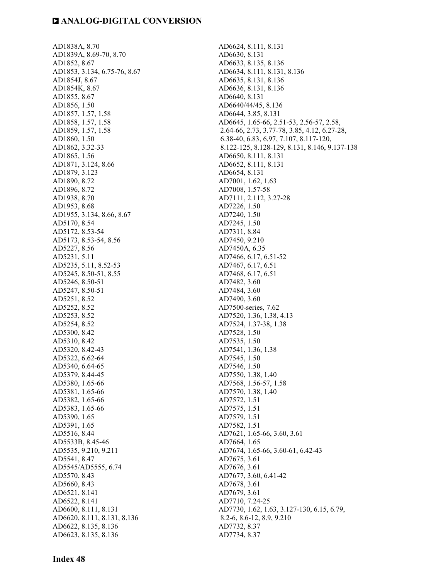AD1838A, 8.70 AD1839A, 8.69-70, 8.70 AD1852, 8.67 AD1853, 3.134, 6.75-76, 8.67 AD1854J, 8.67 AD1854K, 8.67 AD1855, 8.67 AD1856, 1.50 AD1857, 1.57, 1.58 AD1858, 1.57, 1.58 AD1859, 1.57, 1.58 AD1860, 1.50 AD1862, 3.32-33 AD1865, 1.56 AD1871, 3.124, 8.66 AD1879, 3.123 AD1890, 8.72 AD1896, 8.72 AD1938, 8.70 AD1953, 8.68 AD1955, 3.134, 8.66, 8.67 AD5170, 8.54 AD5172, 8.53-54 AD5173, 8.53-54, 8.56 AD5227, 8.56 AD5231, 5.11 AD5235, 5.11, 8.52-53 AD5245, 8.50-51, 8.55 AD5246, 8.50-51 AD5247, 8.50-51 AD5251, 8.52 AD5252, 8.52 AD5253, 8.52 AD5254, 8.52 AD5300, 8.42 AD5310, 8.42 AD5320, 8.42-43 AD5322, 6.62-64 AD5340, 6.64-65 AD5379, 8.44-45 AD5380, 1.65-66 AD5381, 1.65-66 AD5382, 1.65-66 AD5383, 1.65-66 AD5390, 1.65 AD5391, 1.65 AD5516, 8.44 AD5533B, 8.45-46 AD5535, 9.210, 9.211 AD5541, 8.47 AD5545/AD5555, 6.74 AD5570, 8.43 AD5660, 8.43 AD6521, 8.141 AD6522, 8.141 AD6600, 8.111, 8.131 AD6620, 8.111, 8.131, 8.136 AD6622, 8.135, 8.136 AD6623, 8.135, 8.136

AD6624, 8.111, 8.131 AD6630, 8.131 AD6633, 8.135, 8.136 AD6634, 8.111, 8.131, 8.136 AD6635, 8.131, 8.136 AD6636, 8.131, 8.136 AD6640, 8.131 AD6640/44/45, 8.136 AD6644, 3.85, 8.131 AD6645, 1.65-66, 2.51-53, 2.56-57, 2.58, 2.64-66, 2.73, 3.77-78, 3.85, 4.12, 6.27-28, 6.38-40, 6.83, 6.97, 7.107, 8.117-120, 8.122-125, 8.128-129, 8.131, 8.146, 9.137-138 AD6650, 8.111, 8.131 AD6652, 8.111, 8.131 AD6654, 8.131 AD7001, 1.62, 1.63 AD7008, 1.57-58 AD7111, 2.112, 3.27-28 AD7226, 1.50 AD7240, 1.50 AD7245, 1.50 AD7311, 8.84 AD7450, 9.210 AD7450A, 6.35 AD7466, 6.17, 6.51-52 AD7467, 6.17, 6.51 AD7468, 6.17, 6.51 AD7482, 3.60 AD7484, 3.60 AD7490, 3.60 AD7500-series, 7.62 AD7520, 1.36, 1.38, 4.13 AD7524, 1.37-38, 1.38 AD7528, 1.50 AD7535, 1.50 AD7541, 1.36, 1.38 AD7545, 1.50 AD7546, 1.50 AD7550, 1.38, 1.40 AD7568, 1.56-57, 1.58 AD7570, 1.38, 1.40 AD7572, 1.51 AD7575, 1.51 AD7579, 1.51 AD7582, 1.51 AD7621, 1.65-66, 3.60, 3.61 AD7664, 1.65 AD7674, 1.65-66, 3.60-61, 6.42-43 AD7675, 3.61 AD7676, 3.61 AD7677, 3.60, 6.41-42 AD7678, 3.61 AD7679, 3.61 AD7710, 7.24-25 AD7730, 1.62, 1.63, 3.127-130, 6.15, 6.79, 8.2-6, 8.6-12, 8.9, 9.210 AD7732, 8.37 AD7734, 8.37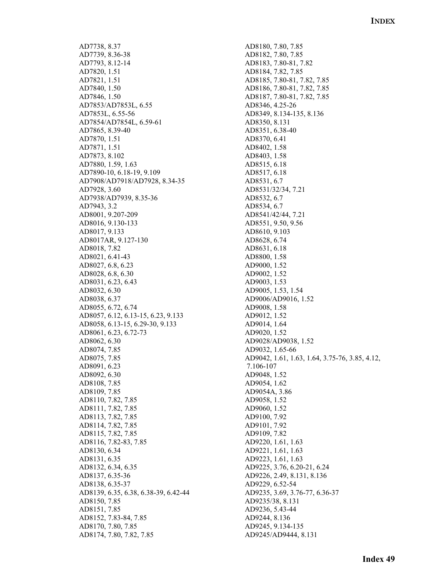AD7738, 8.37 AD7739, 8.36-38 AD7793, 8.12-14 AD7820, 1.51 AD7821, 1.51 AD7840, 1.50 AD7846, 1.50 AD7853/AD7853L, 6.55 AD7853L, 6.55-56 AD7854/AD7854L, 6.59-61 AD7865, 8.39-40 AD7870, 1.51 AD7871, 1.51 AD7873, 8.102 AD7880, 1.59, 1.63 AD7890-10, 6.18-19, 9.109 AD7908/AD7918/AD7928, 8.34-35 AD7928, 3.60 AD7938/AD7939, 8.35-36 AD7943, 3.2 AD8001, 9.207-209 AD8016, 9.130-133 AD8017, 9.133 AD8017AR, 9.127-130 AD8018, 7.82 AD8021, 6.41-43 AD8027, 6.8, 6.23 AD8028, 6.8, 6.30 AD8031, 6.23, 6.43 AD8032, 6.30 AD8038, 6.37 AD8055, 6.72, 6.74 AD8057, 6.12, 6.13-15, 6.23, 9.133 AD8058, 6.13-15, 6.29-30, 9.133 AD8061, 6.23, 6.72-73 AD8062, 6.30 AD8074, 7.85 AD8075, 7.85 AD8091, 6.23 AD8092, 6.30 AD8108, 7.85 AD8109, 7.85 AD8110, 7.82, 7.85 AD8111, 7.82, 7.85 AD8113, 7.82, 7.85 AD8114, 7.82, 7.85 AD8115, 7.82, 7.85 AD8116, 7.82-83, 7.85 AD8130, 6.34 AD8131, 6.35 AD8132, 6.34, 6.35 AD8137, 6.35-36 AD8138, 6.35-37 AD8139, 6.35, 6.38, 6.38-39, 6.42-44 AD8150, 7.85 AD8151, 7.85 AD8152, 7.83-84, 7.85 AD8170, 7.80, 7.85 AD8174, 7.80, 7.82, 7.85

AD8180, 7.80, 7.85 AD8182, 7.80, 7.85 AD8183, 7.80-81, 7.82 AD8184, 7.82, 7.85 AD8185, 7.80-81, 7.82, 7.85 AD8186, 7.80-81, 7.82, 7.85 AD8187, 7.80-81, 7.82, 7.85 AD8346, 4.25-26 AD8349, 8.134-135, 8.136 AD8350, 8.131 AD8351, 6.38-40 AD8370, 6.41 AD8402, 1.58 AD8403, 1.58 AD8515, 6.18 AD8517, 6.18 AD8531, 6.7 AD8531/32/34, 7.21 AD8532, 6.7 AD8534, 6.7 AD8541/42/44, 7.21 AD8551, 9.50, 9.56 AD8610, 9.103 AD8628, 6.74 AD8631, 6.18 AD8800, 1.58 AD9000, 1.52 AD9002, 1.52 AD9003, 1.53 AD9005, 1.53, 1.54 AD9006/AD9016, 1.52 AD9008, 1.58 AD9012, 1.52 AD9014, 1.64 AD9020, 1.52 AD9028/AD9038, 1.52 AD9032, 1.65-66 AD9042, 1.61, 1.63, 1.64, 3.75-76, 3.85, 4.12, 7.106-107 AD9048, 1.52 AD9054, 1.62 AD9054A, 3.86 AD9058, 1.52 AD9060, 1.52 AD9100, 7.92 AD9101, 7.92 AD9109, 7.82 AD9220, 1.61, 1.63 AD9221, 1.61, 1.63 AD9223, 1.61, 1.63 AD9225, 3.76, 6.20-21, 6.24 AD9226, 2.49, 8.131, 8.136 AD9229, 6.52-54 AD9235, 3.69, 3.76-77, 6.36-37 AD9235/38, 8.131 AD9236, 5.43-44 AD9244, 8.136 AD9245, 9.134-135 AD9245/AD9444, 8.131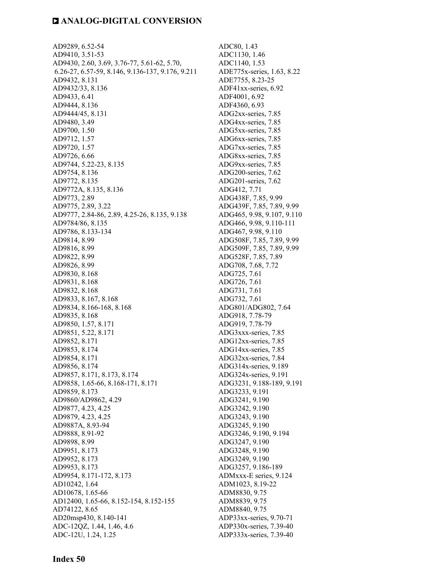AD9289, 6.52-54 AD9410, 3.51-53 AD9430, 2.60, 3.69, 3.76-77, 5.61-62, 5.70, 6.26-27, 6.57-59, 8.146, 9.136-137, 9.176, 9.211 AD9432, 8.131 AD9432/33, 8.136 AD9433, 6.41 AD9444, 8.136 AD9444/45, 8.131 AD9480, 3.49 AD9700, 1.50 AD9712, 1.57 AD9720, 1.57 AD9726, 6.66 AD9744, 5.22-23, 8.135 AD9754, 8.136 AD9772, 8.135 AD9772A, 8.135, 8.136 AD9773, 2.89 AD9775, 2.89, 3.22 AD9777, 2.84-86, 2.89, 4.25-26, 8.135, 9.138 AD9784/86, 8.135 AD9786, 8.133-134 AD9814, 8.99 AD9816, 8.99 AD9822, 8.99 AD9826, 8.99 AD9830, 8.168 AD9831, 8.168 AD9832, 8.168 AD9833, 8.167, 8.168 AD9834, 8.166-168, 8.168 AD9835, 8.168 AD9850, 1.57, 8.171 AD9851, 5.22, 8.171 AD9852, 8.171 AD9853, 8.174 AD9854, 8.171 AD9856, 8.174 AD9857, 8.171, 8.173, 8.174 AD9858, 1.65-66, 8.168-171, 8.171 AD9859, 8.173 AD9860/AD9862, 4.29 AD9877, 4.23, 4.25 AD9879, 4.23, 4.25 AD9887A, 8.93-94 AD9888, 8.91-92 AD9898, 8.99 AD9951, 8.173 AD9952, 8.173 AD9953, 8.173 AD9954, 8.171-172, 8.173 AD10242, 1.64 AD10678, 1.65-66 AD12400, 1.65-66, 8.152-154, 8.152-155 AD74122, 8.65 AD20msp430, 8.140-141 ADC-12QZ, 1.44, 1.46, 4.6 ADC-12U, 1.24, 1.25

ADC80, 1.43 ADC1130, 1.46 ADC1140, 1.53 ADE775x-series, 1.63, 8.22 ADE7755, 8.23-25 ADF41xx-series, 6.92 ADF4001, 6.92 ADF4360, 6.93 ADG2xx-series, 7.85 ADG4xx-series, 7.85 ADG5xx-series, 7.85 ADG6xx-series, 7.85 ADG7xx-series, 7.85 ADG8xx-series, 7.85 ADG9xx-series, 7.85 ADG200-series, 7.62 ADG201-series, 7.62 ADG412, 7.71 ADG438F, 7.85, 9.99 ADG439F, 7.85, 7.89, 9.99 ADG465, 9.98, 9.107, 9.110 ADG466, 9.98, 9.110-111 ADG467, 9.98, 9.110 ADG508F, 7.85, 7.89, 9.99 ADG509F, 7.85, 7.89, 9.99 ADG528F, 7.85, 7.89 ADG708, 7.68, 7.72 ADG725, 7.61 ADG726, 7.61 ADG731, 7.61 ADG732, 7.61 ADG801/ADG802, 7.64 ADG918, 7.78-79 ADG919, 7.78-79 ADG3xxx-series, 7.85 ADG12xx-series, 7.85 ADG14xx-series, 7.85 ADG32xx-series, 7.84 ADG314x-series, 9.189 ADG324x-series, 9.191 ADG3231, 9.188-189, 9.191 ADG3233, 9.191 ADG3241, 9.190 ADG3242, 9.190 ADG3243, 9.190 ADG3245, 9.190 ADG3246, 9.190, 9.194 ADG3247, 9.190 ADG3248, 9.190 ADG3249, 9.190 ADG3257, 9.186-189 ADMxxx-E series, 9.124 ADM1023, 8.19-22 ADM8830, 9.75 ADM8839, 9.75 ADM8840, 9.75 ADP33xx-series, 9.70-71 ADP330x-series, 7.39-40 ADP333x-series, 7.39-40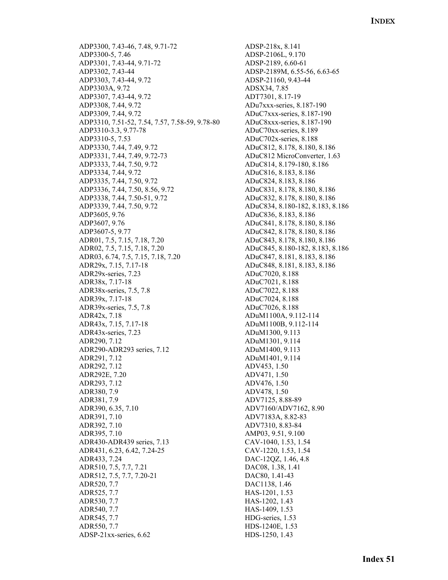ADP3300, 7.43-46, 7.48, 9.71-72 ADP3300-5, 7.46 ADP3301, 7.43-44, 9.71-72 ADP3302, 7.43-44 ADP3303, 7.43-44, 9.72 ADP3303A, 9.72 ADP3307, 7.43-44, 9.72 ADP3308, 7.44, 9.72 ADP3309, 7.44, 9.72 ADP3310, 7.51-52, 7.54, 7.57, 7.58-59, 9.78-80 ADP3310-3.3, 9.77-78 ADP3310-5, 7.53 ADP3330, 7.44, 7.49, 9.72 ADP3331, 7.44, 7.49, 9.72-73 ADP3333, 7.44, 7.50, 9.72 ADP3334, 7.44, 9.72 ADP3335, 7.44, 7.50, 9.72 ADP3336, 7.44, 7.50, 8.56, 9.72 ADP3338, 7.44, 7.50-51, 9.72 ADP3339, 7.44, 7.50, 9.72 ADP3605, 9.76 ADP3607, 9.76 ADP3607-5, 9.77 ADR01, 7.5, 7.15, 7.18, 7.20 ADR02, 7.5, 7.15, 7.18, 7.20 ADR03, 6.74, 7.5, 7.15, 7.18, 7.20 ADR29x, 7.15, 7.17-18 ADR29x-series, 7.23 ADR38x, 7.17-18 ADR38x-series, 7.5, 7.8 ADR39x, 7.17-18 ADR39x-series, 7.5, 7.8 ADR42x, 7.18 ADR43x, 7.15, 7.17-18 ADR43x-series, 7.23 ADR290, 7.12 ADR290-ADR293 series, 7.12 ADR291, 7.12 ADR292, 7.12 ADR292E, 7.20 ADR293, 7.12 ADR380, 7.9 ADR381, 7.9 ADR390, 6.35, 7.10 ADR391, 7.10 ADR392, 7.10 ADR395, 7.10 ADR430-ADR439 series, 7.13 ADR431, 6.23, 6.42, 7.24-25 ADR433, 7.24 ADR510, 7.5, 7.7, 7.21 ADR512, 7.5, 7.7, 7.20-21 ADR520, 7.7 ADR525, 7.7 ADR530, 7.7 ADR540, 7.7 ADR545, 7.7 ADR550, 7.7 ADSP-21xx-series, 6.62

ADSP-218x, 8.141 ADSP-2106L, 9.170 ADSP-2189, 6.60-61 ADSP-2189M, 6.55-56, 6.63-65 ADSP-21160, 9.43-44 ADSX34, 7.85 ADT7301, 8.17-19 ADu7xxx-series, 8.187-190 ADuC7xxx-series, 8.187-190 ADuC8xxx-series, 8.187-190 ADuC70xx-series, 8.189 ADuC702x-series, 8.188 ADuC812, 8.178, 8.180, 8.186 ADuC812 MicroConverter, 1.63 ADuC814, 8.179-180, 8.186 ADuC816, 8.183, 8.186 ADuC824, 8.183, 8.186 ADuC831, 8.178, 8.180, 8.186 ADuC832, 8.178, 8.180, 8.186 ADuC834, 8.180-182, 8.183, 8.186 ADuC836, 8.183, 8.186 ADuC841, 8.178, 8.180, 8.186 ADuC842, 8.178, 8.180, 8.186 ADuC843, 8.178, 8.180, 8.186 ADuC845, 8.180-182, 8.183, 8.186 ADuC847, 8.181, 8.183, 8.186 ADuC848, 8.181, 8.183, 8.186 ADuC7020, 8.188 ADuC7021, 8.188 ADuC7022, 8.188 ADuC7024, 8.188 ADuC7026, 8.188 ADuM1100A, 9.112-114 ADuM1100B, 9.112-114 ADuM1300, 9.113 ADuM1301, 9.114 ADuM1400, 9.113 ADuM1401, 9.114 ADV453, 1.50 ADV471, 1.50 ADV476, 1.50 ADV478, 1.50 ADV7125, 8.88-89 ADV7160/ADV7162, 8.90 ADV7183A, 8.82-83 ADV7310, 8.83-84 AMP03, 9.51, 9.100 CAV-1040, 1.53, 1.54 CAV-1220, 1.53, 1.54 DAC-12QZ, 1.46, 4.8 DAC08, 1.38, 1.41 DAC80, 1.41-43 DAC1138, 1.46 HAS-1201, 1.53 HAS-1202, 1.43 HAS-1409, 1.53 HDG-series, 1.53 HDS-1240E, 1.53 HDS-1250, 1.43